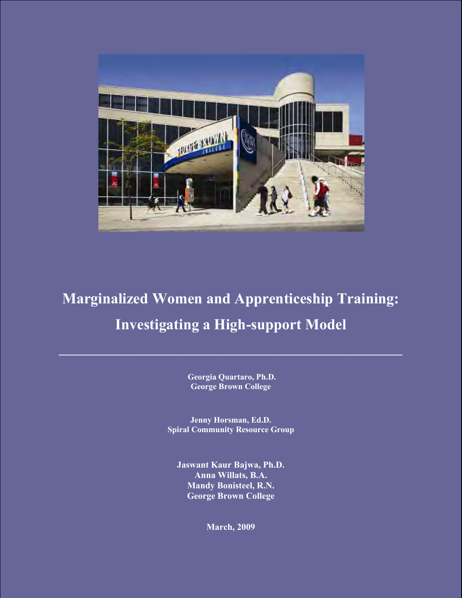

# **Marginalized Women and Apprenticeship Training: Investigating a High-support Model**

**\_\_\_\_\_\_\_\_\_\_\_\_\_\_\_\_\_\_\_\_\_\_\_\_\_\_\_\_\_\_\_\_\_\_\_\_\_\_\_\_\_\_\_\_\_\_\_\_\_\_\_\_\_\_\_\_\_**

**Georgia Quartaro, Ph.D. George Brown College**

**Jenny Horsman, Ed.D. Spiral Community Resource Group**

**Jaswant Kaur Bajwa, Ph.D. Anna Willats, B.A. Mandy Bonisteel, R.N. George Brown College** 

**March, 2009**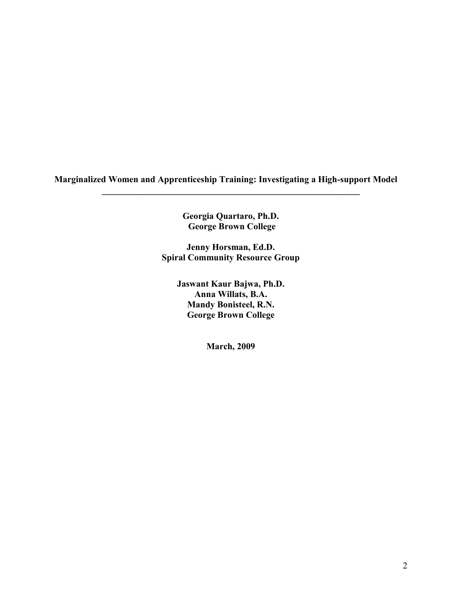**Marginalized Women and Apprenticeship Training: Investigating a High-support Model** 

**Georgia Quartaro, Ph.D. George Brown College** 

**\_\_\_\_\_\_\_\_\_\_\_\_\_\_\_\_\_\_\_\_\_\_\_\_\_\_\_\_\_\_\_\_\_\_\_\_\_\_\_\_\_\_\_\_\_\_\_\_\_\_\_\_\_\_\_\_\_** 

**Jenny Horsman, Ed.D. Spiral Community Resource Group** 

> **Jaswant Kaur Bajwa, Ph.D. Anna Willats, B.A. Mandy Bonisteel, R.N. George Brown College**

> > **March, 2009**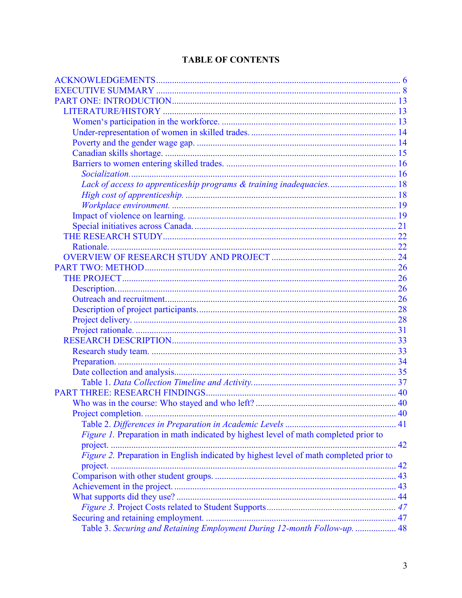# **TABLE OF CONTENTS**

| Lack of access to apprenticeship programs & training inadequacies 18                   |  |
|----------------------------------------------------------------------------------------|--|
|                                                                                        |  |
|                                                                                        |  |
|                                                                                        |  |
|                                                                                        |  |
|                                                                                        |  |
|                                                                                        |  |
|                                                                                        |  |
|                                                                                        |  |
|                                                                                        |  |
|                                                                                        |  |
|                                                                                        |  |
|                                                                                        |  |
|                                                                                        |  |
|                                                                                        |  |
|                                                                                        |  |
|                                                                                        |  |
|                                                                                        |  |
|                                                                                        |  |
|                                                                                        |  |
|                                                                                        |  |
|                                                                                        |  |
|                                                                                        |  |
|                                                                                        |  |
| Figure 1. Preparation in math indicated by highest level of math completed prior to    |  |
|                                                                                        |  |
| Figure 2. Preparation in English indicated by highest level of math completed prior to |  |
|                                                                                        |  |
|                                                                                        |  |
|                                                                                        |  |
|                                                                                        |  |
|                                                                                        |  |
|                                                                                        |  |
| Table 3. Securing and Retaining Employment During 12-month Follow-up.  48              |  |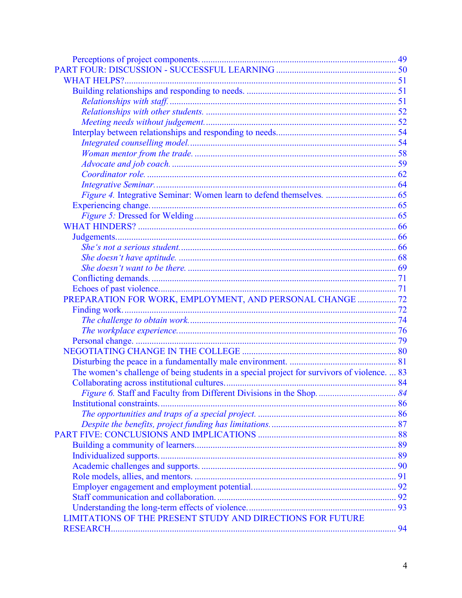| PREPARATION FOR WORK, EMPLOYMENT, AND PERSONAL CHANGE  72                                   |  |
|---------------------------------------------------------------------------------------------|--|
|                                                                                             |  |
|                                                                                             |  |
|                                                                                             |  |
|                                                                                             |  |
|                                                                                             |  |
|                                                                                             |  |
| The women's challenge of being students in a special project for survivors of violence.  83 |  |
|                                                                                             |  |
|                                                                                             |  |
|                                                                                             |  |
|                                                                                             |  |
|                                                                                             |  |
|                                                                                             |  |
|                                                                                             |  |
|                                                                                             |  |
|                                                                                             |  |
|                                                                                             |  |
|                                                                                             |  |
|                                                                                             |  |
|                                                                                             |  |
| LIMITATIONS OF THE PRESENT STUDY AND DIRECTIONS FOR FUTURE                                  |  |
|                                                                                             |  |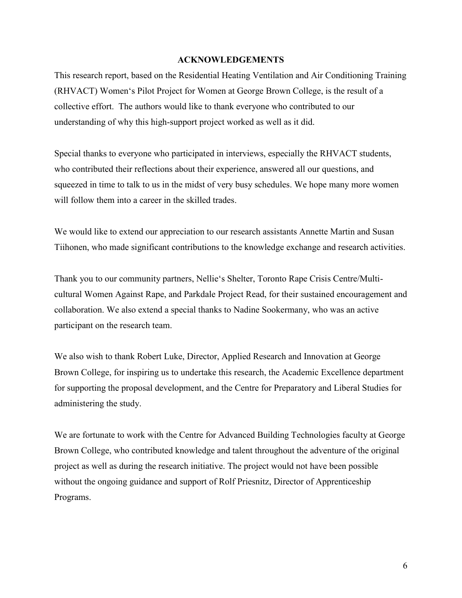#### **ACKNOWLEDGEMENTS**

<span id="page-5-0"></span>This research report, based on the Residential Heating Ventilation and Air Conditioning Training (RHVACT) Women's Pilot Project for Women at George Brown College, is the result of a collective effort. The authors would like to thank everyone who contributed to our understanding of why this high-support project worked as well as it did.

Special thanks to everyone who participated in interviews, especially the RHVACT students, who contributed their reflections about their experience, answered all our questions, and squeezed in time to talk to us in the midst of very busy schedules. We hope many more women will follow them into a career in the skilled trades.

We would like to extend our appreciation to our research assistants Annette Martin and Susan Tiihonen, who made significant contributions to the knowledge exchange and research activities.

Thank you to our community partners, Nellie's Shelter, Toronto Rape Crisis Centre/Multicultural Women Against Rape, and Parkdale Project Read, for their sustained encouragement and collaboration. We also extend a special thanks to Nadine Sookermany, who was an active participant on the research team.

We also wish to thank Robert Luke, Director, Applied Research and Innovation at George Brown College, for inspiring us to undertake this research, the Academic Excellence department for supporting the proposal development, and the Centre for Preparatory and Liberal Studies for administering the study.

We are fortunate to work with the Centre for Advanced Building Technologies faculty at George Brown College, who contributed knowledge and talent throughout the adventure of the original project as well as during the research initiative. The project would not have been possible without the ongoing guidance and support of Rolf Priesnitz, Director of Apprenticeship Programs.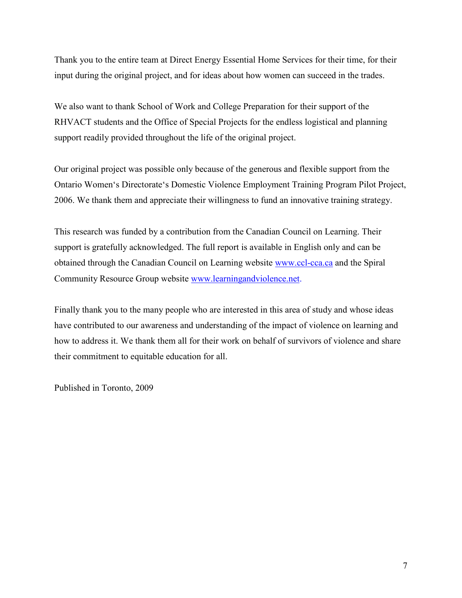Thank you to the entire team at Direct Energy Essential Home Services for their time, for their input during the original project, and for ideas about how women can succeed in the trades.

We also want to thank School of Work and College Preparation for their support of the RHVACT students and the Office of Special Projects for the endless logistical and planning support readily provided throughout the life of the original project.

Our original project was possible only because of the generous and flexible support from the Ontario Women's Directorate's Domestic Violence Employment Training Program Pilot Project, 2006. We thank them and appreciate their willingness to fund an innovative training strategy.

This research was funded by a contribution from the Canadian Council on Learning. Their support is gratefully acknowledged. The full report is available in English only and can be obtained through the Canadian Council on Learning website [www.ccl-cca.ca](http://www.ccl-cca.ca/) and the Spiral Community Resource Group website [www.learningandviolence.net.](file:///C:/Documents%20and%20Settings/Mandy%20Bonisteel/Application%20Data/Microsoft/Local%20Settings/Temporary%20Internet%20Files/DOCUME~1/MANDY~1.PII/LOCALS~1/User/Local%20Settings/Temporary%20Internet%20Files/Local%20Settings/Temporary%20Internet%20Files/OLK1D/www.learningandviolence.net)

Finally thank you to the many people who are interested in this area of study and whose ideas have contributed to our awareness and understanding of the impact of violence on learning and how to address it. We thank them all for their work on behalf of survivors of violence and share their commitment to equitable education for all.

Published in Toronto, 2009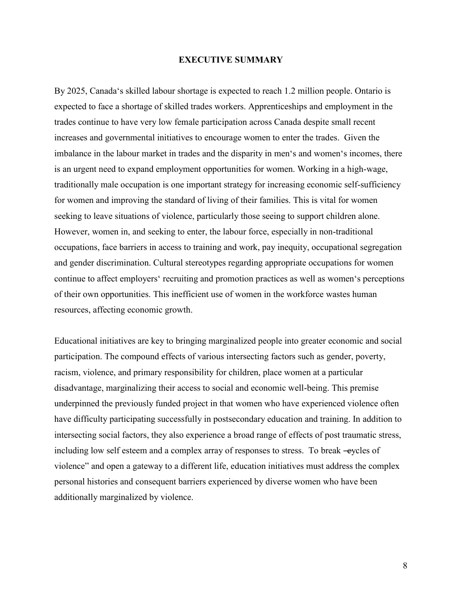#### **EXECUTIVE SUMMARY**

<span id="page-7-0"></span>By 2025, Canada's skilled labour shortage is expected to reach 1.2 million people. Ontario is expected to face a shortage of skilled trades workers. Apprenticeships and employment in the trades continue to have very low female participation across Canada despite small recent increases and governmental initiatives to encourage women to enter the trades. Given the imbalance in the labour market in trades and the disparity in men's and women's incomes, there is an urgent need to expand employment opportunities for women. Working in a high-wage, traditionally male occupation is one important strategy for increasing economic self-sufficiency for women and improving the standard of living of their families. This is vital for women seeking to leave situations of violence, particularly those seeing to support children alone. However, women in, and seeking to enter, the labour force, especially in non-traditional occupations, face barriers in access to training and work, pay inequity, occupational segregation and gender discrimination. Cultural stereotypes regarding appropriate occupations for women continue to affect employers' recruiting and promotion practices as well as women's perceptions of their own opportunities. This inefficient use of women in the workforce wastes human resources, affecting economic growth.

Educational initiatives are key to bringing marginalized people into greater economic and social participation. The compound effects of various intersecting factors such as gender, poverty, racism, violence, and primary responsibility for children, place women at a particular disadvantage, marginalizing their access to social and economic well-being. This premise underpinned the previously funded project in that women who have experienced violence often have difficulty participating successfully in postsecondary education and training. In addition to intersecting social factors, they also experience a broad range of effects of post traumatic stress, including low self esteem and a complex array of responses to stress. To break -eycles of violence‖ and open a gateway to a different life, education initiatives must address the complex personal histories and consequent barriers experienced by diverse women who have been additionally marginalized by violence.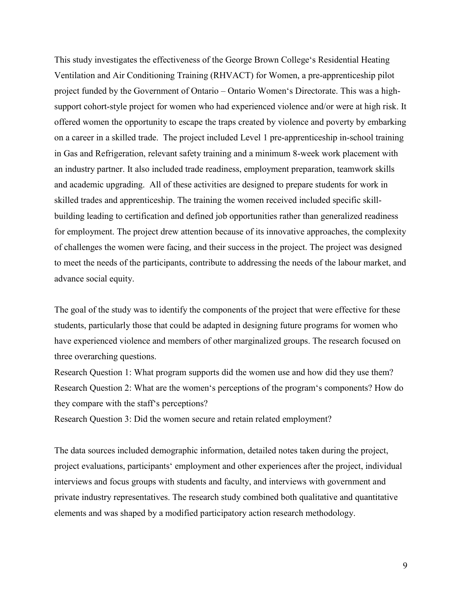This study investigates the effectiveness of the George Brown College's Residential Heating Ventilation and Air Conditioning Training (RHVACT) for Women, a pre-apprenticeship pilot project funded by the Government of Ontario – Ontario Women's Directorate. This was a highsupport cohort-style project for women who had experienced violence and/or were at high risk. It offered women the opportunity to escape the traps created by violence and poverty by embarking on a career in a skilled trade. The project included Level 1 pre-apprenticeship in-school training in Gas and Refrigeration, relevant safety training and a minimum 8-week work placement with an industry partner. It also included trade readiness, employment preparation, teamwork skills and academic upgrading. All of these activities are designed to prepare students for work in skilled trades and apprenticeship. The training the women received included specific skillbuilding leading to certification and defined job opportunities rather than generalized readiness for employment. The project drew attention because of its innovative approaches, the complexity of challenges the women were facing, and their success in the project. The project was designed to meet the needs of the participants, contribute to addressing the needs of the labour market, and advance social equity.

The goal of the study was to identify the components of the project that were effective for these students, particularly those that could be adapted in designing future programs for women who have experienced violence and members of other marginalized groups. The research focused on three overarching questions.

Research Question 1: What program supports did the women use and how did they use them? Research Question 2: What are the women's perceptions of the program's components? How do they compare with the staff's perceptions?

Research Question 3: Did the women secure and retain related employment?

The data sources included demographic information, detailed notes taken during the project, project evaluations, participants' employment and other experiences after the project, individual interviews and focus groups with students and faculty, and interviews with government and private industry representatives. The research study combined both qualitative and quantitative elements and was shaped by a modified participatory action research methodology.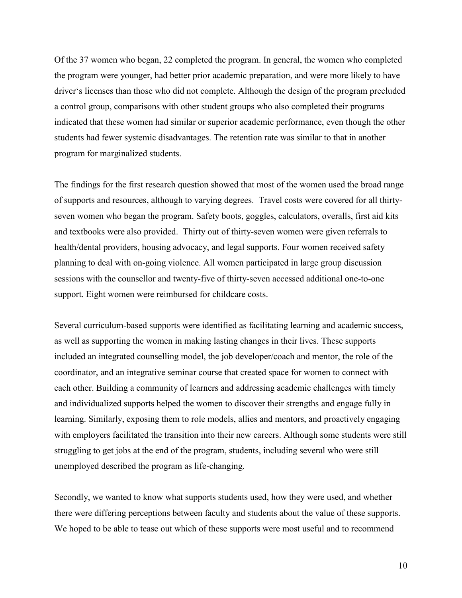Of the 37 women who began, 22 completed the program. In general, the women who completed the program were younger, had better prior academic preparation, and were more likely to have driver's licenses than those who did not complete. Although the design of the program precluded a control group, comparisons with other student groups who also completed their programs indicated that these women had similar or superior academic performance, even though the other students had fewer systemic disadvantages. The retention rate was similar to that in another program for marginalized students.

The findings for the first research question showed that most of the women used the broad range of supports and resources, although to varying degrees. Travel costs were covered for all thirtyseven women who began the program. Safety boots, goggles, calculators, overalls, first aid kits and textbooks were also provided. Thirty out of thirty-seven women were given referrals to health/dental providers, housing advocacy, and legal supports. Four women received safety planning to deal with on-going violence. All women participated in large group discussion sessions with the counsellor and twenty-five of thirty-seven accessed additional one-to-one support. Eight women were reimbursed for childcare costs.

Several curriculum-based supports were identified as facilitating learning and academic success, as well as supporting the women in making lasting changes in their lives. These supports included an integrated counselling model, the job developer/coach and mentor, the role of the coordinator, and an integrative seminar course that created space for women to connect with each other. Building a community of learners and addressing academic challenges with timely and individualized supports helped the women to discover their strengths and engage fully in learning. Similarly, exposing them to role models, allies and mentors, and proactively engaging with employers facilitated the transition into their new careers. Although some students were still struggling to get jobs at the end of the program, students, including several who were still unemployed described the program as life-changing.

Secondly, we wanted to know what supports students used, how they were used, and whether there were differing perceptions between faculty and students about the value of these supports. We hoped to be able to tease out which of these supports were most useful and to recommend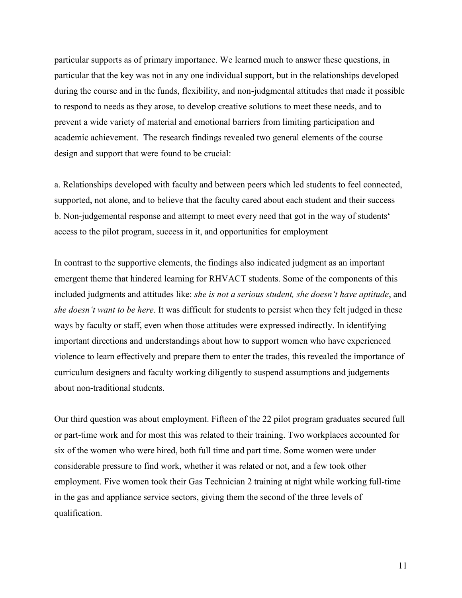particular supports as of primary importance. We learned much to answer these questions, in particular that the key was not in any one individual support, but in the relationships developed during the course and in the funds, flexibility, and non-judgmental attitudes that made it possible to respond to needs as they arose, to develop creative solutions to meet these needs, and to prevent a wide variety of material and emotional barriers from limiting participation and academic achievement. The research findings revealed two general elements of the course design and support that were found to be crucial:

a. Relationships developed with faculty and between peers which led students to feel connected, supported, not alone, and to believe that the faculty cared about each student and their success b. Non-judgemental response and attempt to meet every need that got in the way of students' access to the pilot program, success in it, and opportunities for employment

In contrast to the supportive elements, the findings also indicated judgment as an important emergent theme that hindered learning for RHVACT students. Some of the components of this included judgments and attitudes like: *she is not a serious student, she doesn't have aptitude*, and *she doesn't want to be here*. It was difficult for students to persist when they felt judged in these ways by faculty or staff, even when those attitudes were expressed indirectly. In identifying important directions and understandings about how to support women who have experienced violence to learn effectively and prepare them to enter the trades, this revealed the importance of curriculum designers and faculty working diligently to suspend assumptions and judgements about non-traditional students.

Our third question was about employment. Fifteen of the 22 pilot program graduates secured full or part-time work and for most this was related to their training. Two workplaces accounted for six of the women who were hired, both full time and part time. Some women were under considerable pressure to find work, whether it was related or not, and a few took other employment. Five women took their Gas Technician 2 training at night while working full-time in the gas and appliance service sectors, giving them the second of the three levels of qualification.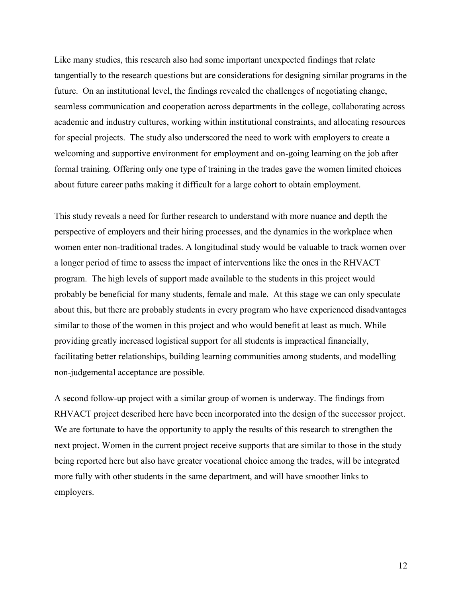Like many studies, this research also had some important unexpected findings that relate tangentially to the research questions but are considerations for designing similar programs in the future. On an institutional level, the findings revealed the challenges of negotiating change, seamless communication and cooperation across departments in the college, collaborating across academic and industry cultures, working within institutional constraints, and allocating resources for special projects. The study also underscored the need to work with employers to create a welcoming and supportive environment for employment and on-going learning on the job after formal training. Offering only one type of training in the trades gave the women limited choices about future career paths making it difficult for a large cohort to obtain employment.

This study reveals a need for further research to understand with more nuance and depth the perspective of employers and their hiring processes, and the dynamics in the workplace when women enter non-traditional trades. A longitudinal study would be valuable to track women over a longer period of time to assess the impact of interventions like the ones in the RHVACT program. The high levels of support made available to the students in this project would probably be beneficial for many students, female and male. At this stage we can only speculate about this, but there are probably students in every program who have experienced disadvantages similar to those of the women in this project and who would benefit at least as much. While providing greatly increased logistical support for all students is impractical financially, facilitating better relationships, building learning communities among students, and modelling non-judgemental acceptance are possible.

A second follow-up project with a similar group of women is underway. The findings from RHVACT project described here have been incorporated into the design of the successor project. We are fortunate to have the opportunity to apply the results of this research to strengthen the next project. Women in the current project receive supports that are similar to those in the study being reported here but also have greater vocational choice among the trades, will be integrated more fully with other students in the same department, and will have smoother links to employers.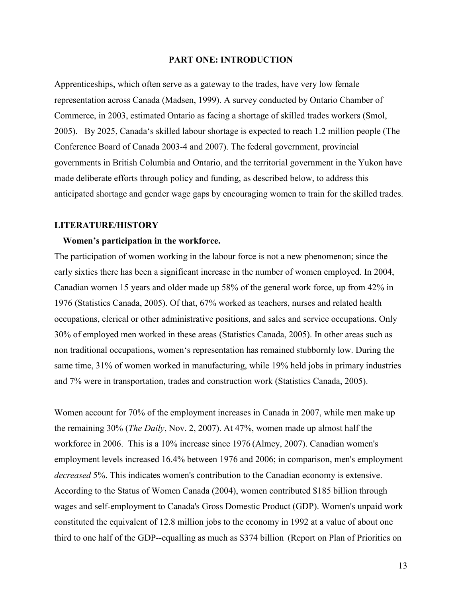#### **PART ONE: INTRODUCTION**

<span id="page-12-0"></span>Apprenticeships, which often serve as a gateway to the trades, have very low female representation across Canada (Madsen, 1999). A survey conducted by Ontario Chamber of Commerce, in 2003, estimated Ontario as facing a shortage of skilled trades workers (Smol, 2005). By 2025, Canada's skilled labour shortage is expected to reach 1.2 million people (The Conference Board of Canada 2003-4 and 2007). The federal government, provincial governments in British Columbia and Ontario, and the territorial government in the Yukon have made deliberate efforts through policy and funding, as described below, to address this anticipated shortage and gender wage gaps by encouraging women to train for the skilled trades.

# **LITERATURE/HISTORY**

#### **Women's participation in the workforce.**

The participation of women working in the labour force is not a new phenomenon; since the early sixties there has been a significant increase in the number of women employed. In 2004, Canadian women 15 years and older made up 58% of the general work force, up from 42% in 1976 (Statistics Canada, 2005). Of that, 67% worked as teachers, nurses and related health occupations, clerical or other administrative positions, and sales and service occupations. Only 30% of employed men worked in these areas (Statistics Canada, 2005). In other areas such as non traditional occupations, women's representation has remained stubbornly low. During the same time, 31% of women worked in manufacturing, while 19% held jobs in primary industries and 7% were in transportation, trades and construction work (Statistics Canada, 2005).

Women account for 70% of the employment increases in Canada in 2007, while men make up the remaining 30% (*The Daily*, Nov. 2, 2007). At 47%, women made up almost half the workforce in 2006. This is a 10% increase since 1976 (Almey, 2007). Canadian women's employment levels increased 16.4% between 1976 and 2006; in comparison, men's employment *decreased* 5%. This indicates women's contribution to the Canadian economy is extensive. According to the Status of Women Canada (2004), women contributed \$185 billion through wages and self-employment to Canada's Gross Domestic Product (GDP). Women's unpaid work constituted the equivalent of 12.8 million jobs to the economy in 1992 at a value of about one third to one half of the GDP--equalling as much as \$374 billion (Report on Plan of Priorities on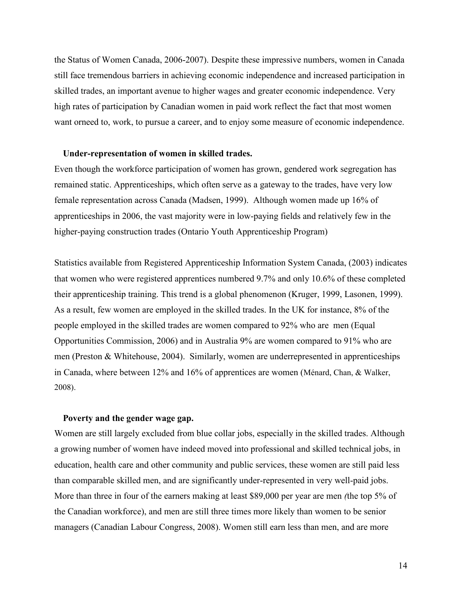<span id="page-13-0"></span>the Status of Women Canada, 2006-2007). Despite these impressive numbers, women in Canada still face tremendous barriers in achieving economic independence and increased participation in skilled trades, an important avenue to higher wages and greater economic independence. Very high rates of participation by Canadian women in paid work reflect the fact that most women want orneed to, work, to pursue a career, and to enjoy some measure of economic independence.

# **Under-representation of women in skilled trades.**

Even though the workforce participation of women has grown, gendered work segregation has remained static. Apprenticeships, which often serve as a gateway to the trades, have very low female representation across Canada (Madsen, 1999). Although women made up 16% of apprenticeships in 2006, the vast majority were in low-paying fields and relatively few in the higher-paying construction trades (Ontario Youth Apprenticeship Program)

Statistics available from Registered Apprenticeship Information System Canada, (2003) indicates that women who were registered apprentices numbered 9.7% and only 10.6% of these completed their apprenticeship training. This trend is a global phenomenon (Kruger, 1999, Lasonen, 1999). As a result, few women are employed in the skilled trades. In the UK for instance, 8% of the people employed in the skilled trades are women compared to 92% who are men (Equal Opportunities Commission, 2006) and in Australia 9% are women compared to 91% who are men (Preston & Whitehouse, 2004). Similarly, women are underrepresented in apprenticeships in Canada, where between 12% and 16% of apprentices are women (Ménard, Chan, & Walker, 2008).

#### **Poverty and the gender wage gap.**

Women are still largely excluded from blue collar jobs, especially in the skilled trades. Although a growing number of women have indeed moved into professional and skilled technical jobs, in education, health care and other community and public services, these women are still paid less than comparable skilled men, and are significantly under-represented in very well-paid jobs. More than three in four of the earners making at least \$89,000 per year are men *(*the top 5% of the Canadian workforce), and men are still three times more likely than women to be senior managers (Canadian Labour Congress, 2008). Women still earn less than men, and are more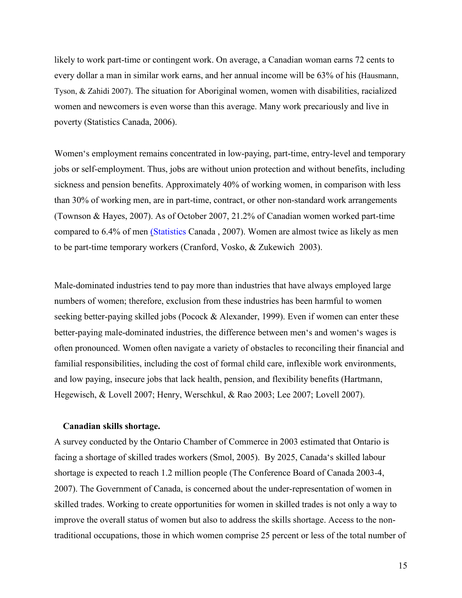<span id="page-14-0"></span>likely to work part-time or contingent work. On average, a Canadian woman earns 72 cents to every dollar a man in similar work earns, and her annual income will be 63% of his (Hausmann, Tyson, & Zahidi 2007). The situation for Aboriginal women, women with disabilities, racialized women and newcomers is even worse than this average. Many work precariously and live in poverty (Statistics Canada, 2006).

Women's employment remains concentrated in low-paying, part-time, entry-level and temporary jobs or self-employment. Thus, jobs are without union protection and without benefits, including sickness and pension benefits. Approximately 40% of working women, in comparison with less than 30% of working men, are in part-time, contract, or other non-standard work arrangements (Townson & Hayes, 2007). As of October 2007, 21.2% of Canadian women worked part-time compared to 6.4% of men [\(Statistics](http://www.actew.org/projects/pwpsite/snapshots/canadian_women.html#_edn) Canada , 2007). Women are almost twice as likely as men to be part-time temporary workers (Cranford, Vosko, & Zukewich 2003).

Male-dominated industries tend to pay more than industries that have always employed large numbers of women; therefore, exclusion from these industries has been harmful to women seeking better-paying skilled jobs (Pocock & Alexander, 1999). Even if women can enter these better-paying male-dominated industries, the difference between men's and women's wages is often pronounced. Women often navigate a variety of obstacles to reconciling their financial and familial responsibilities, including the cost of formal child care, inflexible work environments, and low paying, insecure jobs that lack health, pension, and flexibility benefits (Hartmann, Hegewisch, & Lovell 2007; Henry, Werschkul, & Rao 2003; Lee 2007; Lovell 2007).

#### **Canadian skills shortage.**

A survey conducted by the Ontario Chamber of Commerce in 2003 estimated that Ontario is facing a shortage of skilled trades workers (Smol, 2005). By 2025, Canada's skilled labour shortage is expected to reach 1.2 million people (The Conference Board of Canada 2003-4, 2007). The Government of Canada, is concerned about the under-representation of women in skilled trades. Working to create opportunities for women in skilled trades is not only a way to improve the overall status of women but also to address the skills shortage. Access to the nontraditional occupations, those in which women comprise 25 percent or less of the total number of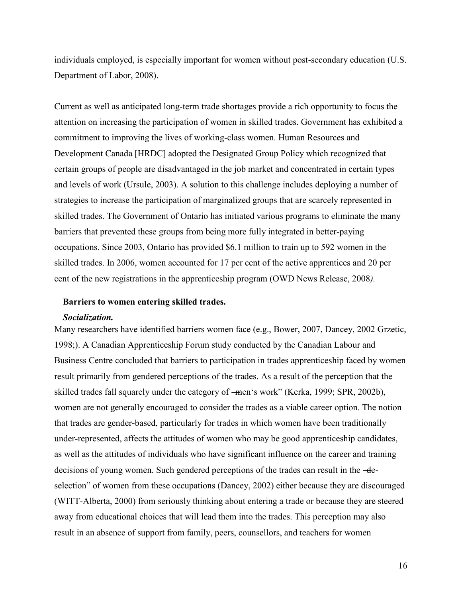<span id="page-15-0"></span>individuals employed, is especially important for women without post-secondary education (U.S. Department of Labor, 2008).

Current as well as anticipated long-term trade shortages provide a rich opportunity to focus the attention on increasing the participation of women in skilled trades. Government has exhibited a commitment to improving the lives of working-class women. Human Resources and Development Canada [HRDC] adopted the Designated Group Policy which recognized that certain groups of people are disadvantaged in the job market and concentrated in certain types and levels of work (Ursule, 2003). A solution to this challenge includes deploying a number of strategies to increase the participation of marginalized groups that are scarcely represented in skilled trades. The Government of Ontario has initiated various programs to eliminate the many barriers that prevented these groups from being more fully integrated in better-paying occupations. Since 2003, Ontario has provided \$6.1 million to train up to 592 women in the skilled trades. In 2006, women accounted for 17 per cent of the active apprentices and 20 per cent of the new registrations in the apprenticeship program (OWD News Release, 2008*).*

#### **Barriers to women entering skilled trades.**

#### *Socialization.*

Many researchers have identified barriers women face (e.g., Bower, 2007, Dancey, 2002 Grzetic, 1998;). A Canadian Apprenticeship Forum study conducted by the Canadian Labour and Business Centre concluded that barriers to participation in trades apprenticeship faced by women result primarily from gendered perceptions of the trades. As a result of the perception that the skilled trades fall squarely under the category of —men's work" (Kerka, 1999; SPR, 2002b), women are not generally encouraged to consider the trades as a viable career option. The notion that trades are gender-based, particularly for trades in which women have been traditionally under-represented, affects the attitudes of women who may be good apprenticeship candidates, as well as the attitudes of individuals who have significant influence on the career and training decisions of young women. Such gendered perceptions of the trades can result in the -deselection" of women from these occupations (Dancey, 2002) either because they are discouraged (WITT-Alberta, 2000) from seriously thinking about entering a trade or because they are steered away from educational choices that will lead them into the trades. This perception may also result in an absence of support from family, peers, counsellors, and teachers for women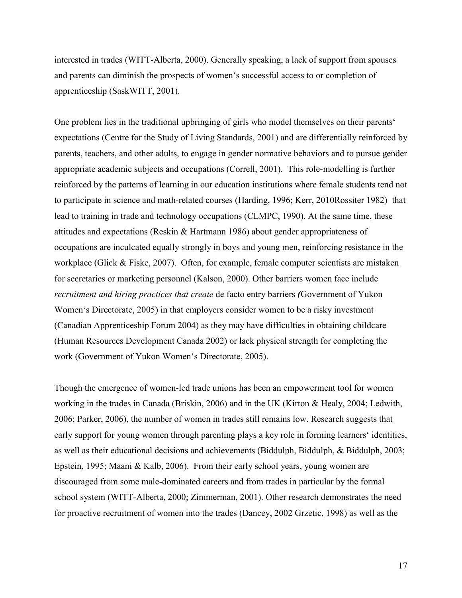interested in trades (WITT-Alberta, 2000). Generally speaking, a lack of support from spouses and parents can diminish the prospects of women's successful access to or completion of apprenticeship (SaskWITT, 2001).

One problem lies in the traditional upbringing of girls who model themselves on their parents' expectations (Centre for the Study of Living Standards, 2001) and are differentially reinforced by parents, teachers, and other adults, to engage in gender normative behaviors and to pursue gender appropriate academic subjects and occupations (Correll, 2001). This role-modelling is further reinforced by the patterns of learning in our education institutions where female students tend not to participate in science and math-related courses (Harding, 1996; Kerr, 2010Rossiter 1982) that lead to training in trade and technology occupations (CLMPC, 1990). At the same time, these attitudes and expectations (Reskin & Hartmann 1986) about gender appropriateness of occupations are inculcated equally strongly in boys and young men, reinforcing resistance in the workplace (Glick & Fiske, 2007). Often, for example, female computer scientists are mistaken for secretaries or marketing personnel (Kalson, 2000). Other barriers women face include *recruitment and hiring practices that create* de facto entry barriers *(*Government of Yukon Women's Directorate, 2005) in that employers consider women to be a risky investment (Canadian Apprenticeship Forum 2004) as they may have difficulties in obtaining childcare (Human Resources Development Canada 2002) or lack physical strength for completing the work (Government of Yukon Women's Directorate, 2005).

Though the emergence of women-led trade unions has been an empowerment tool for women working in the trades in Canada (Briskin, 2006) and in the UK (Kirton & Healy, 2004; Ledwith, 2006; Parker, 2006), the number of women in trades still remains low. Research suggests that early support for young women through parenting plays a key role in forming learners' identities, as well as their educational decisions and achievements (Biddulph, Biddulph, & Biddulph, 2003; Epstein, 1995; Maani & Kalb, 2006). From their early school years, young women are discouraged from some male-dominated careers and from trades in particular by the formal school system (WITT-Alberta, 2000; Zimmerman, 2001). Other research demonstrates the need for proactive recruitment of women into the trades (Dancey, 2002 Grzetic, 1998) as well as the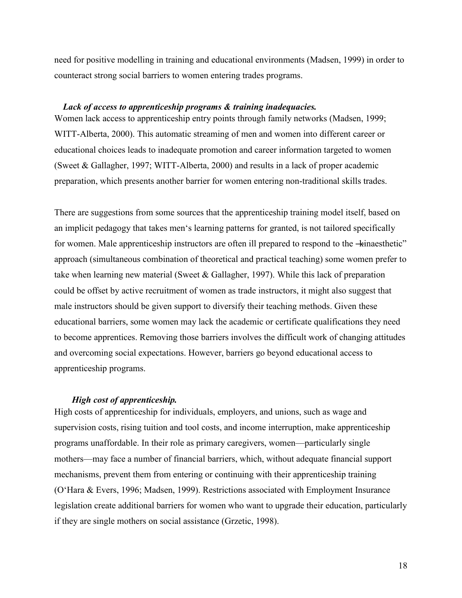<span id="page-17-0"></span>need for positive modelling in training and educational environments (Madsen, 1999) in order to counteract strong social barriers to women entering trades programs.

#### *Lack of access to apprenticeship programs & training inadequacies.*

Women lack access to apprenticeship entry points through family networks (Madsen, 1999; WITT-Alberta, 2000). This automatic streaming of men and women into different career or educational choices leads to inadequate promotion and career information targeted to women (Sweet & Gallagher, 1997; WITT-Alberta, 2000) and results in a lack of proper academic preparation, which presents another barrier for women entering non-traditional skills trades.

There are suggestions from some sources that the apprenticeship training model itself, based on an implicit pedagogy that takes men's learning patterns for granted, is not tailored specifically for women. Male apprenticeship instructors are often ill prepared to respond to the  $\pm$ inaesthetic" approach (simultaneous combination of theoretical and practical teaching) some women prefer to take when learning new material (Sweet & Gallagher, 1997). While this lack of preparation could be offset by active recruitment of women as trade instructors, it might also suggest that male instructors should be given support to diversify their teaching methods. Given these educational barriers, some women may lack the academic or certificate qualifications they need to become apprentices. Removing those barriers involves the difficult work of changing attitudes and overcoming social expectations. However, barriers go beyond educational access to apprenticeship programs.

# *High cost of apprenticeship.*

High costs of apprenticeship for individuals, employers, and unions, such as wage and supervision costs, rising tuition and tool costs, and income interruption, make apprenticeship programs unaffordable. In their role as primary caregivers, women—particularly single mothers—may face a number of financial barriers, which, without adequate financial support mechanisms, prevent them from entering or continuing with their apprenticeship training (O'Hara & Evers, 1996; Madsen, 1999). Restrictions associated with Employment Insurance legislation create additional barriers for women who want to upgrade their education, particularly if they are single mothers on social assistance (Grzetic, 1998).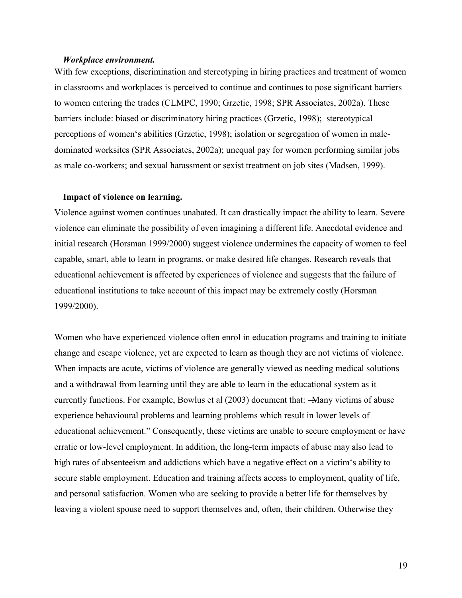#### <span id="page-18-0"></span>*Workplace environment.*

With few exceptions, discrimination and stereotyping in hiring practices and treatment of women in classrooms and workplaces is perceived to continue and continues to pose significant barriers to women entering the trades (CLMPC, 1990; Grzetic, 1998; SPR Associates, 2002a). These barriers include: biased or discriminatory hiring practices (Grzetic, 1998); stereotypical perceptions of women's abilities (Grzetic, 1998); isolation or segregation of women in maledominated worksites (SPR Associates, 2002a); unequal pay for women performing similar jobs as male co-workers; and sexual harassment or sexist treatment on job sites (Madsen, 1999).

#### **Impact of violence on learning.**

Violence against women continues unabated. It can drastically impact the ability to learn. Severe violence can eliminate the possibility of even imagining a different life. Anecdotal evidence and initial research (Horsman 1999/2000) suggest violence undermines the capacity of women to feel capable, smart, able to learn in programs, or make desired life changes. Research reveals that educational achievement is affected by experiences of violence and suggests that the failure of educational institutions to take account of this impact may be extremely costly (Horsman 1999/2000).

Women who have experienced violence often enrol in education programs and training to initiate change and escape violence, yet are expected to learn as though they are not victims of violence. When impacts are acute, victims of violence are generally viewed as needing medical solutions and a withdrawal from learning until they are able to learn in the educational system as it currently functions. For example, Bowlus et al (2003) document that: —Many victims of abuse experience behavioural problems and learning problems which result in lower levels of educational achievement." Consequently, these victims are unable to secure employment or have erratic or low-level employment. In addition, the long-term impacts of abuse may also lead to high rates of absenteeism and addictions which have a negative effect on a victim's ability to secure stable employment. Education and training affects access to employment, quality of life, and personal satisfaction. Women who are seeking to provide a better life for themselves by leaving a violent spouse need to support themselves and, often, their children. Otherwise they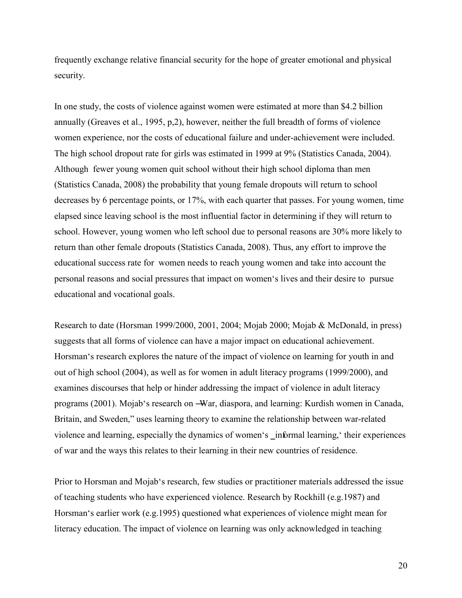frequently exchange relative financial security for the hope of greater emotional and physical security.

In one study, the costs of violence against women were estimated at more than \$4.2 billion annually (Greaves et al., 1995, p,2), however, neither the full breadth of forms of violence women experience, nor the costs of educational failure and under-achievement were included. The high school dropout rate for girls was estimated in 1999 at 9% (Statistics Canada, 2004). Although fewer young women quit school without their high school diploma than men (Statistics Canada, 2008) the probability that young female dropouts will return to school decreases by 6 percentage points, or 17%, with each quarter that passes. For young women, time elapsed since leaving school is the most influential factor in determining if they will return to school. However, young women who left school due to personal reasons are 30% more likely to return than other female dropouts (Statistics Canada, 2008). Thus, any effort to improve the educational success rate for women needs to reach young women and take into account the personal reasons and social pressures that impact on women's lives and their desire to pursue educational and vocational goals.

Research to date (Horsman 1999/2000, 2001, 2004; Mojab 2000; Mojab & McDonald, in press) suggests that all forms of violence can have a major impact on educational achievement. Horsman's research explores the nature of the impact of violence on learning for youth in and out of high school (2004), as well as for women in adult literacy programs (1999/2000), and examines discourses that help or hinder addressing the impact of violence in adult literacy programs (2001). Mojab's research on ―War, diaspora, and learning: Kurdish women in Canada, Britain, and Sweden," uses learning theory to examine the relationship between war-related violence and learning, especially the dynamics of women's \_informal learning, their experiences of war and the ways this relates to their learning in their new countries of residence.

Prior to Horsman and Mojab's research, few studies or practitioner materials addressed the issue of teaching students who have experienced violence. Research by Rockhill (e.g.1987) and Horsman's earlier work (e.g.1995) questioned what experiences of violence might mean for literacy education. The impact of violence on learning was only acknowledged in teaching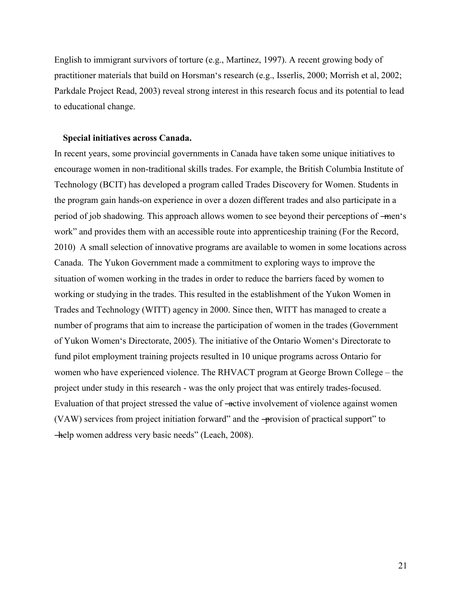<span id="page-20-0"></span>English to immigrant survivors of torture (e.g., Martinez, 1997). A recent growing body of practitioner materials that build on Horsman's research (e.g., Isserlis, 2000; Morrish et al, 2002; Parkdale Project Read, 2003) reveal strong interest in this research focus and its potential to lead to educational change.

#### **Special initiatives across Canada.**

In recent years, some provincial governments in Canada have taken some unique initiatives to encourage women in non-traditional skills trades. For example, the British Columbia Institute of Technology (BCIT) has developed a program called Trades Discovery for Women. Students in the program gain hands-on experience in over a dozen different trades and also participate in a period of job shadowing. This approach allows women to see beyond their perceptions of —men's work" and provides them with an accessible route into apprenticeship training (For the Record, 2010) A small selection of innovative programs are available to women in some locations across Canada. The Yukon Government made a commitment to exploring ways to improve the situation of women working in the trades in order to reduce the barriers faced by women to working or studying in the trades. This resulted in the establishment of the Yukon Women in Trades and Technology (WITT) agency in 2000. Since then, WITT has managed to create a number of programs that aim to increase the participation of women in the trades (Government of Yukon Women's Directorate, 2005). The initiative of the Ontario Women's Directorate to fund pilot employment training projects resulted in 10 unique programs across Ontario for women who have experienced violence. The RHVACT program at George Brown College – the project under study in this research - was the only project that was entirely trades-focused. Evaluation of that project stressed the value of —active involvement of violence against women (VAW) services from project initiation forward" and the  $\rightarrow$ provision of practical support" to help women address very basic needs" (Leach, 2008).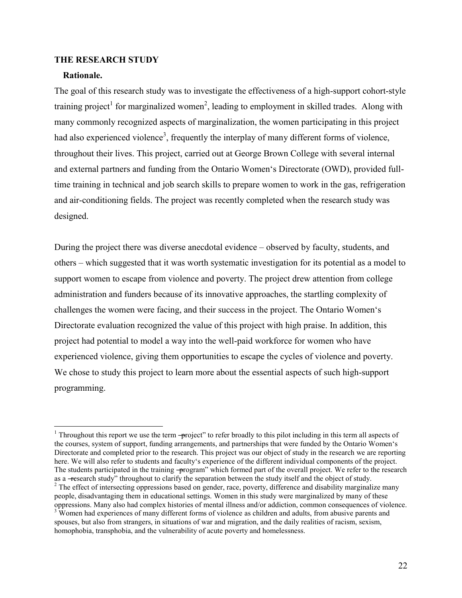#### <span id="page-21-0"></span>**THE RESEARCH STUDY**

#### **Rationale.**

The goal of this research study was to investigate the effectiveness of a high-support cohort-style training project<sup>1</sup> for marginalized women<sup>2</sup>, leading to employment in skilled trades. Along with many commonly recognized aspects of marginalization, the women participating in this project had also experienced violence<sup>3</sup>, frequently the interplay of many different forms of violence, throughout their lives. This project, carried out at George Brown College with several internal and external partners and funding from the Ontario Women's Directorate (OWD), provided fulltime training in technical and job search skills to prepare women to work in the gas, refrigeration and air-conditioning fields. The project was recently completed when the research study was designed.

During the project there was diverse anecdotal evidence – observed by faculty, students, and others – which suggested that it was worth systematic investigation for its potential as a model to support women to escape from violence and poverty. The project drew attention from college administration and funders because of its innovative approaches, the startling complexity of challenges the women were facing, and their success in the project. The Ontario Women's Directorate evaluation recognized the value of this project with high praise. In addition, this project had potential to model a way into the well-paid workforce for women who have experienced violence, giving them opportunities to escape the cycles of violence and poverty. We chose to study this project to learn more about the essential aspects of such high-support programming.

<sup>&</sup>lt;sup>1</sup> Throughout this report we use the term -project" to refer broadly to this pilot including in this term all aspects of the courses, system of support, funding arrangements, and partnerships that were funded by the Ontario Women's Directorate and completed prior to the research. This project was our object of study in the research we are reporting here. We will also refer to students and faculty's experience of the different individual components of the project. The students participated in the training -program" which formed part of the overall project. We refer to the research as a -research study" throughout to clarify the separation between the study itself and the object of study.  $2^2$  The effect of intersecting oppressions based on gender, race, poverty, difference and disability marginalize many people, disadvantaging them in educational settings. Women in this study were marginalized by many of these oppressions. Many also had complex histories of mental illness and/or addiction, common consequences of violence.

<sup>&</sup>lt;sup>3</sup> Women had experiences of many different forms of violence as children and adults, from abusive parents and spouses, but also from strangers, in situations of war and migration, and the daily realities of racism, sexism, homophobia, transphobia, and the vulnerability of acute poverty and homelessness.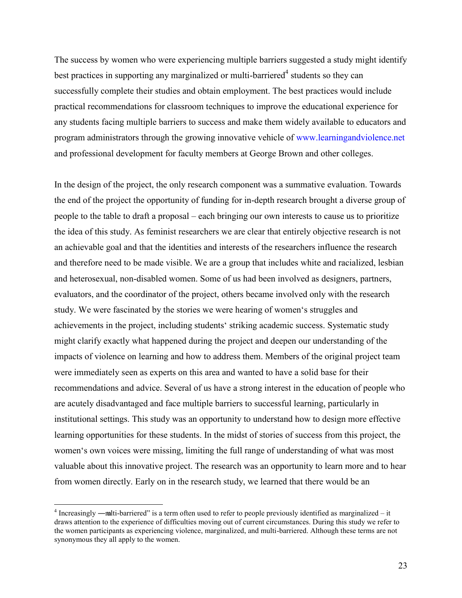The success by women who were experiencing multiple barriers suggested a study might identify best practices in supporting any marginalized or multi-barriered<sup>4</sup> students so they can successfully complete their studies and obtain employment. The best practices would include practical recommendations for classroom techniques to improve the educational experience for any students facing multiple barriers to success and make them widely available to educators and program administrators through the growing innovative vehicle of [www.learningandviolence.net](http://www.learningandviolence.net/) and professional development for faculty members at George Brown and other colleges.

In the design of the project, the only research component was a summative evaluation. Towards the end of the project the opportunity of funding for in-depth research brought a diverse group of people to the table to draft a proposal – each bringing our own interests to cause us to prioritize the idea of this study. As feminist researchers we are clear that entirely objective research is not an achievable goal and that the identities and interests of the researchers influence the research and therefore need to be made visible. We are a group that includes white and racialized, lesbian and heterosexual, non-disabled women. Some of us had been involved as designers, partners, evaluators, and the coordinator of the project, others became involved only with the research study. We were fascinated by the stories we were hearing of women's struggles and achievements in the project, including students' striking academic success. Systematic study might clarify exactly what happened during the project and deepen our understanding of the impacts of violence on learning and how to address them. Members of the original project team were immediately seen as experts on this area and wanted to have a solid base for their recommendations and advice. Several of us have a strong interest in the education of people who are acutely disadvantaged and face multiple barriers to successful learning, particularly in institutional settings. This study was an opportunity to understand how to design more effective learning opportunities for these students. In the midst of stories of success from this project, the women's own voices were missing, limiting the full range of understanding of what was most valuable about this innovative project. The research was an opportunity to learn more and to hear from women directly. Early on in the research study, we learned that there would be an

<sup>&</sup>lt;sup>4</sup> Increasingly —multi-barriered" is a term often used to refer to people previously identified as marginalized – it draws attention to the experience of difficulties moving out of current circumstances. During this study we refer to the women participants as experiencing violence, marginalized, and multi-barriered. Although these terms are not synonymous they all apply to the women.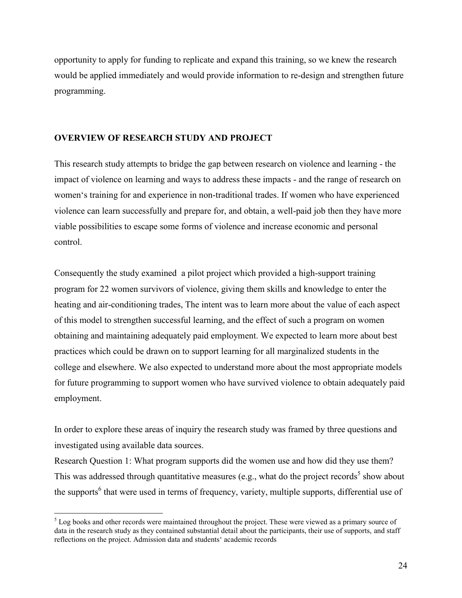<span id="page-23-0"></span>opportunity to apply for funding to replicate and expand this training, so we knew the research would be applied immediately and would provide information to re-design and strengthen future programming.

# **OVERVIEW OF RESEARCH STUDY AND PROJECT**

This research study attempts to bridge the gap between research on violence and learning - the impact of violence on learning and ways to address these impacts - and the range of research on women's training for and experience in non-traditional trades. If women who have experienced violence can learn successfully and prepare for, and obtain, a well-paid job then they have more viable possibilities to escape some forms of violence and increase economic and personal control.

Consequently the study examined a pilot project which provided a high-support training program for 22 women survivors of violence, giving them skills and knowledge to enter the heating and air-conditioning trades, The intent was to learn more about the value of each aspect of this model to strengthen successful learning, and the effect of such a program on women obtaining and maintaining adequately paid employment. We expected to learn more about best practices which could be drawn on to support learning for all marginalized students in the college and elsewhere. We also expected to understand more about the most appropriate models for future programming to support women who have survived violence to obtain adequately paid employment.

In order to explore these areas of inquiry the research study was framed by three questions and investigated using available data sources.

Research Question 1: What program supports did the women use and how did they use them? This was addressed through quantitative measures (e.g., what do the project records<sup>5</sup> show about the supports<sup>6</sup> that were used in terms of frequency, variety, multiple supports, differential use of

<sup>&</sup>lt;sup>5</sup> Log books and other records were maintained throughout the project. These were viewed as a primary source of data in the research study as they contained substantial detail about the participants, their use of supports, and staff reflections on the project. Admission data and students' academic records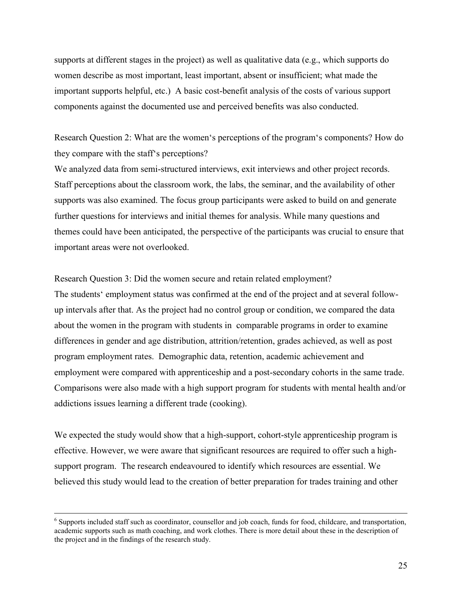supports at different stages in the project) as well as qualitative data (e.g., which supports do women describe as most important, least important, absent or insufficient; what made the important supports helpful, etc.) A basic cost-benefit analysis of the costs of various support components against the documented use and perceived benefits was also conducted.

Research Question 2: What are the women's perceptions of the program's components? How do they compare with the staff's perceptions?

We analyzed data from semi-structured interviews, exit interviews and other project records. Staff perceptions about the classroom work, the labs, the seminar, and the availability of other supports was also examined. The focus group participants were asked to build on and generate further questions for interviews and initial themes for analysis. While many questions and themes could have been anticipated, the perspective of the participants was crucial to ensure that important areas were not overlooked.

Research Question 3: Did the women secure and retain related employment? The students' employment status was confirmed at the end of the project and at several followup intervals after that. As the project had no control group or condition, we compared the data about the women in the program with students in comparable programs in order to examine differences in gender and age distribution, attrition/retention, grades achieved, as well as post program employment rates. Demographic data, retention, academic achievement and employment were compared with apprenticeship and a post-secondary cohorts in the same trade. Comparisons were also made with a high support program for students with mental health and/or addictions issues learning a different trade (cooking).

We expected the study would show that a high-support, cohort-style apprenticeship program is effective. However, we were aware that significant resources are required to offer such a highsupport program. The research endeavoured to identify which resources are essential. We believed this study would lead to the creation of better preparation for trades training and other

<sup>&</sup>lt;sup>6</sup> Supports included staff such as coordinator, counsellor and job coach, funds for food, childcare, and transportation, academic supports such as math coaching, and work clothes. There is more detail about these in the description of the project and in the findings of the research study.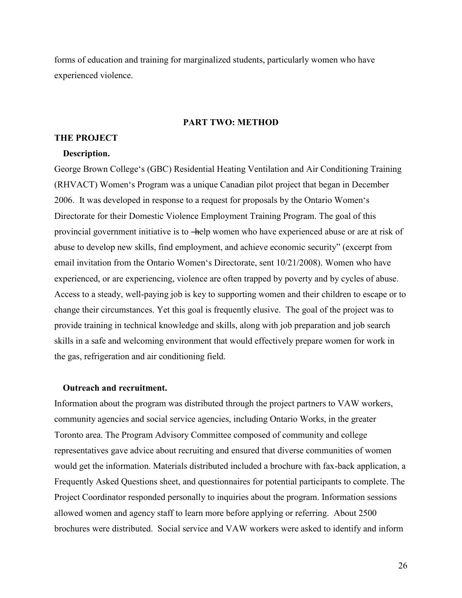<span id="page-25-0"></span>forms of education and training for marginalized students, particularly women who have experienced violence.

#### **PART TWO: METHOD**

#### **THE PROJECT**

#### **Description.**

George Brown College's (GBC) Residential Heating Ventilation and Air Conditioning Training (RHVACT) Women's Program was a unique Canadian pilot project that began in December 2006. It was developed in response to a request for proposals by the Ontario Women's Directorate for their Domestic Violence Employment Training Program. The goal of this provincial government initiative is to —help women who have experienced abuse or are at risk of abuse to develop new skills, find employment, and achieve economic security" (excerpt from email invitation from the Ontario Women's Directorate, sent 10/21/2008). Women who have experienced, or are experiencing, violence are often trapped by poverty and by cycles of abuse. Access to a steady, well-paying job is key to supporting women and their children to escape or to change their circumstances. Yet this goal is frequently elusive. The goal of the project was to provide training in technical knowledge and skills, along with job preparation and job search skills in a safe and welcoming environment that would effectively prepare women for work in the gas, refrigeration and air conditioning field.

## **Outreach and recruitment.**

Information about the program was distributed through the project partners to VAW workers, community agencies and social service agencies, including Ontario Works, in the greater Toronto area. The Program Advisory Committee composed of community and college representatives gave advice about recruiting and ensured that diverse communities of women would get the information. Materials distributed included a brochure with fax-back application, a Frequently Asked Questions sheet, and questionnaires for potential participants to complete. The Project Coordinator responded personally to inquiries about the program. Information sessions allowed women and agency staff to learn more before applying or referring. About 2500 brochures were distributed. Social service and VAW workers were asked to identify and inform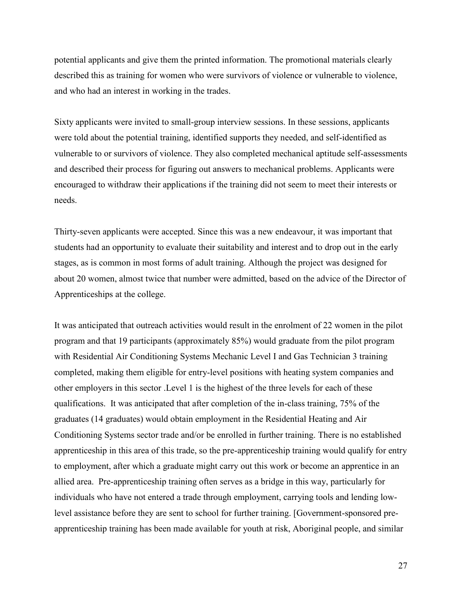potential applicants and give them the printed information. The promotional materials clearly described this as training for women who were survivors of violence or vulnerable to violence, and who had an interest in working in the trades.

Sixty applicants were invited to small-group interview sessions. In these sessions, applicants were told about the potential training, identified supports they needed, and self-identified as vulnerable to or survivors of violence. They also completed mechanical aptitude self-assessments and described their process for figuring out answers to mechanical problems. Applicants were encouraged to withdraw their applications if the training did not seem to meet their interests or needs.

Thirty-seven applicants were accepted. Since this was a new endeavour, it was important that students had an opportunity to evaluate their suitability and interest and to drop out in the early stages, as is common in most forms of adult training. Although the project was designed for about 20 women, almost twice that number were admitted, based on the advice of the Director of Apprenticeships at the college.

It was anticipated that outreach activities would result in the enrolment of 22 women in the pilot program and that 19 participants (approximately 85%) would graduate from the pilot program with Residential Air Conditioning Systems Mechanic Level I and Gas Technician 3 training completed, making them eligible for entry-level positions with heating system companies and other employers in this sector .Level 1 is the highest of the three levels for each of these qualifications. It was anticipated that after completion of the in-class training, 75% of the graduates (14 graduates) would obtain employment in the Residential Heating and Air Conditioning Systems sector trade and/or be enrolled in further training. There is no established apprenticeship in this area of this trade, so the pre-apprenticeship training would qualify for entry to employment, after which a graduate might carry out this work or become an apprentice in an allied area. Pre-apprenticeship training often serves as a bridge in this way, particularly for individuals who have not entered a trade through employment, carrying tools and lending lowlevel assistance before they are sent to school for further training. [Government-sponsored preapprenticeship training has been made available for youth at risk, Aboriginal people, and similar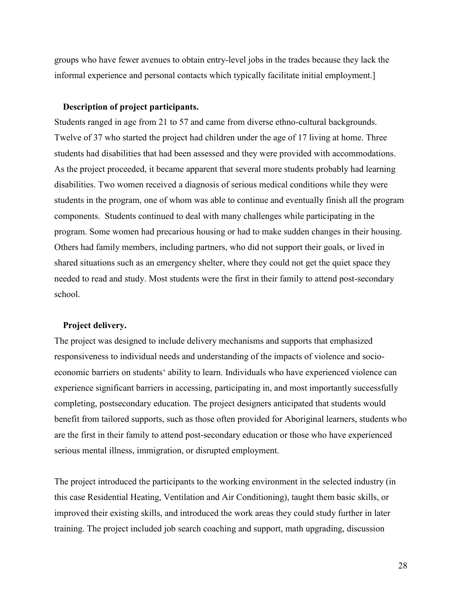<span id="page-27-0"></span>groups who have fewer avenues to obtain entry-level jobs in the trades because they lack the informal experience and personal contacts which typically facilitate initial employment.]

#### **Description of project participants.**

Students ranged in age from 21 to 57 and came from diverse ethno-cultural backgrounds. Twelve of 37 who started the project had children under the age of 17 living at home. Three students had disabilities that had been assessed and they were provided with accommodations. As the project proceeded, it became apparent that several more students probably had learning disabilities. Two women received a diagnosis of serious medical conditions while they were students in the program, one of whom was able to continue and eventually finish all the program components. Students continued to deal with many challenges while participating in the program. Some women had precarious housing or had to make sudden changes in their housing. Others had family members, including partners, who did not support their goals, or lived in shared situations such as an emergency shelter, where they could not get the quiet space they needed to read and study. Most students were the first in their family to attend post-secondary school.

# **Project delivery.**

The project was designed to include delivery mechanisms and supports that emphasized responsiveness to individual needs and understanding of the impacts of violence and socioeconomic barriers on students' ability to learn. Individuals who have experienced violence can experience significant barriers in accessing, participating in, and most importantly successfully completing, postsecondary education. The project designers anticipated that students would benefit from tailored supports, such as those often provided for Aboriginal learners, students who are the first in their family to attend post-secondary education or those who have experienced serious mental illness, immigration, or disrupted employment.

The project introduced the participants to the working environment in the selected industry (in this case Residential Heating, Ventilation and Air Conditioning), taught them basic skills, or improved their existing skills, and introduced the work areas they could study further in later training. The project included job search coaching and support, math upgrading, discussion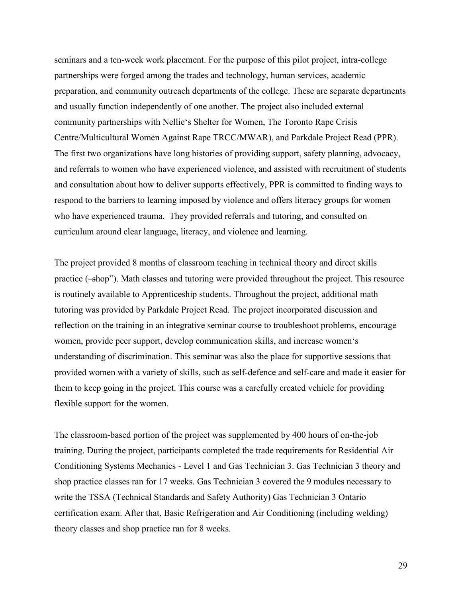seminars and a ten-week work placement. For the purpose of this pilot project, intra-college partnerships were forged among the trades and technology, human services, academic preparation, and community outreach departments of the college. These are separate departments and usually function independently of one another. The project also included external community partnerships with Nellie's Shelter for Women, The Toronto Rape Crisis Centre/Multicultural Women Against Rape TRCC/MWAR), and Parkdale Project Read (PPR). The first two organizations have long histories of providing support, safety planning, advocacy, and referrals to women who have experienced violence, and assisted with recruitment of students and consultation about how to deliver supports effectively, PPR is committed to finding ways to respond to the barriers to learning imposed by violence and offers literacy groups for women who have experienced trauma. They provided referrals and tutoring, and consulted on curriculum around clear language, literacy, and violence and learning.

The project provided 8 months of classroom teaching in technical theory and direct skills practice (-shop"). Math classes and tutoring were provided throughout the project. This resource is routinely available to Apprenticeship students. Throughout the project, additional math tutoring was provided by Parkdale Project Read. The project incorporated discussion and reflection on the training in an integrative seminar course to troubleshoot problems, encourage women, provide peer support, develop communication skills, and increase women's understanding of discrimination. This seminar was also the place for supportive sessions that provided women with a variety of skills, such as self-defence and self-care and made it easier for them to keep going in the project. This course was a carefully created vehicle for providing flexible support for the women.

The classroom-based portion of the project was supplemented by 400 hours of on-the-job training. During the project, participants completed the trade requirements for Residential Air Conditioning Systems Mechanics - Level 1 and Gas Technician 3. Gas Technician 3 theory and shop practice classes ran for 17 weeks. Gas Technician 3 covered the 9 modules necessary to write the TSSA (Technical Standards and Safety Authority) Gas Technician 3 Ontario certification exam. After that, Basic Refrigeration and Air Conditioning (including welding) theory classes and shop practice ran for 8 weeks.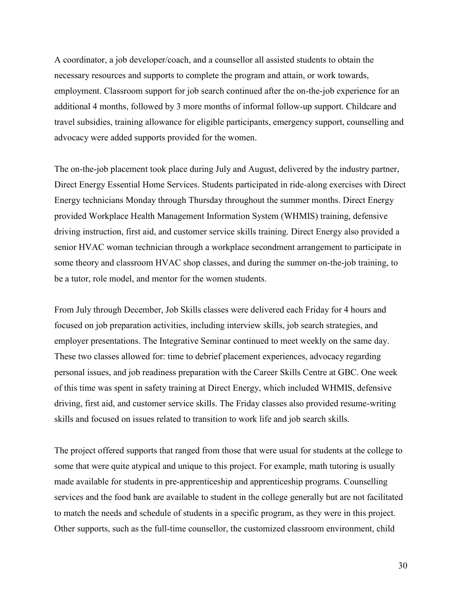A coordinator, a job developer/coach, and a counsellor all assisted students to obtain the necessary resources and supports to complete the program and attain, or work towards, employment. Classroom support for job search continued after the on-the-job experience for an additional 4 months, followed by 3 more months of informal follow-up support. Childcare and travel subsidies, training allowance for eligible participants, emergency support, counselling and advocacy were added supports provided for the women.

The on-the-job placement took place during July and August, delivered by the industry partner, Direct Energy Essential Home Services. Students participated in ride-along exercises with Direct Energy technicians Monday through Thursday throughout the summer months. Direct Energy provided Workplace Health Management Information System (WHMIS) training, defensive driving instruction, first aid, and customer service skills training. Direct Energy also provided a senior HVAC woman technician through a workplace secondment arrangement to participate in some theory and classroom HVAC shop classes, and during the summer on-the-job training, to be a tutor, role model, and mentor for the women students.

From July through December, Job Skills classes were delivered each Friday for 4 hours and focused on job preparation activities, including interview skills, job search strategies, and employer presentations. The Integrative Seminar continued to meet weekly on the same day. These two classes allowed for: time to debrief placement experiences, advocacy regarding personal issues, and job readiness preparation with the Career Skills Centre at GBC. One week of this time was spent in safety training at Direct Energy, which included WHMIS, defensive driving, first aid, and customer service skills. The Friday classes also provided resume-writing skills and focused on issues related to transition to work life and job search skills.

The project offered supports that ranged from those that were usual for students at the college to some that were quite atypical and unique to this project. For example, math tutoring is usually made available for students in pre-apprenticeship and apprenticeship programs. Counselling services and the food bank are available to student in the college generally but are not facilitated to match the needs and schedule of students in a specific program, as they were in this project. Other supports, such as the full-time counsellor, the customized classroom environment, child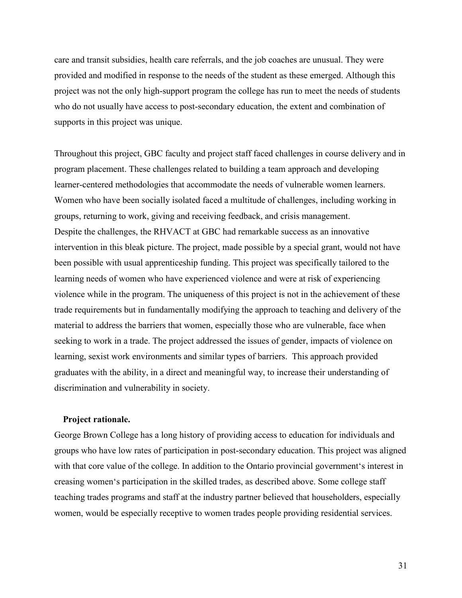<span id="page-30-0"></span>care and transit subsidies, health care referrals, and the job coaches are unusual. They were provided and modified in response to the needs of the student as these emerged. Although this project was not the only high-support program the college has run to meet the needs of students who do not usually have access to post-secondary education, the extent and combination of supports in this project was unique.

Throughout this project, GBC faculty and project staff faced challenges in course delivery and in program placement. These challenges related to building a team approach and developing learner-centered methodologies that accommodate the needs of vulnerable women learners. Women who have been socially isolated faced a multitude of challenges, including working in groups, returning to work, giving and receiving feedback, and crisis management. Despite the challenges, the RHVACT at GBC had remarkable success as an innovative intervention in this bleak picture. The project, made possible by a special grant, would not have been possible with usual apprenticeship funding. This project was specifically tailored to the learning needs of women who have experienced violence and were at risk of experiencing violence while in the program. The uniqueness of this project is not in the achievement of these trade requirements but in fundamentally modifying the approach to teaching and delivery of the material to address the barriers that women, especially those who are vulnerable, face when seeking to work in a trade. The project addressed the issues of gender, impacts of violence on learning, sexist work environments and similar types of barriers. This approach provided graduates with the ability, in a direct and meaningful way, to increase their understanding of discrimination and vulnerability in society.

# **Project rationale.**

George Brown College has a long history of providing access to education for individuals and groups who have low rates of participation in post-secondary education. This project was aligned with that core value of the college. In addition to the Ontario provincial government's interest in creasing women's participation in the skilled trades, as described above. Some college staff teaching trades programs and staff at the industry partner believed that householders, especially women, would be especially receptive to women trades people providing residential services.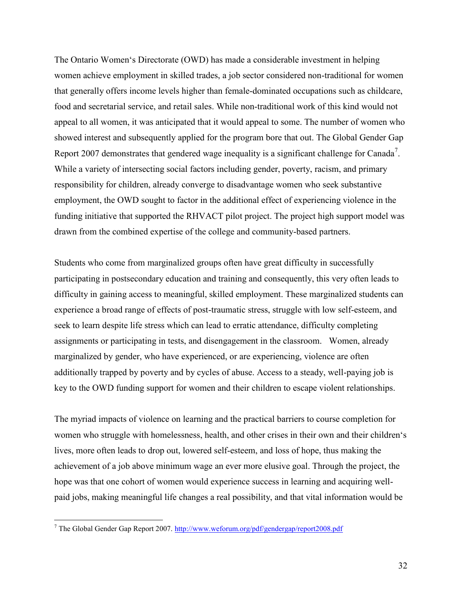The Ontario Women's Directorate (OWD) has made a considerable investment in helping women achieve employment in skilled trades, a job sector considered non-traditional for women that generally offers income levels higher than female-dominated occupations such as childcare, food and secretarial service, and retail sales. While non-traditional work of this kind would not appeal to all women, it was anticipated that it would appeal to some. The number of women who showed interest and subsequently applied for the program bore that out. The Global Gender Gap Report 2007 demonstrates that gendered wage inequality is a significant challenge for Canada<sup>7</sup>. While a variety of intersecting social factors including gender, poverty, racism, and primary responsibility for children, already converge to disadvantage women who seek substantive employment, the OWD sought to factor in the additional effect of experiencing violence in the funding initiative that supported the RHVACT pilot project. The project high support model was drawn from the combined expertise of the college and community-based partners.

Students who come from marginalized groups often have great difficulty in successfully participating in postsecondary education and training and consequently, this very often leads to difficulty in gaining access to meaningful, skilled employment. These marginalized students can experience a broad range of effects of post-traumatic stress, struggle with low self-esteem, and seek to learn despite life stress which can lead to erratic attendance, difficulty completing assignments or participating in tests, and disengagement in the classroom. Women, already marginalized by gender, who have experienced, or are experiencing, violence are often additionally trapped by poverty and by cycles of abuse. Access to a steady, well-paying job is key to the OWD funding support for women and their children to escape violent relationships.

The myriad impacts of violence on learning and the practical barriers to course completion for women who struggle with homelessness, health, and other crises in their own and their children's lives, more often leads to drop out, lowered self-esteem, and loss of hope, thus making the achievement of a job above minimum wage an ever more elusive goal. Through the project, the hope was that one cohort of women would experience success in learning and acquiring wellpaid jobs, making meaningful life changes a real possibility, and that vital information would be

<sup>&</sup>lt;sup>7</sup> The Global Gender Gap Report 2007. <http://www.weforum.org/pdf/gendergap/report2008.pdf>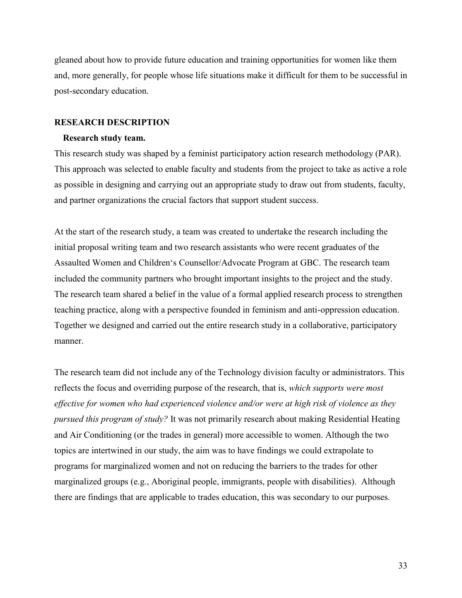<span id="page-32-0"></span>gleaned about how to provide future education and training opportunities for women like them and, more generally, for people whose life situations make it difficult for them to be successful in post-secondary education.

#### **RESEARCH DESCRIPTION**

#### **Research study team.**

This research study was shaped by a feminist participatory action research methodology (PAR). This approach was selected to enable faculty and students from the project to take as active a role as possible in designing and carrying out an appropriate study to draw out from students, faculty, and partner organizations the crucial factors that support student success.

At the start of the research study, a team was created to undertake the research including the initial proposal writing team and two research assistants who were recent graduates of the Assaulted Women and Children's Counsellor/Advocate Program at GBC. The research team included the community partners who brought important insights to the project and the study. The research team shared a belief in the value of a formal applied research process to strengthen teaching practice, along with a perspective founded in feminism and anti-oppression education. Together we designed and carried out the entire research study in a collaborative, participatory manner.

The research team did not include any of the Technology division faculty or administrators. This reflects the focus and overriding purpose of the research, that is, *which supports were most effective for women who had experienced violence and/or were at high risk of violence as they pursued this program of study?* It was not primarily research about making Residential Heating and Air Conditioning (or the trades in general) more accessible to women. Although the two topics are intertwined in our study, the aim was to have findings we could extrapolate to programs for marginalized women and not on reducing the barriers to the trades for other marginalized groups (e.g., Aboriginal people, immigrants, people with disabilities). Although there are findings that are applicable to trades education, this was secondary to our purposes.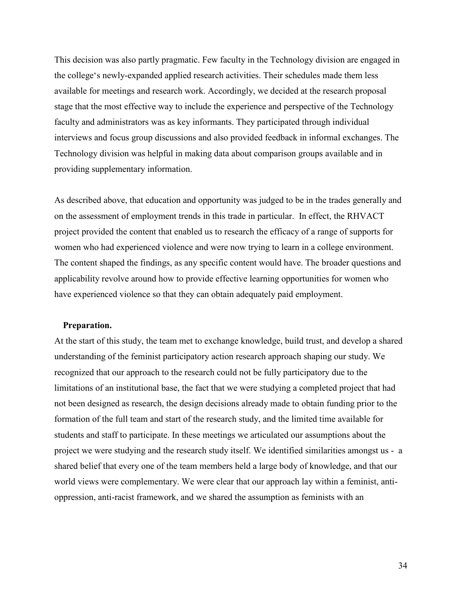<span id="page-33-0"></span>This decision was also partly pragmatic. Few faculty in the Technology division are engaged in the college's newly-expanded applied research activities. Their schedules made them less available for meetings and research work. Accordingly, we decided at the research proposal stage that the most effective way to include the experience and perspective of the Technology faculty and administrators was as key informants. They participated through individual interviews and focus group discussions and also provided feedback in informal exchanges. The Technology division was helpful in making data about comparison groups available and in providing supplementary information.

As described above, that education and opportunity was judged to be in the trades generally and on the assessment of employment trends in this trade in particular. In effect, the RHVACT project provided the content that enabled us to research the efficacy of a range of supports for women who had experienced violence and were now trying to learn in a college environment. The content shaped the findings, as any specific content would have. The broader questions and applicability revolve around how to provide effective learning opportunities for women who have experienced violence so that they can obtain adequately paid employment.

# **Preparation.**

At the start of this study, the team met to exchange knowledge, build trust, and develop a shared understanding of the feminist participatory action research approach shaping our study. We recognized that our approach to the research could not be fully participatory due to the limitations of an institutional base, the fact that we were studying a completed project that had not been designed as research, the design decisions already made to obtain funding prior to the formation of the full team and start of the research study, and the limited time available for students and staff to participate. In these meetings we articulated our assumptions about the project we were studying and the research study itself. We identified similarities amongst us - a shared belief that every one of the team members held a large body of knowledge, and that our world views were complementary. We were clear that our approach lay within a feminist, antioppression, anti-racist framework, and we shared the assumption as feminists with an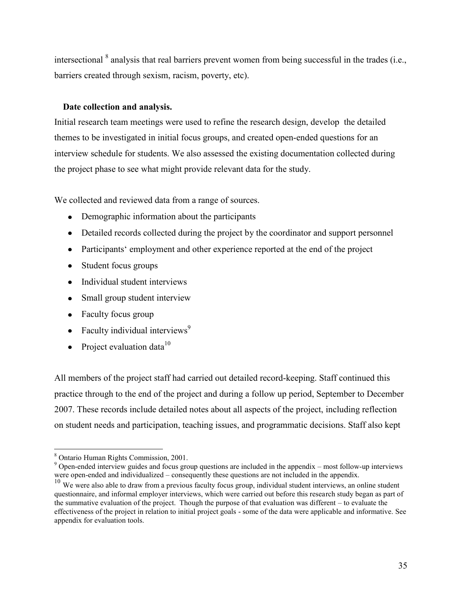<span id="page-34-0"></span>intersectional  $\delta$  analysis that real barriers prevent women from being successful in the trades (i.e., barriers created through sexism, racism, poverty, etc).

# **Date collection and analysis.**

Initial research team meetings were used to refine the research design, develop the detailed themes to be investigated in initial focus groups, and created open-ended questions for an interview schedule for students. We also assessed the existing documentation collected during the project phase to see what might provide relevant data for the study.

We collected and reviewed data from a range of sources.

- Demographic information about the participants
- Detailed records collected during the project by the coordinator and support personnel
- Participants' employment and other experience reported at the end of the project
- Student focus groups
- Individual student interviews
- Small group student interview
- Faculty focus group
- Faculty individual interviews<sup>9</sup>
- Project evaluation data $10$

All members of the project staff had carried out detailed record-keeping. Staff continued this practice through to the end of the project and during a follow up period, September to December 2007. These records include detailed notes about all aspects of the project, including reflection on student needs and participation, teaching issues, and programmatic decisions. Staff also kept

<sup>8</sup> Ontario Human Rights Commission, 2001.

<sup>&</sup>lt;sup>9</sup> Open-ended interview guides and focus group questions are included in the appendix – most follow-up interviews were open-ended and individualized – consequently these questions are not included in the appendix.

<sup>&</sup>lt;sup>10</sup> We were also able to draw from a previous faculty focus group, individual student interviews, an online student questionnaire, and informal employer interviews, which were carried out before this research study began as part of the summative evaluation of the project. Though the purpose of that evaluation was different – to evaluate the effectiveness of the project in relation to initial project goals - some of the data were applicable and informative. See appendix for evaluation tools.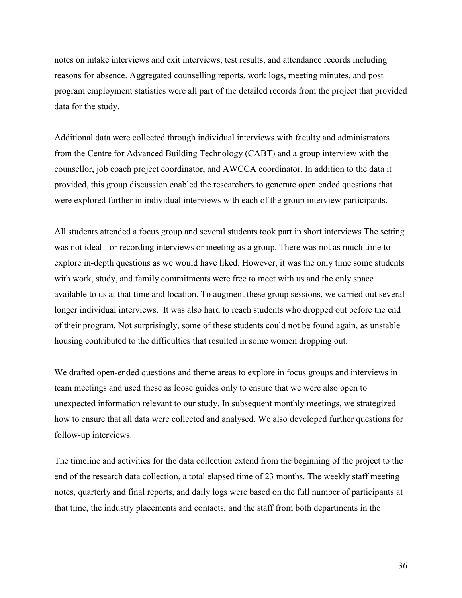notes on intake interviews and exit interviews, test results, and attendance records including reasons for absence. Aggregated counselling reports, work logs, meeting minutes, and post program employment statistics were all part of the detailed records from the project that provided data for the study.

Additional data were collected through individual interviews with faculty and administrators from the Centre for Advanced Building Technology (CABT) and a group interview with the counsellor, job coach project coordinator, and AWCCA coordinator. In addition to the data it provided, this group discussion enabled the researchers to generate open ended questions that were explored further in individual interviews with each of the group interview participants.

All students attended a focus group and several students took part in short interviews The setting was not ideal for recording interviews or meeting as a group. There was not as much time to explore in-depth questions as we would have liked. However, it was the only time some students with work, study, and family commitments were free to meet with us and the only space available to us at that time and location. To augment these group sessions, we carried out several longer individual interviews. It was also hard to reach students who dropped out before the end of their program. Not surprisingly, some of these students could not be found again, as unstable housing contributed to the difficulties that resulted in some women dropping out.

We drafted open-ended questions and theme areas to explore in focus groups and interviews in team meetings and used these as loose guides only to ensure that we were also open to unexpected information relevant to our study. In subsequent monthly meetings, we strategized how to ensure that all data were collected and analysed. We also developed further questions for follow-up interviews.

The timeline and activities for the data collection extend from the beginning of the project to the end of the research data collection, a total elapsed time of 23 months. The weekly staff meeting notes, quarterly and final reports, and daily logs were based on the full number of participants at that time, the industry placements and contacts, and the staff from both departments in the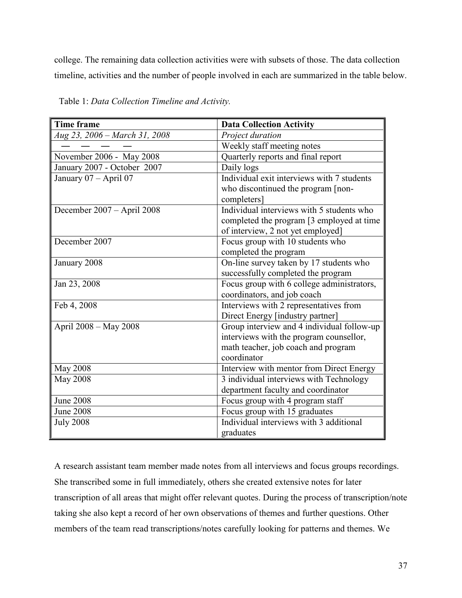college. The remaining data collection activities were with subsets of those. The data collection timeline, activities and the number of people involved in each are summarized in the table below.

| <b>Time frame</b>             | <b>Data Collection Activity</b>            |  |  |
|-------------------------------|--------------------------------------------|--|--|
| Aug 23, 2006 - March 31, 2008 | Project duration                           |  |  |
|                               | Weekly staff meeting notes                 |  |  |
| November 2006 - May 2008      | Quarterly reports and final report         |  |  |
| January 2007 - October 2007   | Daily logs                                 |  |  |
| January 07 - April 07         | Individual exit interviews with 7 students |  |  |
|                               | who discontinued the program [non-         |  |  |
|                               | completers]                                |  |  |
| December 2007 - April 2008    | Individual interviews with 5 students who  |  |  |
|                               | completed the program [3 employed at time] |  |  |
|                               | of interview, 2 not yet employed]          |  |  |
| December 2007                 | Focus group with 10 students who           |  |  |
|                               | completed the program                      |  |  |
| January 2008                  | On-line survey taken by 17 students who    |  |  |
|                               | successfully completed the program         |  |  |
| Jan 23, 2008                  | Focus group with 6 college administrators, |  |  |
|                               | coordinators, and job coach                |  |  |
| Feb 4, 2008                   | Interviews with 2 representatives from     |  |  |
|                               | Direct Energy [industry partner]           |  |  |
| April 2008 – May 2008         | Group interview and 4 individual follow-up |  |  |
|                               | interviews with the program counsellor,    |  |  |
|                               | math teacher, job coach and program        |  |  |
|                               | coordinator                                |  |  |
| <b>May 2008</b>               | Interview with mentor from Direct Energy   |  |  |
| May 2008                      | 3 individual interviews with Technology    |  |  |
|                               | department faculty and coordinator         |  |  |
| <b>June 2008</b>              | Focus group with 4 program staff           |  |  |
| <b>June 2008</b>              | Focus group with 15 graduates              |  |  |
| <b>July 2008</b>              | Individual interviews with 3 additional    |  |  |
|                               | graduates                                  |  |  |

Table 1: *Data Collection Timeline and Activity.*

A research assistant team member made notes from all interviews and focus groups recordings. She transcribed some in full immediately, others she created extensive notes for later transcription of all areas that might offer relevant quotes. During the process of transcription/note taking she also kept a record of her own observations of themes and further questions. Other members of the team read transcriptions/notes carefully looking for patterns and themes. We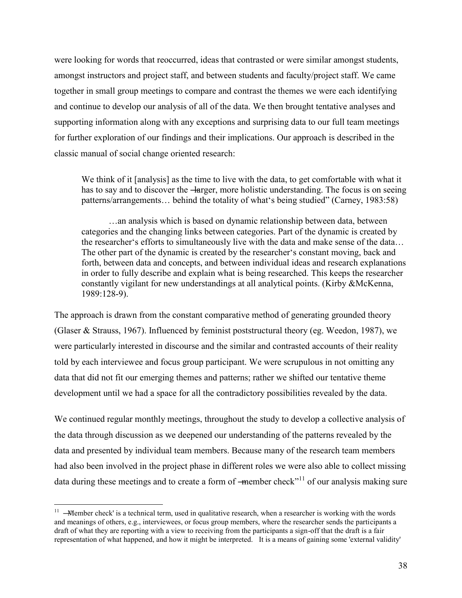were looking for words that reoccurred, ideas that contrasted or were similar amongst students, amongst instructors and project staff, and between students and faculty/project staff. We came together in small group meetings to compare and contrast the themes we were each identifying and continue to develop our analysis of all of the data. We then brought tentative analyses and supporting information along with any exceptions and surprising data to our full team meetings for further exploration of our findings and their implications. Our approach is described in the classic manual of social change oriented research:

We think of it [analysis] as the time to live with the data, to get comfortable with what it has to say and to discover the  $\frac{1}{2}$  – Harger, more holistic understanding. The focus is on seeing patterns/arrangements... behind the totality of what's being studied" (Carney, 1983:58)

 …an analysis which is based on dynamic relationship between data, between categories and the changing links between categories. Part of the dynamic is created by the researcher's efforts to simultaneously live with the data and make sense of the data… The other part of the dynamic is created by the researcher's constant moving, back and forth, between data and concepts, and between individual ideas and research explanations in order to fully describe and explain what is being researched. This keeps the researcher constantly vigilant for new understandings at all analytical points. (Kirby &McKenna, 1989:128-9).

The approach is drawn from the constant comparative method of generating grounded theory (Glaser & Strauss, 1967). Influenced by feminist poststructural theory (eg. Weedon, 1987), we were particularly interested in discourse and the similar and contrasted accounts of their reality told by each interviewee and focus group participant. We were scrupulous in not omitting any data that did not fit our emerging themes and patterns; rather we shifted our tentative theme development until we had a space for all the contradictory possibilities revealed by the data.

We continued regular monthly meetings, throughout the study to develop a collective analysis of the data through discussion as we deepened our understanding of the patterns revealed by the data and presented by individual team members. Because many of the research team members had also been involved in the project phase in different roles we were also able to collect missing data during these meetings and to create a form of  $-$ member check<sup> $n+1$ </sup> of our analysis making sure

 $\overline{a}$ 

 $11$  –Member check' is a technical term, used in qualitative research, when a researcher is working with the words and meanings of others, e.g., interviewees, or focus group members, where the researcher sends the participants a draft of what they are reporting with a view to receiving from the participants a sign-off that the draft is a fair representation of what happened, and how it might be interpreted. It is a means of gaining some 'external validity'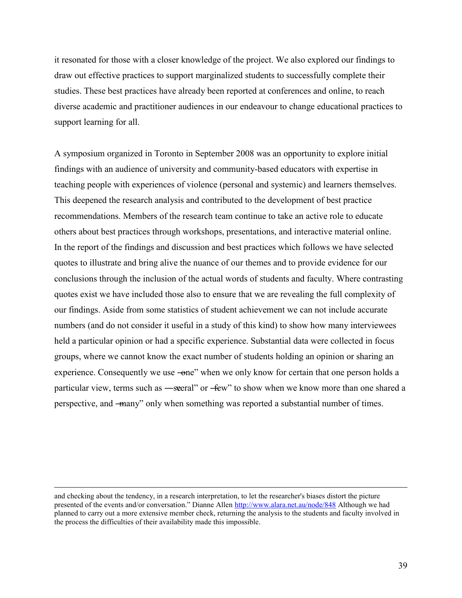it resonated for those with a closer knowledge of the project. We also explored our findings to draw out effective practices to support marginalized students to successfully complete their studies. These best practices have already been reported at conferences and online, to reach diverse academic and practitioner audiences in our endeavour to change educational practices to support learning for all.

A symposium organized in Toronto in September 2008 was an opportunity to explore initial findings with an audience of university and community-based educators with expertise in teaching people with experiences of violence (personal and systemic) and learners themselves. This deepened the research analysis and contributed to the development of best practice recommendations. Members of the research team continue to take an active role to educate others about best practices through workshops, presentations, and interactive material online. In the report of the findings and discussion and best practices which follows we have selected quotes to illustrate and bring alive the nuance of our themes and to provide evidence for our conclusions through the inclusion of the actual words of students and faculty. Where contrasting quotes exist we have included those also to ensure that we are revealing the full complexity of our findings. Aside from some statistics of student achievement we can not include accurate numbers (and do not consider it useful in a study of this kind) to show how many interviewees held a particular opinion or had a specific experience. Substantial data were collected in focus groups, where we cannot know the exact number of students holding an opinion or sharing an experience. Consequently we use  $\rightarrow$  one" when we only know for certain that one person holds a particular view, terms such as —seeral" or -few" to show when we know more than one shared a perspective, and —many" only when something was reported a substantial number of times.

 $\overline{a}$ 

and checking about the tendency, in a research interpretation, to let the researcher's biases distort the picture presented of the events and/or conversation.‖ Dianne Allen <http://www.alara.net.au/node/848> Although we had planned to carry out a more extensive member check, returning the analysis to the students and faculty involved in the process the difficulties of their availability made this impossible.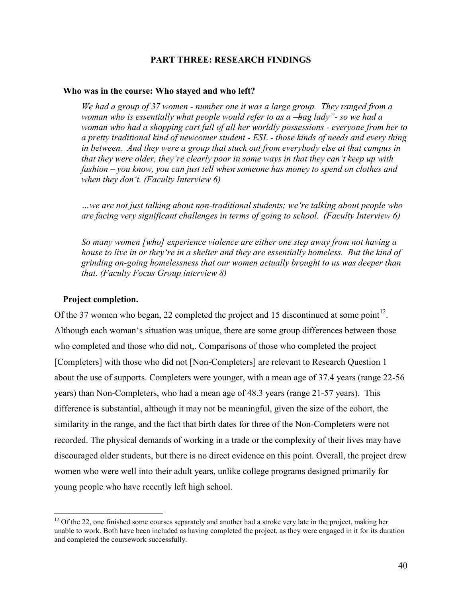## **PART THREE: RESEARCH FINDINGS**

#### **Who was in the course: Who stayed and who left?**

*We had a group of 37 women - number one it was a large group. They ranged from a woman who is essentially what people would refer to as a ―bag lady‖- so we had a woman who had a shopping cart full of all her worldly possessions - everyone from her to a pretty traditional kind of newcomer student - ESL - those kinds of needs and every thing in between. And they were a group that stuck out from everybody else at that campus in that they were older, they're clearly poor in some ways in that they can't keep up with fashion – you know, you can just tell when someone has money to spend on clothes and when they don't. (Faculty Interview 6)* 

*…we are not just talking about non-traditional students; we're talking about people who are facing very significant challenges in terms of going to school. (Faculty Interview 6)* 

*So many women [who] experience violence are either one step away from not having a house to live in or they're in a shelter and they are essentially homeless. But the kind of grinding on-going homelessness that our women actually brought to us was deeper than that. (Faculty Focus Group interview 8)* 

### **Project completion.**

 $\overline{a}$ 

Of the 37 women who began, 22 completed the project and 15 discontinued at some point<sup>12</sup>. Although each woman's situation was unique, there are some group differences between those who completed and those who did not,. Comparisons of those who completed the project [Completers] with those who did not [Non-Completers] are relevant to Research Question 1 about the use of supports. Completers were younger, with a mean age of 37.4 years (range 22-56 years) than Non-Completers, who had a mean age of 48.3 years (range 21-57 years). This difference is substantial, although it may not be meaningful, given the size of the cohort, the similarity in the range, and the fact that birth dates for three of the Non-Completers were not recorded. The physical demands of working in a trade or the complexity of their lives may have discouraged older students, but there is no direct evidence on this point. Overall, the project drew women who were well into their adult years, unlike college programs designed primarily for young people who have recently left high school.

 $12$  Of the 22, one finished some courses separately and another had a stroke very late in the project, making her unable to work. Both have been included as having completed the project, as they were engaged in it for its duration and completed the coursework successfully.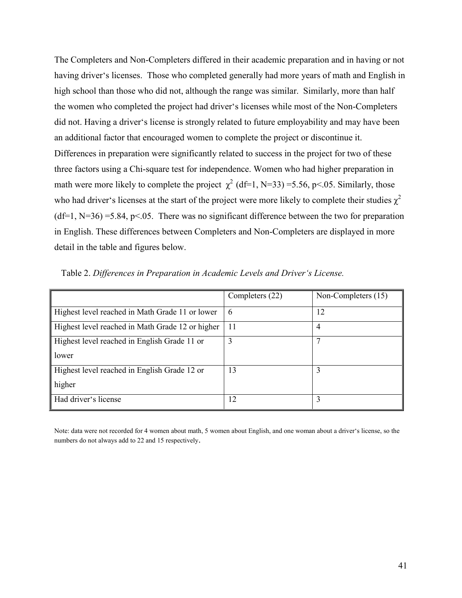The Completers and Non-Completers differed in their academic preparation and in having or not having driver's licenses. Those who completed generally had more years of math and English in high school than those who did not, although the range was similar. Similarly, more than half the women who completed the project had driver's licenses while most of the Non-Completers did not. Having a driver's license is strongly related to future employability and may have been an additional factor that encouraged women to complete the project or discontinue it. Differences in preparation were significantly related to success in the project for two of these three factors using a Chi-square test for independence. Women who had higher preparation in math were more likely to complete the project  $\chi^2$  (df=1, N=33) =5.56, p<.05. Similarly, those who had driver's licenses at the start of the project were more likely to complete their studies  $\gamma^2$  $(df=1, N=36) = 5.84, p<0.05$ . There was no significant difference between the two for preparation in English. These differences between Completers and Non-Completers are displayed in more detail in the table and figures below.

|                                                  | Completers (22) | Non-Completers (15) |
|--------------------------------------------------|-----------------|---------------------|
| Highest level reached in Math Grade 11 or lower  | 6               | 12                  |
| Highest level reached in Math Grade 12 or higher | 11              | 4                   |
| Highest level reached in English Grade 11 or     | 3               |                     |
| lower                                            |                 |                     |
| Highest level reached in English Grade 12 or     | 13              |                     |
| higher                                           |                 |                     |
| Had driver's license                             | 12              | 3                   |

Table 2. *Differences in Preparation in Academic Levels and Driver's License.* 

Note: data were not recorded for 4 women about math, 5 women about English, and one woman about a driver's license, so the numbers do not always add to 22 and 15 respectively.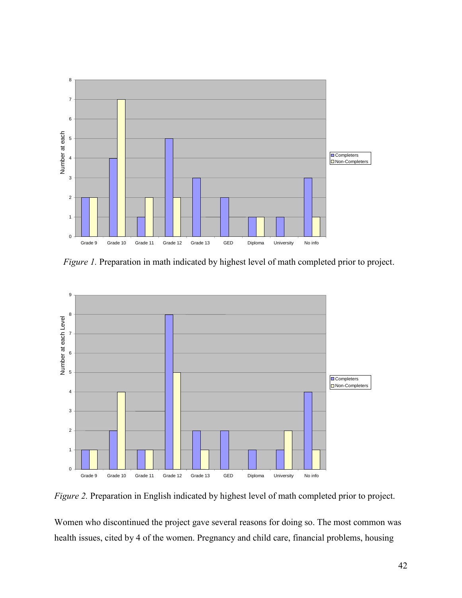

*Figure 1.* Preparation in math indicated by highest level of math completed prior to project.



*Figure 2.* Preparation in English indicated by highest level of math completed prior to project.

Women who discontinued the project gave several reasons for doing so. The most common was health issues, cited by 4 of the women. Pregnancy and child care, financial problems, housing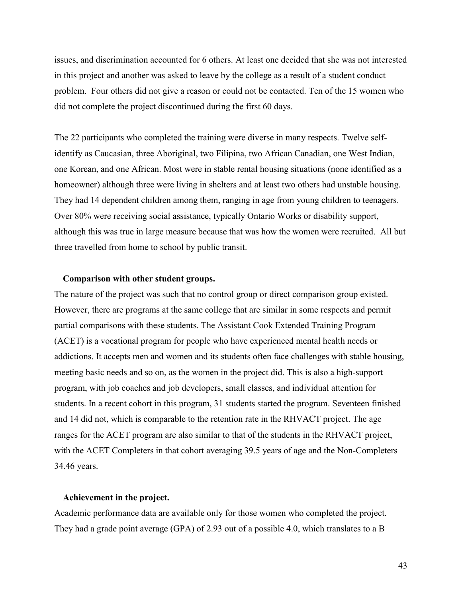issues, and discrimination accounted for 6 others. At least one decided that she was not interested in this project and another was asked to leave by the college as a result of a student conduct problem. Four others did not give a reason or could not be contacted. Ten of the 15 women who did not complete the project discontinued during the first 60 days.

The 22 participants who completed the training were diverse in many respects. Twelve selfidentify as Caucasian, three Aboriginal, two Filipina, two African Canadian, one West Indian, one Korean, and one African. Most were in stable rental housing situations (none identified as a homeowner) although three were living in shelters and at least two others had unstable housing. They had 14 dependent children among them, ranging in age from young children to teenagers. Over 80% were receiving social assistance, typically Ontario Works or disability support, although this was true in large measure because that was how the women were recruited. All but three travelled from home to school by public transit.

### **Comparison with other student groups.**

The nature of the project was such that no control group or direct comparison group existed. However, there are programs at the same college that are similar in some respects and permit partial comparisons with these students. The Assistant Cook Extended Training Program (ACET) is a vocational program for people who have experienced mental health needs or addictions. It accepts men and women and its students often face challenges with stable housing, meeting basic needs and so on, as the women in the project did. This is also a high-support program, with job coaches and job developers, small classes, and individual attention for students. In a recent cohort in this program, 31 students started the program. Seventeen finished and 14 did not, which is comparable to the retention rate in the RHVACT project. The age ranges for the ACET program are also similar to that of the students in the RHVACT project, with the ACET Completers in that cohort averaging 39.5 years of age and the Non-Completers 34.46 years.

### **Achievement in the project.**

Academic performance data are available only for those women who completed the project. They had a grade point average (GPA) of 2.93 out of a possible 4.0, which translates to a B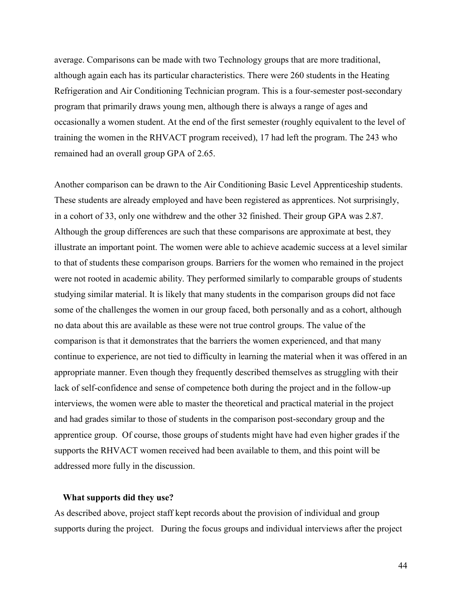average. Comparisons can be made with two Technology groups that are more traditional, although again each has its particular characteristics. There were 260 students in the Heating Refrigeration and Air Conditioning Technician program. This is a four-semester post-secondary program that primarily draws young men, although there is always a range of ages and occasionally a women student. At the end of the first semester (roughly equivalent to the level of training the women in the RHVACT program received), 17 had left the program. The 243 who remained had an overall group GPA of 2.65.

Another comparison can be drawn to the Air Conditioning Basic Level Apprenticeship students. These students are already employed and have been registered as apprentices. Not surprisingly, in a cohort of 33, only one withdrew and the other 32 finished. Their group GPA was 2.87. Although the group differences are such that these comparisons are approximate at best, they illustrate an important point. The women were able to achieve academic success at a level similar to that of students these comparison groups. Barriers for the women who remained in the project were not rooted in academic ability. They performed similarly to comparable groups of students studying similar material. It is likely that many students in the comparison groups did not face some of the challenges the women in our group faced, both personally and as a cohort, although no data about this are available as these were not true control groups. The value of the comparison is that it demonstrates that the barriers the women experienced, and that many continue to experience, are not tied to difficulty in learning the material when it was offered in an appropriate manner. Even though they frequently described themselves as struggling with their lack of self-confidence and sense of competence both during the project and in the follow-up interviews, the women were able to master the theoretical and practical material in the project and had grades similar to those of students in the comparison post-secondary group and the apprentice group. Of course, those groups of students might have had even higher grades if the supports the RHVACT women received had been available to them, and this point will be addressed more fully in the discussion.

### **What supports did they use?**

As described above, project staff kept records about the provision of individual and group supports during the project. During the focus groups and individual interviews after the project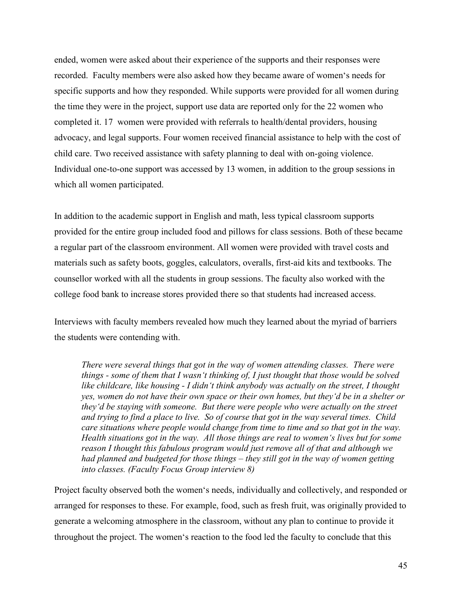ended, women were asked about their experience of the supports and their responses were recorded. Faculty members were also asked how they became aware of women's needs for specific supports and how they responded. While supports were provided for all women during the time they were in the project, support use data are reported only for the 22 women who completed it. 17 women were provided with referrals to health/dental providers, housing advocacy, and legal supports. Four women received financial assistance to help with the cost of child care. Two received assistance with safety planning to deal with on-going violence. Individual one-to-one support was accessed by 13 women, in addition to the group sessions in which all women participated.

In addition to the academic support in English and math, less typical classroom supports provided for the entire group included food and pillows for class sessions. Both of these became a regular part of the classroom environment. All women were provided with travel costs and materials such as safety boots, goggles, calculators, overalls, first-aid kits and textbooks. The counsellor worked with all the students in group sessions. The faculty also worked with the college food bank to increase stores provided there so that students had increased access.

Interviews with faculty members revealed how much they learned about the myriad of barriers the students were contending with.

*There were several things that got in the way of women attending classes. There were things - some of them that I wasn't thinking of, I just thought that those would be solved like childcare, like housing - I didn't think anybody was actually on the street, I thought yes, women do not have their own space or their own homes, but they'd be in a shelter or they'd be staying with someone. But there were people who were actually on the street and trying to find a place to live. So of course that got in the way several times. Child care situations where people would change from time to time and so that got in the way. Health situations got in the way. All those things are real to women's lives but for some reason I thought this fabulous program would just remove all of that and although we had planned and budgeted for those things – they still got in the way of women getting into classes. (Faculty Focus Group interview 8)* 

Project faculty observed both the women's needs, individually and collectively, and responded or arranged for responses to these. For example, food, such as fresh fruit, was originally provided to generate a welcoming atmosphere in the classroom, without any plan to continue to provide it throughout the project. The women's reaction to the food led the faculty to conclude that this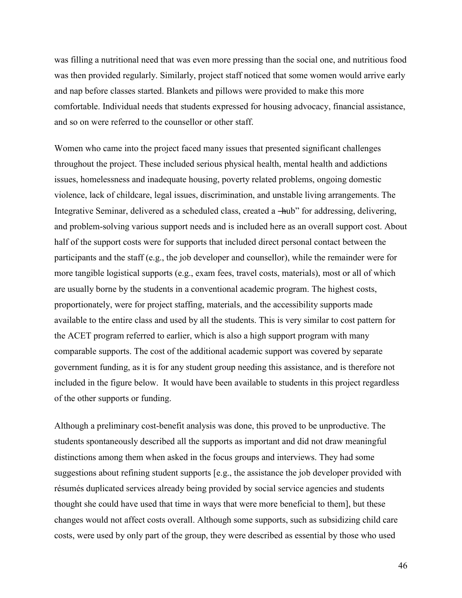was filling a nutritional need that was even more pressing than the social one, and nutritious food was then provided regularly. Similarly, project staff noticed that some women would arrive early and nap before classes started. Blankets and pillows were provided to make this more comfortable. Individual needs that students expressed for housing advocacy, financial assistance, and so on were referred to the counsellor or other staff.

Women who came into the project faced many issues that presented significant challenges throughout the project. These included serious physical health, mental health and addictions issues, homelessness and inadequate housing, poverty related problems, ongoing domestic violence, lack of childcare, legal issues, discrimination, and unstable living arrangements. The Integrative Seminar, delivered as a scheduled class, created a —hub" for addressing, delivering, and problem-solving various support needs and is included here as an overall support cost. About half of the support costs were for supports that included direct personal contact between the participants and the staff (e.g., the job developer and counsellor), while the remainder were for more tangible logistical supports (e.g., exam fees, travel costs, materials), most or all of which are usually borne by the students in a conventional academic program. The highest costs, proportionately, were for project staffing, materials, and the accessibility supports made available to the entire class and used by all the students. This is very similar to cost pattern for the ACET program referred to earlier, which is also a high support program with many comparable supports. The cost of the additional academic support was covered by separate government funding, as it is for any student group needing this assistance, and is therefore not included in the figure below. It would have been available to students in this project regardless of the other supports or funding.

Although a preliminary cost-benefit analysis was done, this proved to be unproductive. The students spontaneously described all the supports as important and did not draw meaningful distinctions among them when asked in the focus groups and interviews. They had some suggestions about refining student supports [e.g., the assistance the job developer provided with résumés duplicated services already being provided by social service agencies and students thought she could have used that time in ways that were more beneficial to them], but these changes would not affect costs overall. Although some supports, such as subsidizing child care costs, were used by only part of the group, they were described as essential by those who used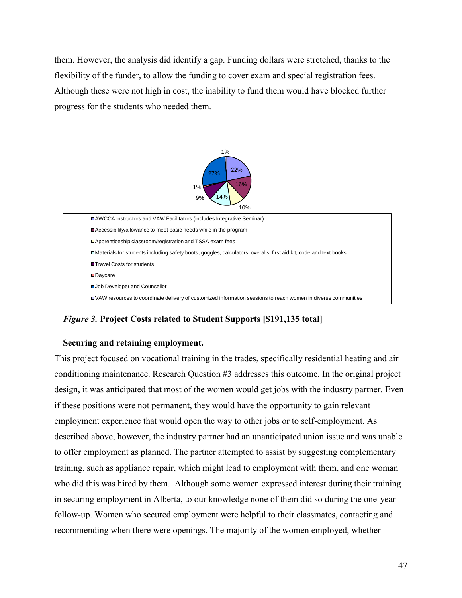them. However, the analysis did identify a gap. Funding dollars were stretched, thanks to the flexibility of the funder, to allow the funding to cover exam and special registration fees. Although these were not high in cost, the inability to fund them would have blocked further progress for the students who needed them.



*Figure 3.* **Project Costs related to Student Supports [\$191,135 total]**

# **Securing and retaining employment.**

This project focused on vocational training in the trades, specifically residential heating and air conditioning maintenance. Research Question #3 addresses this outcome. In the original project design, it was anticipated that most of the women would get jobs with the industry partner. Even if these positions were not permanent, they would have the opportunity to gain relevant employment experience that would open the way to other jobs or to self-employment. As described above, however, the industry partner had an unanticipated union issue and was unable to offer employment as planned. The partner attempted to assist by suggesting complementary training, such as appliance repair, which might lead to employment with them, and one woman who did this was hired by them. Although some women expressed interest during their training in securing employment in Alberta, to our knowledge none of them did so during the one-year follow-up. Women who secured employment were helpful to their classmates, contacting and recommending when there were openings. The majority of the women employed, whether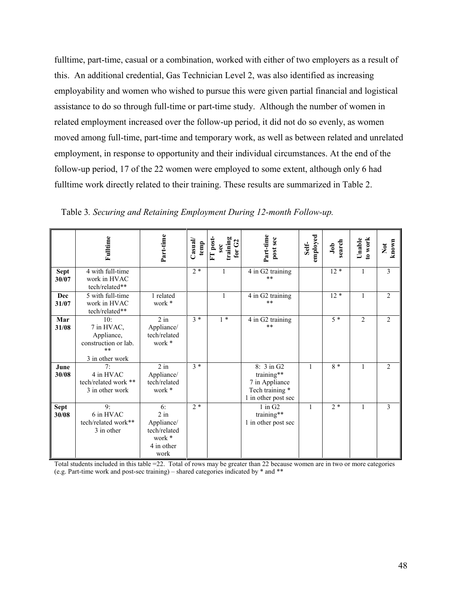fulltime, part-time, casual or a combination, worked with either of two employers as a result of this. An additional credential, Gas Technician Level 2, was also identified as increasing employability and women who wished to pursue this were given partial financial and logistical assistance to do so through full-time or part-time study. Although the number of women in related employment increased over the follow-up period, it did not do so evenly, as women moved among full-time, part-time and temporary work, as well as between related and unrelated employment, in response to opportunity and their individual circumstances. At the end of the follow-up period, 17 of the 22 women were employed to some extent, although only 6 had fulltime work directly related to their training. These results are summarized in Table 2.

|                      | Fulltime                                                                         | Part-time                                                                  | $C$ asua $V$<br>temp | FT post-<br>training<br>for $G2$<br>sec | Part-time<br>post sec                                                                | employed<br>Self- | search<br>Job | to work<br>Unable | known<br>$\sum_{i=1}^{n}$ |
|----------------------|----------------------------------------------------------------------------------|----------------------------------------------------------------------------|----------------------|-----------------------------------------|--------------------------------------------------------------------------------------|-------------------|---------------|-------------------|---------------------------|
| <b>Sept</b><br>30/07 | 4 with full-time<br>work in HVAC<br>tech/related**                               |                                                                            | $2*$                 |                                         | 4 in G2 training<br>$**$                                                             |                   | $12*$         | 1                 | 3                         |
| Dec<br>31/07         | 5 with full-time<br>work in HVAC<br>tech/related**                               | 1 related<br>work *                                                        |                      |                                         | 4 in G2 training<br>$**$                                                             |                   | $12 *$        | $\mathbf{1}$      | $\overline{2}$            |
| Mar<br>31/08         | 10:<br>7 in HVAC,<br>Appliance,<br>construction or lab.<br>**<br>3 in other work | $2$ in<br>Appliance/<br>tech/related<br>work *                             | $3 *$                | $1 *$                                   | 4 in G2 training<br>$**$                                                             |                   | $5 *$         | $\overline{2}$    | $\overline{2}$            |
| June<br>30/08        | 7:<br>4 in HVAC<br>tech/related work **<br>3 in other work                       | $\overline{2}$ in<br>Appliance/<br>tech/related<br>work *                  | $3 *$                |                                         | 8: 3 in G2<br>training**<br>7 in Appliance<br>Tech training *<br>1 in other post sec | $\mathbf{1}$      | 8 *           | $\mathbf{1}$      | $\overline{2}$            |
| <b>Sept</b><br>30/08 | 9:<br>6 in HVAC<br>tech/related work**<br>3 in other                             | 6:<br>$2$ in<br>Appliance/<br>tech/related<br>work *<br>4 in other<br>work | $2*$                 |                                         | $1$ in $G2$<br>training**<br>1 in other post sec                                     | $\mathbf{1}$      | $2 *$         | $\mathbf{1}$      | 3                         |

Table 3*. Securing and Retaining Employment During 12-month Follow-up.*

Total students included in this table =22. Total of rows may be greater than 22 because women are in two or more categories (e.g. Part-time work and post-sec training) – shared categories indicated by \* and \*\*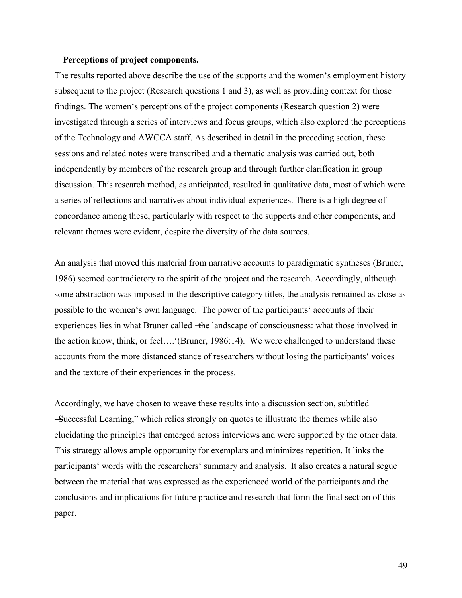### **Perceptions of project components.**

The results reported above describe the use of the supports and the women's employment history subsequent to the project (Research questions 1 and 3), as well as providing context for those findings. The women's perceptions of the project components (Research question 2) were investigated through a series of interviews and focus groups, which also explored the perceptions of the Technology and AWCCA staff. As described in detail in the preceding section, these sessions and related notes were transcribed and a thematic analysis was carried out, both independently by members of the research group and through further clarification in group discussion. This research method, as anticipated, resulted in qualitative data, most of which were a series of reflections and narratives about individual experiences. There is a high degree of concordance among these, particularly with respect to the supports and other components, and relevant themes were evident, despite the diversity of the data sources.

An analysis that moved this material from narrative accounts to paradigmatic syntheses (Bruner, 1986) seemed contradictory to the spirit of the project and the research. Accordingly, although some abstraction was imposed in the descriptive category titles, the analysis remained as close as possible to the women's own language. The power of the participants' accounts of their experiences lies in what Bruner called -the landscape of consciousness: what those involved in the action know, think, or feel….'(Bruner, 1986:14). We were challenged to understand these accounts from the more distanced stance of researchers without losing the participants' voices and the texture of their experiences in the process.

Accordingly, we have chosen to weave these results into a discussion section, subtitled ―Successful Learning,‖ which relies strongly on quotes to illustrate the themes while also elucidating the principles that emerged across interviews and were supported by the other data. This strategy allows ample opportunity for exemplars and minimizes repetition. It links the participants' words with the researchers' summary and analysis. It also creates a natural segue between the material that was expressed as the experienced world of the participants and the conclusions and implications for future practice and research that form the final section of this paper.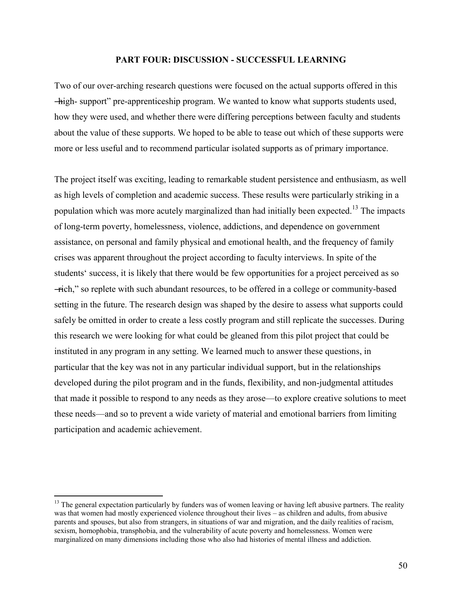### **PART FOUR: DISCUSSION - SUCCESSFUL LEARNING**

Two of our over-arching research questions were focused on the actual supports offered in this ―high- support‖ pre-apprenticeship program. We wanted to know what supports students used, how they were used, and whether there were differing perceptions between faculty and students about the value of these supports. We hoped to be able to tease out which of these supports were more or less useful and to recommend particular isolated supports as of primary importance.

The project itself was exciting, leading to remarkable student persistence and enthusiasm, as well as high levels of completion and academic success. These results were particularly striking in a population which was more acutely marginalized than had initially been expected.<sup>13</sup> The impacts of long-term poverty, homelessness, violence, addictions, and dependence on government assistance, on personal and family physical and emotional health, and the frequency of family crises was apparent throughout the project according to faculty interviews. In spite of the students' success, it is likely that there would be few opportunities for a project perceived as so ―rich,‖ so replete with such abundant resources, to be offered in a college or community-based setting in the future. The research design was shaped by the desire to assess what supports could safely be omitted in order to create a less costly program and still replicate the successes. During this research we were looking for what could be gleaned from this pilot project that could be instituted in any program in any setting. We learned much to answer these questions, in particular that the key was not in any particular individual support, but in the relationships developed during the pilot program and in the funds, flexibility, and non-judgmental attitudes that made it possible to respond to any needs as they arose—to explore creative solutions to meet these needs—and so to prevent a wide variety of material and emotional barriers from limiting participation and academic achievement.

 $\overline{a}$ 

<sup>&</sup>lt;sup>13</sup> The general expectation particularly by funders was of women leaving or having left abusive partners. The reality was that women had mostly experienced violence throughout their lives – as children and adults, from abusive parents and spouses, but also from strangers, in situations of war and migration, and the daily realities of racism, sexism, homophobia, transphobia, and the vulnerability of acute poverty and homelessness. Women were marginalized on many dimensions including those who also had histories of mental illness and addiction.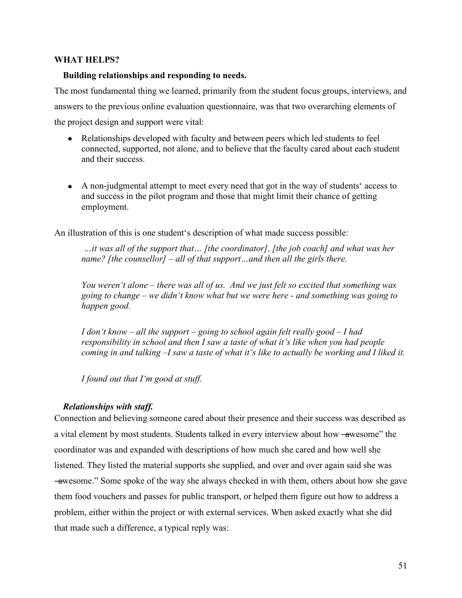# **WHAT HELPS?**

## **Building relationships and responding to needs.**

The most fundamental thing we learned, primarily from the student focus groups, interviews, and answers to the previous online evaluation questionnaire, was that two overarching elements of the project design and support were vital:

- Relationships developed with faculty and between peers which led students to feel connected, supported, not alone, and to believe that the faculty cared about each student and their success.
- A non-judgmental attempt to meet every need that got in the way of students' access to and success in the pilot program and those that might limit their chance of getting employment.

An illustration of this is one student's description of what made success possible:

*…it was all of the support that… [the coordinator], [the job coach] and what was her name? [the counsellor] – all of that support…and then all the girls there.* 

*You weren't alone – there was all of us. And we just felt so excited that something was going to change – we didn't know what but we were here - and something was going to happen good.* 

*I don't know – all the support – going to school again felt really good – I had responsibility in school and then I saw a taste of what it's like when you had people coming in and talking –I saw a taste of what it's like to actually be working and I liked it.* 

*I found out that I'm good at stuff.* 

## *Relationships with staff.*

Connection and believing someone cared about their presence and their success was described as a vital element by most students. Students talked in every interview about how —awesome" the coordinator was and expanded with descriptions of how much she cared and how well she listened. They listed the material supports she supplied, and over and over again said she was ―awesome.‖ Some spoke of the way she always checked in with them, others about how she gave them food vouchers and passes for public transport, or helped them figure out how to address a problem, either within the project or with external services. When asked exactly what she did that made such a difference, a typical reply was: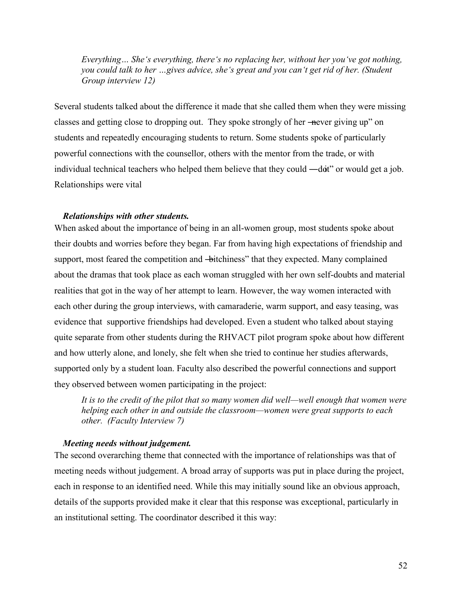*Everything… She's everything, there's no replacing her, without her you've got nothing, you could talk to her …gives advice, she's great and you can't get rid of her. (Student Group interview 12)* 

Several students talked about the difference it made that she called them when they were missing classes and getting close to dropping out. They spoke strongly of her —never giving up" on students and repeatedly encouraging students to return. Some students spoke of particularly powerful connections with the counsellor, others with the mentor from the trade, or with individual technical teachers who helped them believe that they could —dot" or would get a job. Relationships were vital

## *Relationships with other students.*

When asked about the importance of being in an all-women group, most students spoke about their doubts and worries before they began. Far from having high expectations of friendship and support, most feared the competition and  $\rightarrow$  itchiness" that they expected. Many complained about the dramas that took place as each woman struggled with her own self-doubts and material realities that got in the way of her attempt to learn. However, the way women interacted with each other during the group interviews, with camaraderie, warm support, and easy teasing, was evidence that supportive friendships had developed. Even a student who talked about staying quite separate from other students during the RHVACT pilot program spoke about how different and how utterly alone, and lonely, she felt when she tried to continue her studies afterwards, supported only by a student loan. Faculty also described the powerful connections and support they observed between women participating in the project:

*It is to the credit of the pilot that so many women did well—well enough that women were helping each other in and outside the classroom—women were great supports to each other. (Faculty Interview 7)* 

### *Meeting needs without judgement.*

The second overarching theme that connected with the importance of relationships was that of meeting needs without judgement. A broad array of supports was put in place during the project, each in response to an identified need. While this may initially sound like an obvious approach, details of the supports provided make it clear that this response was exceptional, particularly in an institutional setting. The coordinator described it this way: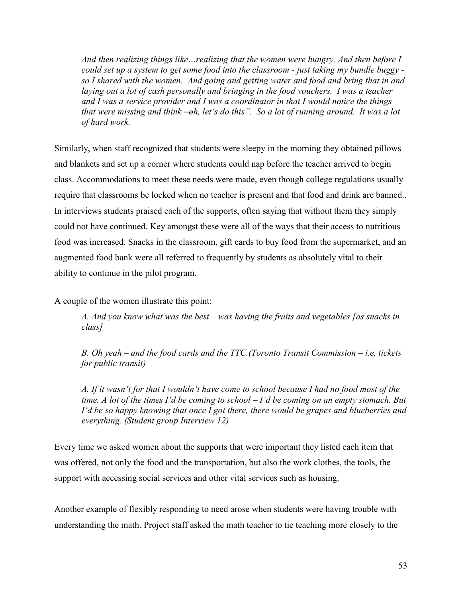*And then realizing things like…realizing that the women were hungry. And then before I could set up a system to get some food into the classroom - just taking my bundle buggy so I shared with the women. And going and getting water and food and bring that in and laying out a lot of cash personally and bringing in the food vouchers. I was a teacher and I was a service provider and I was a coordinator in that I would notice the things that were missing and think -oh, let's do this*". So a lot of running around. It was a lot *of hard work.* 

Similarly, when staff recognized that students were sleepy in the morning they obtained pillows and blankets and set up a corner where students could nap before the teacher arrived to begin class. Accommodations to meet these needs were made, even though college regulations usually require that classrooms be locked when no teacher is present and that food and drink are banned.. In interviews students praised each of the supports, often saying that without them they simply could not have continued. Key amongst these were all of the ways that their access to nutritious food was increased. Snacks in the classroom, gift cards to buy food from the supermarket, and an augmented food bank were all referred to frequently by students as absolutely vital to their ability to continue in the pilot program.

A couple of the women illustrate this point:

*A. And you know what was the best – was having the fruits and vegetables [as snacks in class]*

*B. Oh yeah – and the food cards and the TTC.(Toronto Transit Commission – i.e, tickets for public transit)* 

*A. If it wasn't for that I wouldn't have come to school because I had no food most of the time. A lot of the times I'd be coming to school – I'd be coming on an empty stomach. But I'd be so happy knowing that once I got there, there would be grapes and blueberries and everything. (Student group Interview 12)* 

Every time we asked women about the supports that were important they listed each item that was offered, not only the food and the transportation, but also the work clothes, the tools, the support with accessing social services and other vital services such as housing.

Another example of flexibly responding to need arose when students were having trouble with understanding the math. Project staff asked the math teacher to tie teaching more closely to the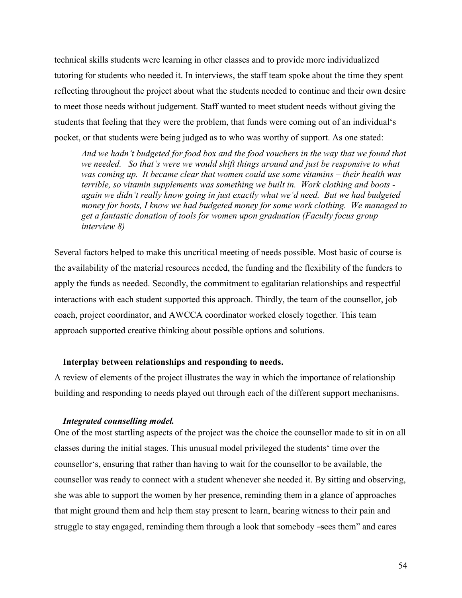technical skills students were learning in other classes and to provide more individualized tutoring for students who needed it. In interviews, the staff team spoke about the time they spent reflecting throughout the project about what the students needed to continue and their own desire to meet those needs without judgement. Staff wanted to meet student needs without giving the students that feeling that they were the problem, that funds were coming out of an individual's pocket, or that students were being judged as to who was worthy of support. As one stated:

*And we hadn't budgeted for food box and the food vouchers in the way that we found that we needed. So that's were we would shift things around and just be responsive to what was coming up. It became clear that women could use some vitamins – their health was terrible, so vitamin supplements was something we built in. Work clothing and boots again we didn't really know going in just exactly what we'd need. But we had budgeted money for boots, I know we had budgeted money for some work clothing. We managed to get a fantastic donation of tools for women upon graduation (Faculty focus group interview 8)* 

Several factors helped to make this uncritical meeting of needs possible. Most basic of course is the availability of the material resources needed, the funding and the flexibility of the funders to apply the funds as needed. Secondly, the commitment to egalitarian relationships and respectful interactions with each student supported this approach. Thirdly, the team of the counsellor, job coach, project coordinator, and AWCCA coordinator worked closely together. This team approach supported creative thinking about possible options and solutions.

### **Interplay between relationships and responding to needs.**

A review of elements of the project illustrates the way in which the importance of relationship building and responding to needs played out through each of the different support mechanisms.

## *Integrated counselling model.*

One of the most startling aspects of the project was the choice the counsellor made to sit in on all classes during the initial stages. This unusual model privileged the students' time over the counsellor's, ensuring that rather than having to wait for the counsellor to be available, the counsellor was ready to connect with a student whenever she needed it. By sitting and observing, she was able to support the women by her presence, reminding them in a glance of approaches that might ground them and help them stay present to learn, bearing witness to their pain and struggle to stay engaged, reminding them through a look that somebody —sees them" and cares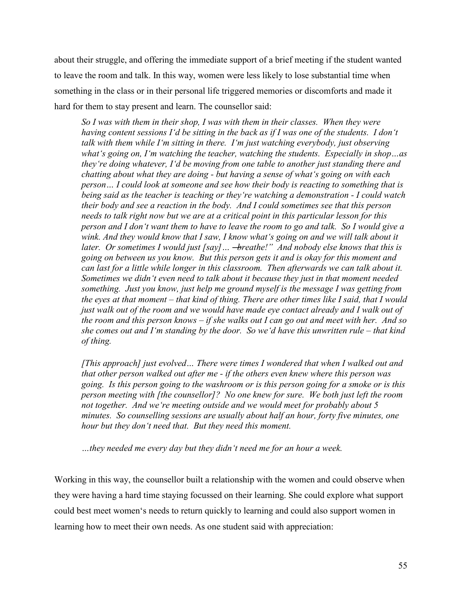about their struggle, and offering the immediate support of a brief meeting if the student wanted to leave the room and talk. In this way, women were less likely to lose substantial time when something in the class or in their personal life triggered memories or discomforts and made it hard for them to stay present and learn. The counsellor said:

*So I was with them in their shop, I was with them in their classes. When they were having content sessions I'd be sitting in the back as if I was one of the students. I don't talk with them while I'm sitting in there. I'm just watching everybody, just observing what's going on, I'm watching the teacher, watching the students. Especially in shop…as they're doing whatever, I'd be moving from one table to another just standing there and chatting about what they are doing - but having a sense of what's going on with each person… I could look at someone and see how their body is reacting to something that is being said as the teacher is teaching or they're watching a demonstration - I could watch their body and see a reaction in the body. And I could sometimes see that this person needs to talk right now but we are at a critical point in this particular lesson for this person and I don't want them to have to leave the room to go and talk. So I would give a*  wink. And they would know that I saw, I know what 's going on and we will talk about it *later. Or sometimes I would just [say] ...* -*breathe!*<sup>*n*</sup> And nobody else knows that this is *going on between us you know. But this person gets it and is okay for this moment and can last for a little while longer in this classroom. Then afterwards we can talk about it. Sometimes we didn't even need to talk about it because they just in that moment needed something. Just you know, just help me ground myself is the message I was getting from the eyes at that moment – that kind of thing. There are other times like I said, that I would just walk out of the room and we would have made eye contact already and I walk out of the room and this person knows – if she walks out I can go out and meet with her. And so she comes out and I'm standing by the door. So we'd have this unwritten rule – that kind of thing.* 

*[This approach] just evolved… There were times I wondered that when I walked out and that other person walked out after me - if the others even knew where this person was going. Is this person going to the washroom or is this person going for a smoke or is this person meeting with [the counsellor]? No one knew for sure. We both just left the room not together. And we're meeting outside and we would meet for probably about 5 minutes. So counselling sessions are usually about half an hour, forty five minutes, one hour but they don't need that. But they need this moment.* 

*…they needed me every day but they didn't need me for an hour a week.* 

Working in this way, the counsellor built a relationship with the women and could observe when they were having a hard time staying focussed on their learning. She could explore what support could best meet women's needs to return quickly to learning and could also support women in learning how to meet their own needs. As one student said with appreciation: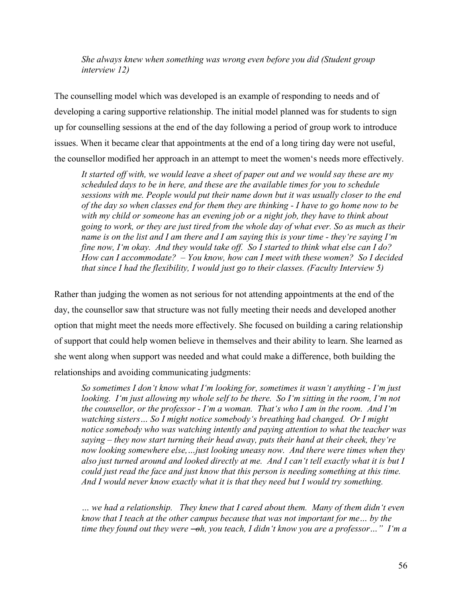*She always knew when something was wrong even before you did (Student group interview 12)* 

The counselling model which was developed is an example of responding to needs and of developing a caring supportive relationship. The initial model planned was for students to sign up for counselling sessions at the end of the day following a period of group work to introduce issues. When it became clear that appointments at the end of a long tiring day were not useful, the counsellor modified her approach in an attempt to meet the women's needs more effectively.

*It started off with, we would leave a sheet of paper out and we would say these are my scheduled days to be in here, and these are the available times for you to schedule sessions with me. People would put their name down but it was usually closer to the end of the day so when classes end for them they are thinking - I have to go home now to be with my child or someone has an evening job or a night job, they have to think about going to work, or they are just tired from the whole day of what ever. So as much as their name is on the list and I am there and I am saying this is your time - they're saying I'm fine now, I'm okay. And they would take off. So I started to think what else can I do? How can I accommodate? – You know, how can I meet with these women? So I decided that since I had the flexibility, I would just go to their classes. (Faculty Interview 5)* 

Rather than judging the women as not serious for not attending appointments at the end of the day, the counsellor saw that structure was not fully meeting their needs and developed another option that might meet the needs more effectively. She focused on building a caring relationship of support that could help women believe in themselves and their ability to learn. She learned as she went along when support was needed and what could make a difference, both building the relationships and avoiding communicating judgments:

*So sometimes I don't know what I'm looking for, sometimes it wasn't anything - I'm just looking. I'm just allowing my whole self to be there. So I'm sitting in the room, I'm not the counsellor, or the professor - I'm a woman. That's who I am in the room. And I'm watching sisters… So I might notice somebody's breathing had changed. Or I might notice somebody who was watching intently and paying attention to what the teacher was saying – they now start turning their head away, puts their hand at their cheek, they're now looking somewhere else,…just looking uneasy now. And there were times when they also just turned around and looked directly at me. And I can't tell exactly what it is but I could just read the face and just know that this person is needing something at this time. And I would never know exactly what it is that they need but I would try something.* 

*… we had a relationship. They knew that I cared about them. Many of them didn't even know that I teach at the other campus because that was not important for me… by the time they found out they were ―oh, you teach, I didn't know you are a professor…‖ I'm a*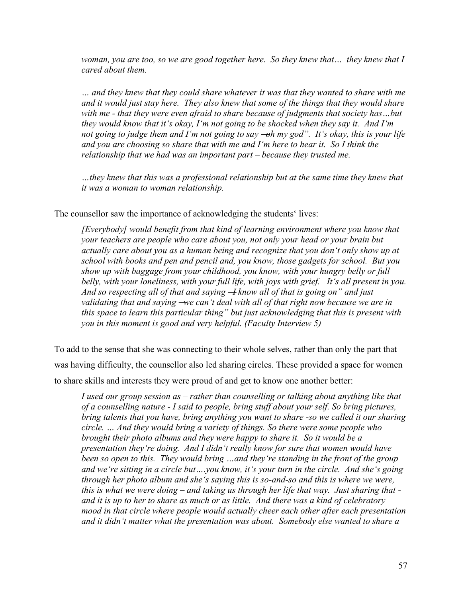*woman, you are too, so we are good together here. So they knew that… they knew that I cared about them.* 

*… and they knew that they could share whatever it was that they wanted to share with me and it would just stay here. They also knew that some of the things that they would share with me - that they were even afraid to share because of judgments that society has…but they would know that it's okay, I'm not going to be shocked when they say it. And I'm not going to judge them and I'm not going to say —oh my god". It's okay, this is your life and you are choosing so share that with me and I'm here to hear it. So I think the relationship that we had was an important part – because they trusted me.* 

*…they knew that this was a professional relationship but at the same time they knew that it was a woman to woman relationship.* 

The counsellor saw the importance of acknowledging the students' lives:

*[Everybody] would benefit from that kind of learning environment where you know that your teachers are people who care about you, not only your head or your brain but actually care about you as a human being and recognize that you don't only show up at school with books and pen and pencil and, you know, those gadgets for school. But you show up with baggage from your childhood, you know, with your hungry belly or full belly, with your loneliness, with your full life, with joys with grief. It's all present in you. And so respecting all of that and saying*  $\rightarrow$  *know all of that is going on* " *and just validating that and saying ―we can't deal with all of that right now because we are in this space to learn this particular thing‖ but just acknowledging that this is present with you in this moment is good and very helpful. (Faculty Interview 5)* 

To add to the sense that she was connecting to their whole selves, rather than only the part that was having difficulty, the counsellor also led sharing circles. These provided a space for women to share skills and interests they were proud of and get to know one another better:

*I used our group session as – rather than counselling or talking about anything like that of a counselling nature - I said to people, bring stuff about your self. So bring pictures, bring talents that you have, bring anything you want to share -so we called it our sharing circle. … And they would bring a variety of things. So there were some people who brought their photo albums and they were happy to share it. So it would be a presentation they're doing. And I didn't really know for sure that women would have been so open to this. They would bring …and they're standing in the front of the group and we're sitting in a circle but….you know, it's your turn in the circle. And she's going through her photo album and she's saying this is so-and-so and this is where we were, this is what we were doing – and taking us through her life that way. Just sharing that and it is up to her to share as much or as little. And there was a kind of celebratory mood in that circle where people would actually cheer each other after each presentation and it didn't matter what the presentation was about. Somebody else wanted to share a*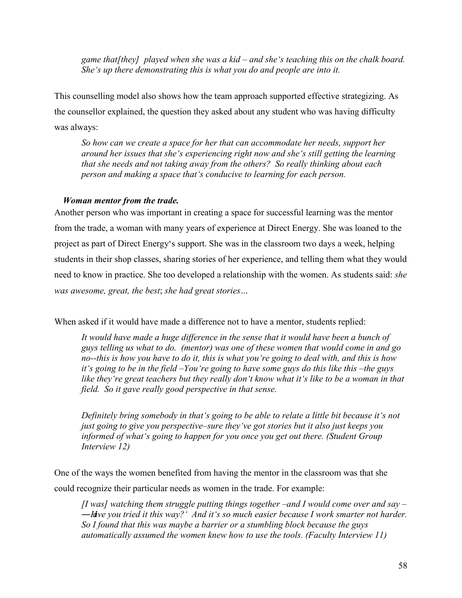*game that[they] played when she was a kid – and she's teaching this on the chalk board. She's up there demonstrating this is what you do and people are into it.* 

This counselling model also shows how the team approach supported effective strategizing. As the counsellor explained, the question they asked about any student who was having difficulty was always:

*So how can we create a space for her that can accommodate her needs, support her around her issues that she's experiencing right now and she's still getting the learning that she needs and not taking away from the others? So really thinking about each person and making a space that's conducive to learning for each person.* 

## *Woman mentor from the trade.*

Another person who was important in creating a space for successful learning was the mentor from the trade, a woman with many years of experience at Direct Energy. She was loaned to the project as part of Direct Energy's support. She was in the classroom two days a week, helping students in their shop classes, sharing stories of her experience, and telling them what they would need to know in practice. She too developed a relationship with the women. As students said: *she was awesome, great, the best*; *she had great stories…* 

When asked if it would have made a difference not to have a mentor, students replied:

It would have made a huge difference in the sense that it would have been a bunch of *guys telling us what to do. (mentor) was one of these women that would come in and go no--this is how you have to do it, this is what you're going to deal with, and this is how it's going to be in the field –You're going to have some guys do this like this –the guys like they're great teachers but they really don't know what it's like to be a woman in that field. So it gave really good perspective in that sense.* 

*Definitely bring somebody in that's going to be able to relate a little bit because it's not just going to give you perspective–sure they've got stories but it also just keeps you informed of what's going to happen for you once you get out there. (Student Group Interview 12)* 

One of the ways the women benefited from having the mentor in the classroom was that she could recognize their particular needs as women in the trade. For example:

*[I was] watching them struggle putting things together –and I would come over and say – ―Have you tried it this way?' And it's so much easier because I work smarter not harder. So I found that this was maybe a barrier or a stumbling block because the guys automatically assumed the women knew how to use the tools. (Faculty Interview 11)*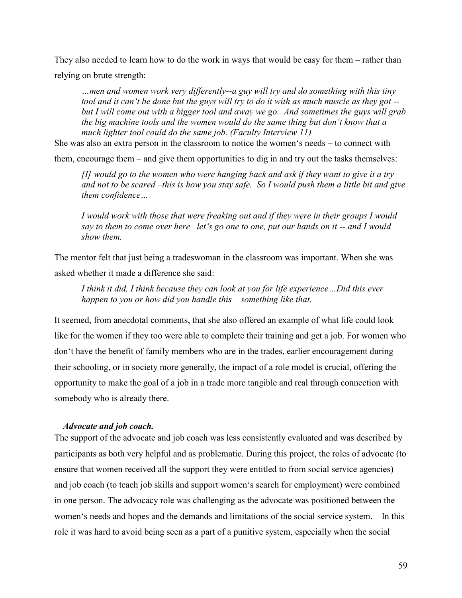They also needed to learn how to do the work in ways that would be easy for them – rather than relying on brute strength:

*…men and women work very differently--a guy will try and do something with this tiny tool and it can't be done but the guys will try to do it with as much muscle as they got - but I will come out with a bigger tool and away we go. And sometimes the guys will grab the big machine tools and the women would do the same thing but don't know that a much lighter tool could do the same job. (Faculty Interview 11)* 

She was also an extra person in the classroom to notice the women's needs – to connect with

them, encourage them – and give them opportunities to dig in and try out the tasks themselves:

*[I] would go to the women who were hanging back and ask if they want to give it a try and not to be scared –this is how you stay safe. So I would push them a little bit and give them confidence…*

*I would work with those that were freaking out and if they were in their groups I would say to them to come over here –let's go one to one, put our hands on it -- and I would show them.* 

The mentor felt that just being a tradeswoman in the classroom was important. When she was asked whether it made a difference she said:

*I think it did, I think because they can look at you for life experience…Did this ever happen to you or how did you handle this – something like that.* 

It seemed, from anecdotal comments, that she also offered an example of what life could look like for the women if they too were able to complete their training and get a job. For women who don't have the benefit of family members who are in the trades, earlier encouragement during their schooling, or in society more generally, the impact of a role model is crucial, offering the opportunity to make the goal of a job in a trade more tangible and real through connection with somebody who is already there.

#### *Advocate and job coach.*

The support of the advocate and job coach was less consistently evaluated and was described by participants as both very helpful and as problematic. During this project, the roles of advocate (to ensure that women received all the support they were entitled to from social service agencies) and job coach (to teach job skills and support women's search for employment) were combined in one person. The advocacy role was challenging as the advocate was positioned between the women's needs and hopes and the demands and limitations of the social service system. In this role it was hard to avoid being seen as a part of a punitive system, especially when the social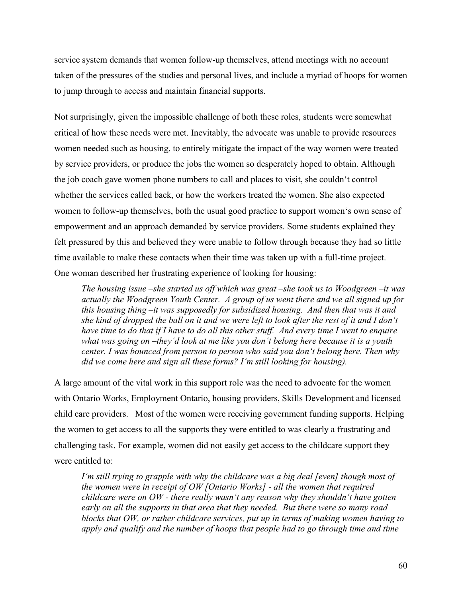service system demands that women follow-up themselves, attend meetings with no account taken of the pressures of the studies and personal lives, and include a myriad of hoops for women to jump through to access and maintain financial supports.

Not surprisingly, given the impossible challenge of both these roles, students were somewhat critical of how these needs were met. Inevitably, the advocate was unable to provide resources women needed such as housing, to entirely mitigate the impact of the way women were treated by service providers, or produce the jobs the women so desperately hoped to obtain. Although the job coach gave women phone numbers to call and places to visit, she couldn't control whether the services called back, or how the workers treated the women. She also expected women to follow-up themselves, both the usual good practice to support women's own sense of empowerment and an approach demanded by service providers. Some students explained they felt pressured by this and believed they were unable to follow through because they had so little time available to make these contacts when their time was taken up with a full-time project. One woman described her frustrating experience of looking for housing:

*The housing issue –she started us off which was great –she took us to Woodgreen –it was actually the Woodgreen Youth Center. A group of us went there and we all signed up for this housing thing –it was supposedly for subsidized housing. And then that was it and she kind of dropped the ball on it and we were left to look after the rest of it and I don't have time to do that if I have to do all this other stuff. And every time I went to enquire what was going on –they'd look at me like you don't belong here because it is a youth center. I was bounced from person to person who said you don't belong here. Then why did we come here and sign all these forms? I'm still looking for housing).* 

A large amount of the vital work in this support role was the need to advocate for the women with Ontario Works, Employment Ontario, housing providers, Skills Development and licensed child care providers. Most of the women were receiving government funding supports. Helping the women to get access to all the supports they were entitled to was clearly a frustrating and challenging task. For example, women did not easily get access to the childcare support they were entitled to:

*I'm still trying to grapple with why the childcare was a big deal [even] though most of the women were in receipt of OW [Ontario Works] - all the women that required childcare were on OW - there really wasn't any reason why they shouldn't have gotten early on all the supports in that area that they needed. But there were so many road blocks that OW, or rather childcare services, put up in terms of making women having to apply and qualify and the number of hoops that people had to go through time and time*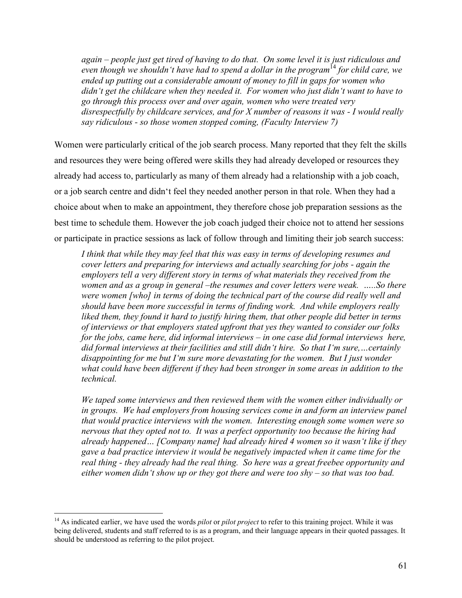*again – people just get tired of having to do that. On some level it is just ridiculous and even though we shouldn't have had to spend a dollar in the program*<sup>14</sup> *for child care, we ended up putting out a considerable amount of money to fill in gaps for women who didn't get the childcare when they needed it. For women who just didn't want to have to go through this process over and over again, women who were treated very disrespectfully by childcare services, and for X number of reasons it was - I would really say ridiculous - so those women stopped coming, (Faculty Interview 7)* 

Women were particularly critical of the job search process. Many reported that they felt the skills and resources they were being offered were skills they had already developed or resources they already had access to, particularly as many of them already had a relationship with a job coach, or a job search centre and didn't feel they needed another person in that role. When they had a choice about when to make an appointment, they therefore chose job preparation sessions as the best time to schedule them. However the job coach judged their choice not to attend her sessions or participate in practice sessions as lack of follow through and limiting their job search success:

*I think that while they may feel that this was easy in terms of developing resumes and cover letters and preparing for interviews and actually searching for jobs - again the employers tell a very different story in terms of what materials they received from the women and as a group in general –the resumes and cover letters were weak. …..So there were women [who] in terms of doing the technical part of the course did really well and should have been more successful in terms of finding work. And while employers really liked them, they found it hard to justify hiring them, that other people did better in terms of interviews or that employers stated upfront that yes they wanted to consider our folks for the jobs, came here, did informal interviews – in one case did formal interviews here, did formal interviews at their facilities and still didn't hire. So that I'm sure,…certainly disappointing for me but I'm sure more devastating for the women. But I just wonder what could have been different if they had been stronger in some areas in addition to the technical.* 

*We taped some interviews and then reviewed them with the women either individually or*  in groups. We had employers from housing services come in and form an interview panel *that would practice interviews with the women. Interesting enough some women were so nervous that they opted not to. It was a perfect opportunity too because the hiring had already happened… [Company name] had already hired 4 women so it wasn't like if they gave a bad practice interview it would be negatively impacted when it came time for the real thing - they already had the real thing. So here was a great freebee opportunity and either women didn't show up or they got there and were too shy – so that was too bad.* 

 $\overline{a}$ 

<sup>&</sup>lt;sup>14</sup> As indicated earlier, we have used the words *pilot* or *pilot project* to refer to this training project. While it was being delivered, students and staff referred to is as a program, and their language appears in their quoted passages. It should be understood as referring to the pilot project.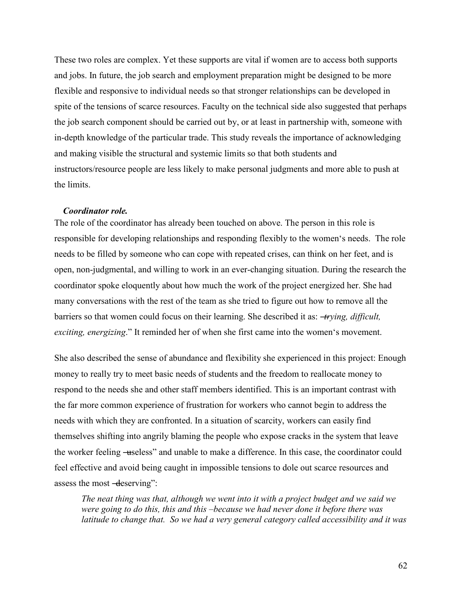These two roles are complex. Yet these supports are vital if women are to access both supports and jobs. In future, the job search and employment preparation might be designed to be more flexible and responsive to individual needs so that stronger relationships can be developed in spite of the tensions of scarce resources. Faculty on the technical side also suggested that perhaps the job search component should be carried out by, or at least in partnership with, someone with in-depth knowledge of the particular trade. This study reveals the importance of acknowledging and making visible the structural and systemic limits so that both students and instructors/resource people are less likely to make personal judgments and more able to push at the limits.

### *Coordinator role.*

The role of the coordinator has already been touched on above. The person in this role is responsible for developing relationships and responding flexibly to the women's needs. The role needs to be filled by someone who can cope with repeated crises, can think on her feet, and is open, non-judgmental, and willing to work in an ever-changing situation. During the research the coordinator spoke eloquently about how much the work of the project energized her. She had many conversations with the rest of the team as she tried to figure out how to remove all the barriers so that women could focus on their learning. She described it as: ―*trying, difficult, exciting, energizing*." It reminded her of when she first came into the women's movement.

She also described the sense of abundance and flexibility she experienced in this project: Enough money to really try to meet basic needs of students and the freedom to reallocate money to respond to the needs she and other staff members identified. This is an important contrast with the far more common experience of frustration for workers who cannot begin to address the needs with which they are confronted. In a situation of scarcity, workers can easily find themselves shifting into angrily blaming the people who expose cracks in the system that leave the worker feeling —useless" and unable to make a difference. In this case, the coordinator could feel effective and avoid being caught in impossible tensions to dole out scarce resources and assess the most —deserving":

*The neat thing was that, although we went into it with a project budget and we said we were going to do this, this and this –because we had never done it before there was latitude to change that. So we had a very general category called accessibility and it was*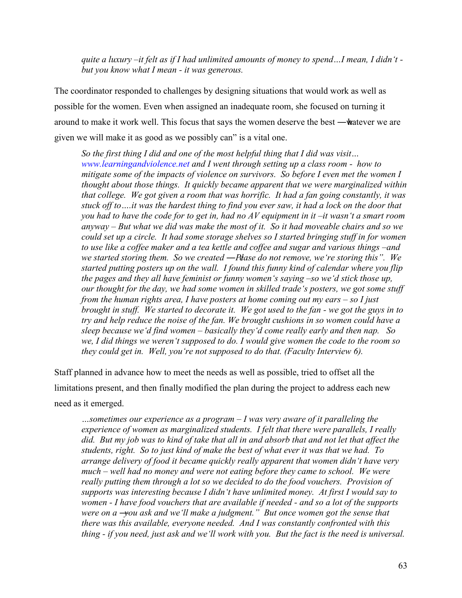*quite a luxury –it felt as if I had unlimited amounts of money to spend…I mean, I didn't but you know what I mean - it was generous.* 

The coordinator responded to challenges by designing situations that would work as well as possible for the women. Even when assigned an inadequate room, she focused on turning it around to make it work well. This focus that says the women deserve the best —whatever we are given we will make it as good as we possibly can" is a vital one.

*So the first thing I did and one of the most helpful thing that I did was visit… www.learningandviolence.net and I went through setting up a class room - how to mitigate some of the impacts of violence on survivors. So before I even met the women I thought about those things. It quickly became apparent that we were marginalized within that college. We got given a room that was horrific. It had a fan going constantly, it was stuck off to….it was the hardest thing to find you ever saw, it had a lock on the door that you had to have the code for to get in, had no AV equipment in it –it wasn't a smart room anyway – But what we did was make the most of it. So it had moveable chairs and so we could set up a circle. It had some storage shelves so I started bringing stuff in for women to use like a coffee maker and a tea kettle and coffee and sugar and various things –and we started storing them. So we created —Plase do not remove, we 're storing this*". We *started putting posters up on the wall. I found this funny kind of calendar where you flip the pages and they all have feminist or funny women's saying –so we'd stick those up, our thought for the day, we had some women in skilled trade's posters, we got some stuff from the human rights area, I have posters at home coming out my ears – so I just brought in stuff. We started to decorate it. We got used to the fan - we got the guys in to try and help reduce the noise of the fan. We brought cushions in so women could have a sleep because we'd find women – basically they'd come really early and then nap. So we, I did things we weren't supposed to do. I would give women the code to the room so they could get in. Well, you're not supposed to do that. (Faculty Interview 6).* 

Staff planned in advance how to meet the needs as well as possible, tried to offset all the limitations present, and then finally modified the plan during the project to address each new need as it emerged.

*…sometimes our experience as a program – I was very aware of it paralleling the experience of women as marginalized students. I felt that there were parallels, I really did. But my job was to kind of take that all in and absorb that and not let that affect the students, right. So to just kind of make the best of what ever it was that we had. To arrange delivery of food it became quickly really apparent that women didn't have very much – well had no money and were not eating before they came to school. We were really putting them through a lot so we decided to do the food vouchers. Provision of supports was interesting because I didn't have unlimited money. At first I would say to women - I have food vouchers that are available if needed - and so a lot of the supports were on a -you ask and we'll make a judgment.*" *But once women got the sense that there was this available, everyone needed. And I was constantly confronted with this thing - if you need, just ask and we'll work with you. But the fact is the need is universal.*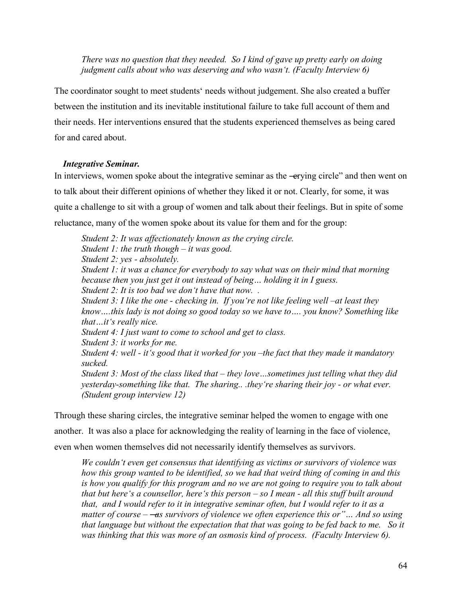*There was no question that they needed. So I kind of gave up pretty early on doing judgment calls about who was deserving and who wasn't. (Faculty Interview 6)* 

The coordinator sought to meet students' needs without judgement. She also created a buffer between the institution and its inevitable institutional failure to take full account of them and their needs. Her interventions ensured that the students experienced themselves as being cared for and cared about.

# *Integrative Seminar.*

In interviews, women spoke about the integrative seminar as the —erying circle" and then went on to talk about their different opinions of whether they liked it or not. Clearly, for some, it was quite a challenge to sit with a group of women and talk about their feelings. But in spite of some reluctance, many of the women spoke about its value for them and for the group:

*Student 2: It was affectionately known as the crying circle. Student 1: the truth though – it was good. Student 2: yes - absolutely. Student 1: it was a chance for everybody to say what was on their mind that morning because then you just get it out instead of being… holding it in I guess. Student 2: It is too bad we don't have that now. . Student 3: I like the one - checking in. If you're not like feeling well –at least they know….this lady is not doing so good today so we have to…. you know? Something like that…it's really nice. Student 4: I just want to come to school and get to class. Student 3: it works for me. Student 4: well - it's good that it worked for you –the fact that they made it mandatory sucked. Student 3: Most of the class liked that – they love…sometimes just telling what they did yesterday-something like that. The sharing.. .they're sharing their joy - or what ever. (Student group interview 12)*

Through these sharing circles, the integrative seminar helped the women to engage with one another. It was also a place for acknowledging the reality of learning in the face of violence, even when women themselves did not necessarily identify themselves as survivors.

*We couldn't even get consensus that identifying as victims or survivors of violence was how this group wanted to be identified, so we had that weird thing of coming in and this is how you qualify for this program and no we are not going to require you to talk about that but here's a counsellor, here's this person – so I mean - all this stuff built around that, and I would refer to it in integrative seminar often, but I would refer to it as a matter of course – —as survivors of violence we often experience this or"* ... And so using *that language but without the expectation that that was going to be fed back to me. So it was thinking that this was more of an osmosis kind of process. (Faculty Interview 6).*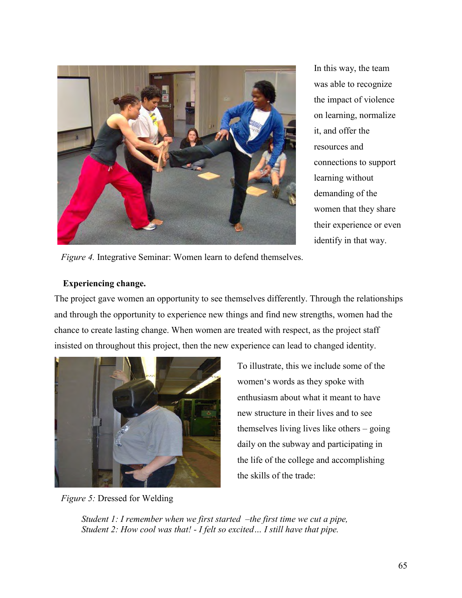

In this way, the team was able to recognize the impact of violence on learning, normalize it, and offer the resources and connections to support learning without demanding of the women that they share their experience or even identify in that way.

 *Figure 4.* Integrative Seminar: Women learn to defend themselves.

# **Experiencing change.**

The project gave women an opportunity to see themselves differently. Through the relationships and through the opportunity to experience new things and find new strengths, women had the chance to create lasting change. When women are treated with respect, as the project staff insisted on throughout this project, then the new experience can lead to changed identity.



 *Figure 5:* Dressed for Welding

To illustrate, this we include some of the women's words as they spoke with enthusiasm about what it meant to have new structure in their lives and to see themselves living lives like others – going daily on the subway and participating in the life of the college and accomplishing the skills of the trade:

*Student 1: I remember when we first started –the first time we cut a pipe, Student 2: How cool was that! - I felt so excited… I still have that pipe.*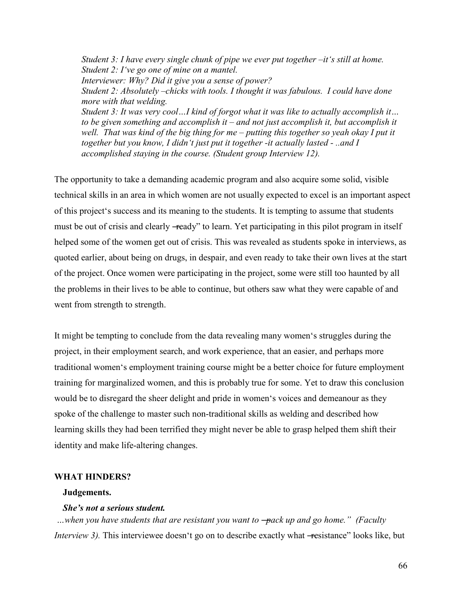*Student 3: I have every single chunk of pipe we ever put together –it's still at home. Student 2: I've go one of mine on a mantel. Interviewer: Why? Did it give you a sense of power? Student 2: Absolutely –chicks with tools. I thought it was fabulous. I could have done more with that welding. Student 3: It was very cool…I kind of forgot what it was like to actually accomplish it… to be given something and accomplish it – and not just accomplish it, but accomplish it well. That was kind of the big thing for me – putting this together so yeah okay I put it together but you know, I didn't just put it together -it actually lasted - ..and I accomplished staying in the course. (Student group Interview 12).* 

The opportunity to take a demanding academic program and also acquire some solid, visible technical skills in an area in which women are not usually expected to excel is an important aspect of this project's success and its meaning to the students. It is tempting to assume that students must be out of crisis and clearly —ready" to learn. Yet participating in this pilot program in itself helped some of the women get out of crisis. This was revealed as students spoke in interviews, as quoted earlier, about being on drugs, in despair, and even ready to take their own lives at the start of the project. Once women were participating in the project, some were still too haunted by all the problems in their lives to be able to continue, but others saw what they were capable of and went from strength to strength.

It might be tempting to conclude from the data revealing many women's struggles during the project, in their employment search, and work experience, that an easier, and perhaps more traditional women's employment training course might be a better choice for future employment training for marginalized women, and this is probably true for some. Yet to draw this conclusion would be to disregard the sheer delight and pride in women's voices and demeanour as they spoke of the challenge to master such non-traditional skills as welding and described how learning skills they had been terrified they might never be able to grasp helped them shift their identity and make life-altering changes.

#### **WHAT HINDERS?**

#### **Judgements.**

### *She's not a serious student.*

*…when you have students that are resistant you want to ―pack up and go home.‖ (Faculty Interview 3).* This interviewee doesn't go on to describe exactly what -resistance" looks like, but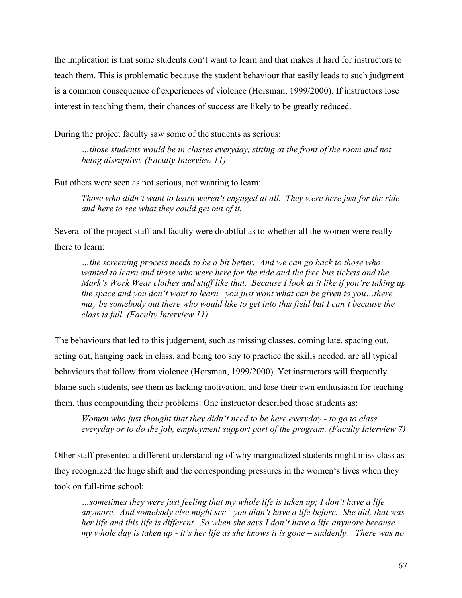the implication is that some students don't want to learn and that makes it hard for instructors to teach them. This is problematic because the student behaviour that easily leads to such judgment is a common consequence of experiences of violence (Horsman, 1999/2000). If instructors lose interest in teaching them, their chances of success are likely to be greatly reduced.

During the project faculty saw some of the students as serious:

*…those students would be in classes everyday, sitting at the front of the room and not being disruptive. (Faculty Interview 11)* 

But others were seen as not serious, not wanting to learn:

*Those who didn't want to learn weren't engaged at all. They were here just for the ride and here to see what they could get out of it.* 

Several of the project staff and faculty were doubtful as to whether all the women were really there to learn:

*…the screening process needs to be a bit better. And we can go back to those who wanted to learn and those who were here for the ride and the free bus tickets and the Mark's Work Wear clothes and stuff like that. Because I look at it like if you're taking up the space and you don't want to learn –you just want what can be given to you…there may be somebody out there who would like to get into this field but I can't because the class is full. (Faculty Interview 11)* 

The behaviours that led to this judgement, such as missing classes, coming late, spacing out, acting out, hanging back in class, and being too shy to practice the skills needed, are all typical behaviours that follow from violence (Horsman, 1999/2000). Yet instructors will frequently blame such students, see them as lacking motivation, and lose their own enthusiasm for teaching them, thus compounding their problems. One instructor described those students as:

*Women who just thought that they didn't need to be here everyday - to go to class everyday or to do the job, employment support part of the program. (Faculty Interview 7)* 

Other staff presented a different understanding of why marginalized students might miss class as they recognized the huge shift and the corresponding pressures in the women's lives when they took on full-time school:

*…sometimes they were just feeling that my whole life is taken up; I don't have a life anymore. And somebody else might see - you didn't have a life before. She did, that was her life and this life is different. So when she says I don't have a life anymore because my whole day is taken up - it's her life as she knows it is gone – suddenly. There was no*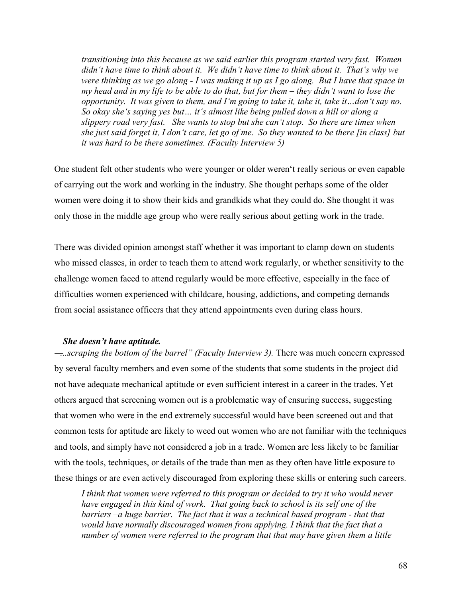*transitioning into this because as we said earlier this program started very fast. Women didn't have time to think about it. We didn't have time to think about it. That's why we were thinking as we go along - I was making it up as I go along. But I have that space in my head and in my life to be able to do that, but for them – they didn't want to lose the opportunity. It was given to them, and I'm going to take it, take it, take it…don't say no. So okay she's saying yes but… it's almost like being pulled down a hill or along a slippery road very fast. She wants to stop but she can't stop. So there are times when she just said forget it, I don't care, let go of me. So they wanted to be there [in class] but it was hard to be there sometimes. (Faculty Interview 5)* 

One student felt other students who were younger or older weren't really serious or even capable of carrying out the work and working in the industry. She thought perhaps some of the older women were doing it to show their kids and grandkids what they could do. She thought it was only those in the middle age group who were really serious about getting work in the trade.

There was divided opinion amongst staff whether it was important to clamp down on students who missed classes, in order to teach them to attend work regularly, or whether sensitivity to the challenge women faced to attend regularly would be more effective, especially in the face of difficulties women experienced with childcare, housing, addictions, and competing demands from social assistance officers that they attend appointments even during class hours.

#### *She doesn't have aptitude.*

*―…scraping the bottom of the barrel‖ (Faculty Interview 3).* There was much concern expressed by several faculty members and even some of the students that some students in the project did not have adequate mechanical aptitude or even sufficient interest in a career in the trades. Yet others argued that screening women out is a problematic way of ensuring success, suggesting that women who were in the end extremely successful would have been screened out and that common tests for aptitude are likely to weed out women who are not familiar with the techniques and tools, and simply have not considered a job in a trade. Women are less likely to be familiar with the tools, techniques, or details of the trade than men as they often have little exposure to these things or are even actively discouraged from exploring these skills or entering such careers.

*I think that women were referred to this program or decided to try it who would never have engaged in this kind of work. That going back to school is its self one of the*  barriers –a huge barrier. The fact that it was a technical based program - that that *would have normally discouraged women from applying. I think that the fact that a number of women were referred to the program that that may have given them a little*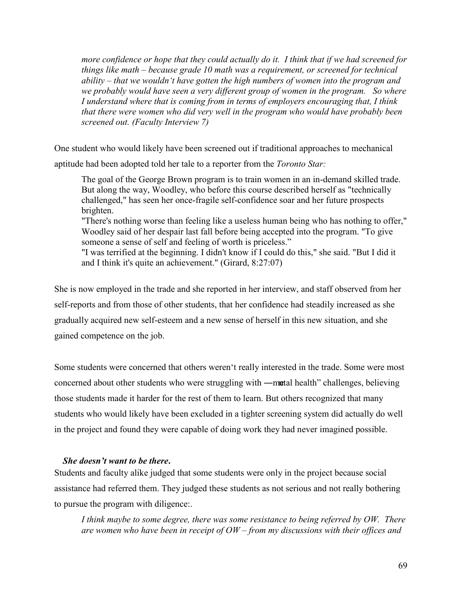*more confidence or hope that they could actually do it. I think that if we had screened for things like math – because grade 10 math was a requirement, or screened for technical ability – that we wouldn't have gotten the high numbers of women into the program and we probably would have seen a very different group of women in the program. So where I understand where that is coming from in terms of employers encouraging that, I think that there were women who did very well in the program who would have probably been screened out. (Faculty Interview 7)* 

One student who would likely have been screened out if traditional approaches to mechanical aptitude had been adopted told her tale to a reporter from the *Toronto Star:*

The goal of the George Brown program is to train women in an in-demand skilled trade. But along the way, Woodley, who before this course described herself as "technically challenged," has seen her once-fragile self-confidence soar and her future prospects brighten.

"There's nothing worse than feeling like a useless human being who has nothing to offer," Woodley said of her despair last fall before being accepted into the program. "To give someone a sense of self and feeling of worth is priceless."

"I was terrified at the beginning. I didn't know if I could do this," she said. "But I did it and I think it's quite an achievement." (Girard, 8:27:07)

She is now employed in the trade and she reported in her interview, and staff observed from her self-reports and from those of other students, that her confidence had steadily increased as she gradually acquired new self-esteem and a new sense of herself in this new situation, and she gained competence on the job.

Some students were concerned that others weren't really interested in the trade. Some were most concerned about other students who were struggling with —metal health" challenges, believing those students made it harder for the rest of them to learn. But others recognized that many students who would likely have been excluded in a tighter screening system did actually do well in the project and found they were capable of doing work they had never imagined possible.

## *She doesn't want to be there***.**

Students and faculty alike judged that some students were only in the project because social assistance had referred them. They judged these students as not serious and not really bothering to pursue the program with diligence:.

*I think maybe to some degree, there was some resistance to being referred by OW. There are women who have been in receipt of OW – from my discussions with their offices and*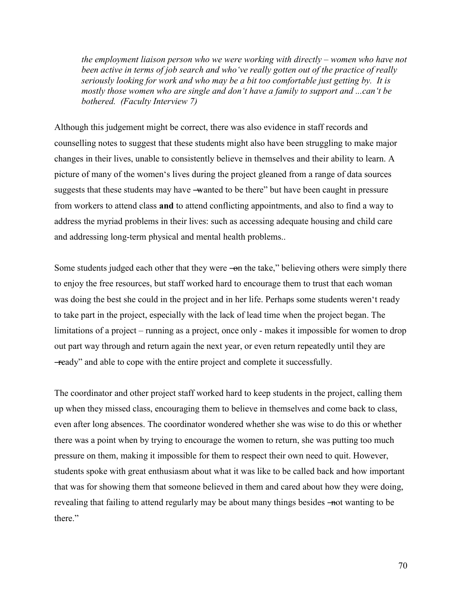*the employment liaison person who we were working with directly – women who have not been active in terms of job search and who've really gotten out of the practice of really seriously looking for work and who may be a bit too comfortable just getting by. It is mostly those women who are single and don't have a family to support and ...can't be bothered. (Faculty Interview 7)* 

Although this judgement might be correct, there was also evidence in staff records and counselling notes to suggest that these students might also have been struggling to make major changes in their lives, unable to consistently believe in themselves and their ability to learn. A picture of many of the women's lives during the project gleaned from a range of data sources suggests that these students may have —wanted to be there" but have been caught in pressure from workers to attend class **and** to attend conflicting appointments, and also to find a way to address the myriad problems in their lives: such as accessing adequate housing and child care and addressing long-term physical and mental health problems..

Some students judged each other that they were —on the take," believing others were simply there to enjoy the free resources, but staff worked hard to encourage them to trust that each woman was doing the best she could in the project and in her life. Perhaps some students weren't ready to take part in the project, especially with the lack of lead time when the project began. The limitations of a project – running as a project, once only - makes it impossible for women to drop out part way through and return again the next year, or even return repeatedly until they are ―ready‖ and able to cope with the entire project and complete it successfully.

The coordinator and other project staff worked hard to keep students in the project, calling them up when they missed class, encouraging them to believe in themselves and come back to class, even after long absences. The coordinator wondered whether she was wise to do this or whether there was a point when by trying to encourage the women to return, she was putting too much pressure on them, making it impossible for them to respect their own need to quit. However, students spoke with great enthusiasm about what it was like to be called back and how important that was for showing them that someone believed in them and cared about how they were doing, revealing that failing to attend regularly may be about many things besides —not wanting to be there."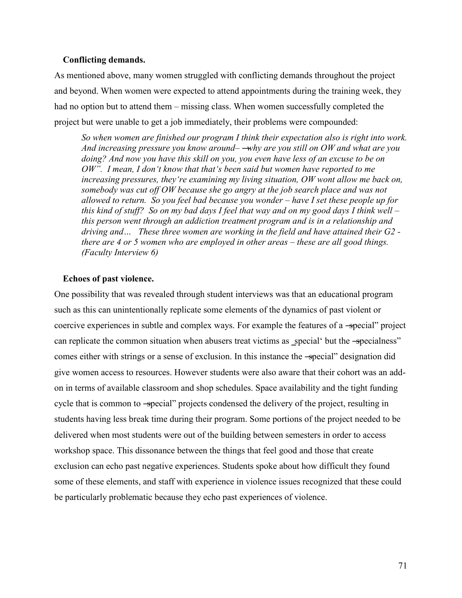### **Conflicting demands.**

As mentioned above, many women struggled with conflicting demands throughout the project and beyond. When women were expected to attend appointments during the training week, they had no option but to attend them – missing class. When women successfully completed the project but were unable to get a job immediately, their problems were compounded:

*So when women are finished our program I think their expectation also is right into work. And increasing pressure you know around– ―why are you still on OW and what are you doing? And now you have this skill on you, you even have less of an excuse to be on OW‖. I mean, I don't know that that's been said but women have reported to me increasing pressures, they're examining my living situation, OW wont allow me back on, somebody was cut off OW because she go angry at the job search place and was not allowed to return. So you feel bad because you wonder – have I set these people up for this kind of stuff? So on my bad days I feel that way and on my good days I think well – this person went through an addiction treatment program and is in a relationship and driving and… These three women are working in the field and have attained their G2 there are 4 or 5 women who are employed in other areas – these are all good things. (Faculty Interview 6)* 

### **Echoes of past violence.**

One possibility that was revealed through student interviews was that an educational program such as this can unintentionally replicate some elements of the dynamics of past violent or coercive experiences in subtle and complex ways. For example the features of a -special" project can replicate the common situation when abusers treat victims as special but the -specialness" comes either with strings or a sense of exclusion. In this instance the -special" designation did give women access to resources. However students were also aware that their cohort was an addon in terms of available classroom and shop schedules. Space availability and the tight funding cycle that is common to -special" projects condensed the delivery of the project, resulting in students having less break time during their program. Some portions of the project needed to be delivered when most students were out of the building between semesters in order to access workshop space. This dissonance between the things that feel good and those that create exclusion can echo past negative experiences. Students spoke about how difficult they found some of these elements, and staff with experience in violence issues recognized that these could be particularly problematic because they echo past experiences of violence.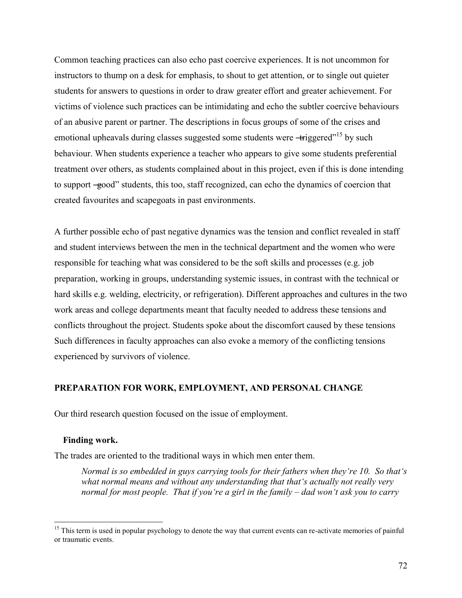Common teaching practices can also echo past coercive experiences. It is not uncommon for instructors to thump on a desk for emphasis, to shout to get attention, or to single out quieter students for answers to questions in order to draw greater effort and greater achievement. For victims of violence such practices can be intimidating and echo the subtler coercive behaviours of an abusive parent or partner. The descriptions in focus groups of some of the crises and emotional upheavals during classes suggested some students were  $-\text{triggered}^{15}$  by such behaviour. When students experience a teacher who appears to give some students preferential treatment over others, as students complained about in this project, even if this is done intending to support –good" students, this too, staff recognized, can echo the dynamics of coercion that created favourites and scapegoats in past environments.

A further possible echo of past negative dynamics was the tension and conflict revealed in staff and student interviews between the men in the technical department and the women who were responsible for teaching what was considered to be the soft skills and processes (e.g. job preparation, working in groups, understanding systemic issues, in contrast with the technical or hard skills e.g. welding, electricity, or refrigeration). Different approaches and cultures in the two work areas and college departments meant that faculty needed to address these tensions and conflicts throughout the project. Students spoke about the discomfort caused by these tensions Such differences in faculty approaches can also evoke a memory of the conflicting tensions experienced by survivors of violence.

# **PREPARATION FOR WORK, EMPLOYMENT, AND PERSONAL CHANGE**

Our third research question focused on the issue of employment.

### **Finding work.**

 $\overline{a}$ 

The trades are oriented to the traditional ways in which men enter them.

*Normal is so embedded in guys carrying tools for their fathers when they're 10. So that's what normal means and without any understanding that that's actually not really very normal for most people. That if you're a girl in the family – dad won't ask you to carry* 

<sup>&</sup>lt;sup>15</sup> This term is used in popular psychology to denote the way that current events can re-activate memories of painful or traumatic events.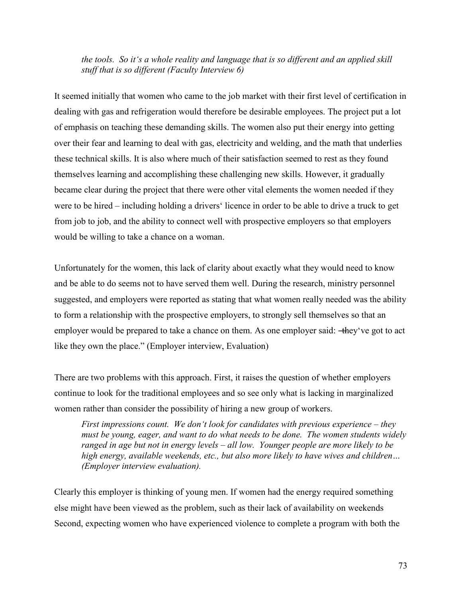# *the tools. So it's a whole reality and language that is so different and an applied skill stuff that is so different (Faculty Interview 6)*

It seemed initially that women who came to the job market with their first level of certification in dealing with gas and refrigeration would therefore be desirable employees. The project put a lot of emphasis on teaching these demanding skills. The women also put their energy into getting over their fear and learning to deal with gas, electricity and welding, and the math that underlies these technical skills. It is also where much of their satisfaction seemed to rest as they found themselves learning and accomplishing these challenging new skills. However, it gradually became clear during the project that there were other vital elements the women needed if they were to be hired – including holding a drivers' licence in order to be able to drive a truck to get from job to job, and the ability to connect well with prospective employers so that employers would be willing to take a chance on a woman.

Unfortunately for the women, this lack of clarity about exactly what they would need to know and be able to do seems not to have served them well. During the research, ministry personnel suggested, and employers were reported as stating that what women really needed was the ability to form a relationship with the prospective employers, to strongly sell themselves so that an employer would be prepared to take a chance on them. As one employer said: —they've got to act like they own the place." (Employer interview, Evaluation)

There are two problems with this approach. First, it raises the question of whether employers continue to look for the traditional employees and so see only what is lacking in marginalized women rather than consider the possibility of hiring a new group of workers.

*First impressions count. We don't look for candidates with previous experience – they must be young, eager, and want to do what needs to be done. The women students widely ranged in age but not in energy levels – all low. Younger people are more likely to be high energy, available weekends, etc., but also more likely to have wives and children… (Employer interview evaluation).*

Clearly this employer is thinking of young men. If women had the energy required something else might have been viewed as the problem, such as their lack of availability on weekends Second, expecting women who have experienced violence to complete a program with both the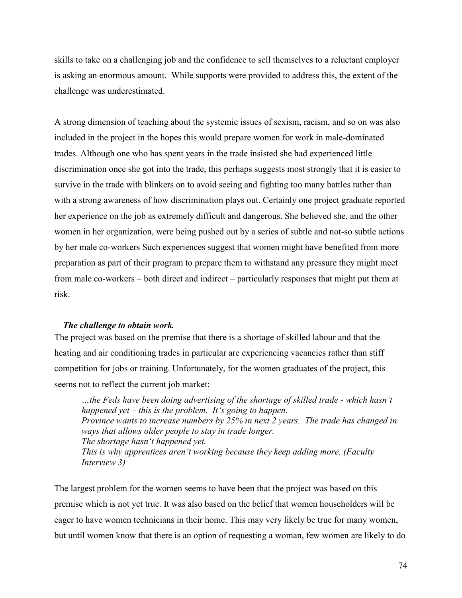skills to take on a challenging job and the confidence to sell themselves to a reluctant employer is asking an enormous amount. While supports were provided to address this, the extent of the challenge was underestimated.

A strong dimension of teaching about the systemic issues of sexism, racism, and so on was also included in the project in the hopes this would prepare women for work in male-dominated trades. Although one who has spent years in the trade insisted she had experienced little discrimination once she got into the trade, this perhaps suggests most strongly that it is easier to survive in the trade with blinkers on to avoid seeing and fighting too many battles rather than with a strong awareness of how discrimination plays out. Certainly one project graduate reported her experience on the job as extremely difficult and dangerous. She believed she, and the other women in her organization, were being pushed out by a series of subtle and not-so subtle actions by her male co-workers Such experiences suggest that women might have benefited from more preparation as part of their program to prepare them to withstand any pressure they might meet from male co-workers – both direct and indirect – particularly responses that might put them at risk.

### *The challenge to obtain work.*

The project was based on the premise that there is a shortage of skilled labour and that the heating and air conditioning trades in particular are experiencing vacancies rather than stiff competition for jobs or training. Unfortunately, for the women graduates of the project, this seems not to reflect the current job market:

*…the Feds have been doing advertising of the shortage of skilled trade - which hasn't happened yet – this is the problem. It's going to happen. Province wants to increase numbers by 25% in next 2 years. The trade has changed in ways that allows older people to stay in trade longer. The shortage hasn't happened yet. This is why apprentices aren't working because they keep adding more. (Faculty Interview 3)* 

The largest problem for the women seems to have been that the project was based on this premise which is not yet true. It was also based on the belief that women householders will be eager to have women technicians in their home. This may very likely be true for many women, but until women know that there is an option of requesting a woman, few women are likely to do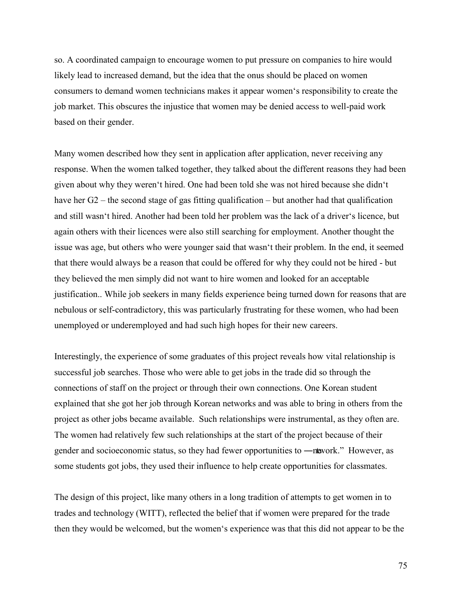so. A coordinated campaign to encourage women to put pressure on companies to hire would likely lead to increased demand, but the idea that the onus should be placed on women consumers to demand women technicians makes it appear women's responsibility to create the job market. This obscures the injustice that women may be denied access to well-paid work based on their gender.

Many women described how they sent in application after application, never receiving any response. When the women talked together, they talked about the different reasons they had been given about why they weren't hired. One had been told she was not hired because she didn't have her G2 – the second stage of gas fitting qualification – but another had that qualification and still wasn't hired. Another had been told her problem was the lack of a driver's licence, but again others with their licences were also still searching for employment. Another thought the issue was age, but others who were younger said that wasn't their problem. In the end, it seemed that there would always be a reason that could be offered for why they could not be hired - but they believed the men simply did not want to hire women and looked for an acceptable justification.. While job seekers in many fields experience being turned down for reasons that are nebulous or self-contradictory, this was particularly frustrating for these women, who had been unemployed or underemployed and had such high hopes for their new careers.

Interestingly, the experience of some graduates of this project reveals how vital relationship is successful job searches. Those who were able to get jobs in the trade did so through the connections of staff on the project or through their own connections. One Korean student explained that she got her job through Korean networks and was able to bring in others from the project as other jobs became available. Such relationships were instrumental, as they often are. The women had relatively few such relationships at the start of the project because of their gender and socioeconomic status, so they had fewer opportunities to —nework." However, as some students got jobs, they used their influence to help create opportunities for classmates.

The design of this project, like many others in a long tradition of attempts to get women in to trades and technology (WITT), reflected the belief that if women were prepared for the trade then they would be welcomed, but the women's experience was that this did not appear to be the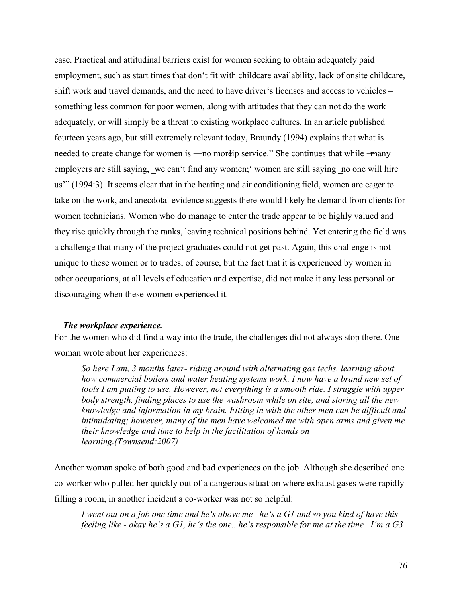case. Practical and attitudinal barriers exist for women seeking to obtain adequately paid employment, such as start times that don't fit with childcare availability, lack of onsite childcare, shift work and travel demands, and the need to have driver's licenses and access to vehicles – something less common for poor women, along with attitudes that they can not do the work adequately, or will simply be a threat to existing workplace cultures. In an article published fourteen years ago, but still extremely relevant today, Braundy (1994) explains that what is needed to create change for women is —no more ip service." She continues that while —many employers are still saying, we can't find any women; women are still saying no one will hire us'" (1994:3). It seems clear that in the heating and air conditioning field, women are eager to take on the work, and anecdotal evidence suggests there would likely be demand from clients for women technicians. Women who do manage to enter the trade appear to be highly valued and they rise quickly through the ranks, leaving technical positions behind. Yet entering the field was a challenge that many of the project graduates could not get past. Again, this challenge is not unique to these women or to trades, of course, but the fact that it is experienced by women in other occupations, at all levels of education and expertise, did not make it any less personal or discouraging when these women experienced it.

### *The workplace experience.*

For the women who did find a way into the trade, the challenges did not always stop there. One woman wrote about her experiences:

*So here I am, 3 months later- riding around with alternating gas techs, learning about how commercial boilers and water heating systems work. I now have a brand new set of tools I am putting to use. However, not everything is a smooth ride. I struggle with upper body strength, finding places to use the washroom while on site, and storing all the new knowledge and information in my brain. Fitting in with the other men can be difficult and intimidating; however, many of the men have welcomed me with open arms and given me their knowledge and time to help in the facilitation of hands on learning.(Townsend:2007)* 

Another woman spoke of both good and bad experiences on the job. Although she described one co-worker who pulled her quickly out of a dangerous situation where exhaust gases were rapidly filling a room, in another incident a co-worker was not so helpful:

*I went out on a job one time and he's above me –he's a G1 and so you kind of have this feeling like - okay he's a G1, he's the one...he's responsible for me at the time –I'm a G3*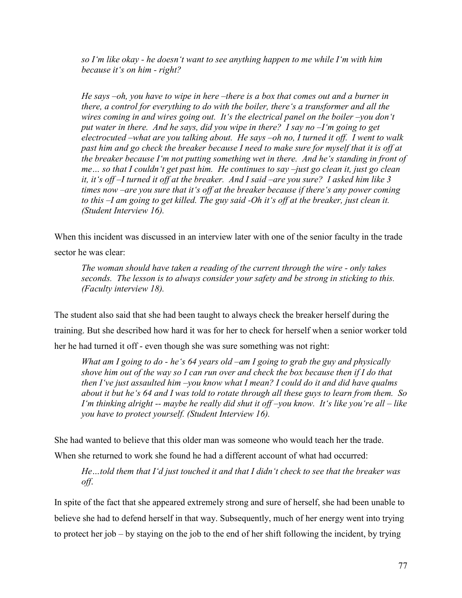*so I'm like okay - he doesn't want to see anything happen to me while I'm with him because it's on him - right?* 

*He says –oh, you have to wipe in here –there is a box that comes out and a burner in there, a control for everything to do with the boiler, there's a transformer and all the wires coming in and wires going out. It's the electrical panel on the boiler –you don't put water in there. And he says, did you wipe in there? I say no –I'm going to get electrocuted –what are you talking about. He says –oh no, I turned it off. I went to walk past him and go check the breaker because I need to make sure for myself that it is off at the breaker because I'm not putting something wet in there. And he's standing in front of me… so that I couldn't get past him. He continues to say –just go clean it, just go clean it, it's off –I turned it off at the breaker. And I said –are you sure? I asked him like 3 times now –are you sure that it's off at the breaker because if there's any power coming to this –I am going to get killed. The guy said -Oh it's off at the breaker, just clean it. (Student Interview 16).* 

When this incident was discussed in an interview later with one of the senior faculty in the trade sector he was clear:

*The woman should have taken a reading of the current through the wire - only takes seconds. The lesson is to always consider your safety and be strong in sticking to this. (Faculty interview 18).* 

The student also said that she had been taught to always check the breaker herself during the training. But she described how hard it was for her to check for herself when a senior worker told her he had turned it off - even though she was sure something was not right:

*What am I going to do - he's 64 years old –am I going to grab the guy and physically shove him out of the way so I can run over and check the box because then if I do that then I've just assaulted him –you know what I mean? I could do it and did have qualms about it but he's 64 and I was told to rotate through all these guys to learn from them. So I'm thinking alright -- maybe he really did shut it off –you know. It's like you're all – like you have to protect yourself. (Student Interview 16).* 

She had wanted to believe that this older man was someone who would teach her the trade.

When she returned to work she found he had a different account of what had occurred:

*He…told them that I'd just touched it and that I didn't check to see that the breaker was off*.

In spite of the fact that she appeared extremely strong and sure of herself, she had been unable to believe she had to defend herself in that way. Subsequently, much of her energy went into trying to protect her job – by staying on the job to the end of her shift following the incident, by trying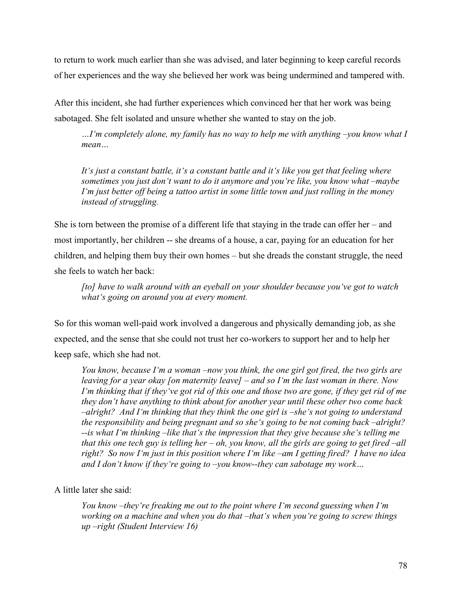to return to work much earlier than she was advised, and later beginning to keep careful records of her experiences and the way she believed her work was being undermined and tampered with.

After this incident, she had further experiences which convinced her that her work was being sabotaged. She felt isolated and unsure whether she wanted to stay on the job.

*…I'm completely alone, my family has no way to help me with anything –you know what I mean…* 

*It's just a constant battle, it's a constant battle and it's like you get that feeling where sometimes you just don't want to do it anymore and you're like, you know what –maybe I'm just better off being a tattoo artist in some little town and just rolling in the money instead of struggling.* 

She is torn between the promise of a different life that staying in the trade can offer her – and most importantly, her children -- she dreams of a house, a car, paying for an education for her children, and helping them buy their own homes – but she dreads the constant struggle, the need she feels to watch her back:

*[to] have to walk around with an eyeball on your shoulder because you've got to watch what's going on around you at every moment.* 

So for this woman well-paid work involved a dangerous and physically demanding job, as she expected, and the sense that she could not trust her co-workers to support her and to help her keep safe, which she had not.

*You know, because I'm a woman –now you think, the one girl got fired, the two girls are leaving for a year okay [on maternity leave] – and so I'm the last woman in there. Now I'm thinking that if they've got rid of this one and those two are gone, if they get rid of me they don't have anything to think about for another year until these other two come back –alright? And I'm thinking that they think the one girl is –she's not going to understand the responsibility and being pregnant and so she's going to be not coming back –alright? --is what I'm thinking –like that's the impression that they give because she's telling me that this one tech guy is telling her – oh, you know, all the girls are going to get fired –all right? So now I'm just in this position where I'm like –am I getting fired? I have no idea and I don't know if they're going to –you know--they can sabotage my work…* 

# A little later she said:

*You know –they're freaking me out to the point where I'm second guessing when I'm working on a machine and when you do that –that's when you're going to screw things up –right (Student Interview 16)*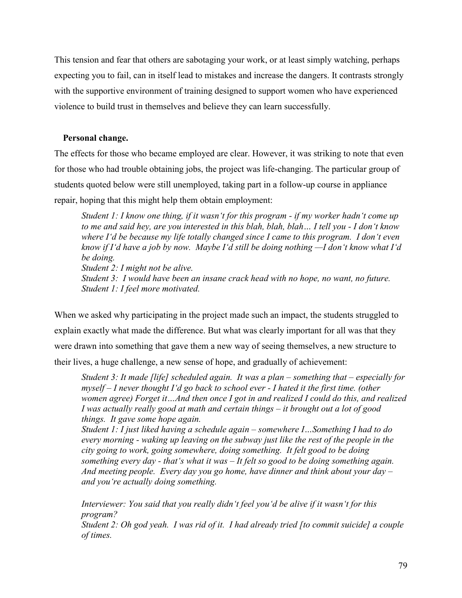This tension and fear that others are sabotaging your work, or at least simply watching, perhaps expecting you to fail, can in itself lead to mistakes and increase the dangers. It contrasts strongly with the supportive environment of training designed to support women who have experienced violence to build trust in themselves and believe they can learn successfully.

# **Personal change.**

The effects for those who became employed are clear. However, it was striking to note that even for those who had trouble obtaining jobs, the project was life-changing. The particular group of students quoted below were still unemployed, taking part in a follow-up course in appliance repair, hoping that this might help them obtain employment:

*Student 1: I know one thing, if it wasn't for this program - if my worker hadn't come up to me and said hey, are you interested in this blah, blah, blah… I tell you - I don't know where I'd be because my life totally changed since I came to this program. I don't even know if I'd have a job by now. Maybe I'd still be doing nothing —I don't know what I'd be doing. Student 2: I might not be alive. Student 3: I would have been an insane crack head with no hope, no want, no future. Student 1: I feel more motivated.* 

When we asked why participating in the project made such an impact, the students struggled to explain exactly what made the difference. But what was clearly important for all was that they were drawn into something that gave them a new way of seeing themselves, a new structure to their lives, a huge challenge, a new sense of hope, and gradually of achievement:

*Student 3: It made [life] scheduled again. It was a plan – something that – especially for myself – I never thought I'd go back to school ever - I hated it the first time. (other women agree) Forget it…And then once I got in and realized I could do this, and realized I was actually really good at math and certain things – it brought out a lot of good things. It gave some hope again.* 

*Student 1: I just liked having a schedule again – somewhere I…Something I had to do every morning - waking up leaving on the subway just like the rest of the people in the city going to work, going somewhere, doing something. It felt good to be doing something every day - that's what it was – It felt so good to be doing something again. And meeting people. Every day you go home, have dinner and think about your day – and you're actually doing something.* 

*Interviewer: You said that you really didn't feel you'd be alive if it wasn't for this program?*

*Student 2: Oh god yeah. I was rid of it. I had already tried [to commit suicide] a couple of times.*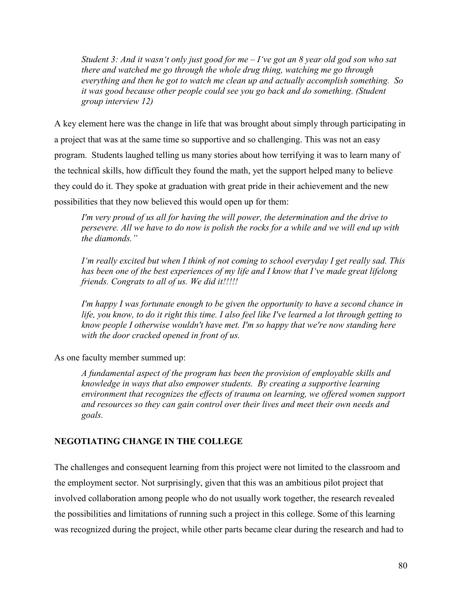*Student 3: And it wasn't only just good for me – I've got an 8 year old god son who sat there and watched me go through the whole drug thing, watching me go through everything and then he got to watch me clean up and actually accomplish something. So it was good because other people could see you go back and do something. (Student group interview 12)* 

A key element here was the change in life that was brought about simply through participating in a project that was at the same time so supportive and so challenging. This was not an easy program. Students laughed telling us many stories about how terrifying it was to learn many of the technical skills, how difficult they found the math, yet the support helped many to believe they could do it. They spoke at graduation with great pride in their achievement and the new possibilities that they now believed this would open up for them:

*I'm very proud of us all for having the will power, the determination and the drive to persevere. All we have to do now is polish the rocks for a while and we will end up with the diamonds.‖*

*I'm really excited but when I think of not coming to school everyday I get really sad. This has been one of the best experiences of my life and I know that I've made great lifelong friends. Congrats to all of us. We did it!!!!!* 

*I'm happy I was fortunate enough to be given the opportunity to have a second chance in life, you know, to do it right this time. I also feel like I've learned a lot through getting to know people I otherwise wouldn't have met. I'm so happy that we're now standing here with the door cracked opened in front of us.* 

As one faculty member summed up:

*A fundamental aspect of the program has been the provision of employable skills and knowledge in ways that also empower students. By creating a supportive learning environment that recognizes the effects of trauma on learning, we offered women support and resources so they can gain control over their lives and meet their own needs and goals.*

# **NEGOTIATING CHANGE IN THE COLLEGE**

The challenges and consequent learning from this project were not limited to the classroom and the employment sector. Not surprisingly, given that this was an ambitious pilot project that involved collaboration among people who do not usually work together, the research revealed the possibilities and limitations of running such a project in this college. Some of this learning was recognized during the project, while other parts became clear during the research and had to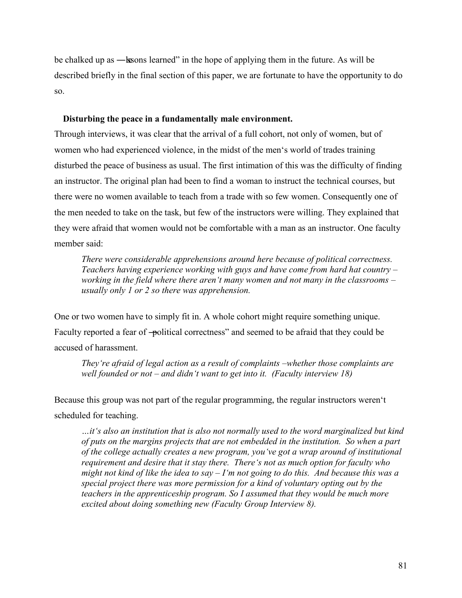be chalked up as —lessons learned" in the hope of applying them in the future. As will be described briefly in the final section of this paper, we are fortunate to have the opportunity to do so.

## **Disturbing the peace in a fundamentally male environment.**

Through interviews, it was clear that the arrival of a full cohort, not only of women, but of women who had experienced violence, in the midst of the men's world of trades training disturbed the peace of business as usual. The first intimation of this was the difficulty of finding an instructor. The original plan had been to find a woman to instruct the technical courses, but there were no women available to teach from a trade with so few women. Consequently one of the men needed to take on the task, but few of the instructors were willing. They explained that they were afraid that women would not be comfortable with a man as an instructor. One faculty member said:

*There were considerable apprehensions around here because of political correctness. Teachers having experience working with guys and have come from hard hat country – working in the field where there aren't many women and not many in the classrooms – usually only 1 or 2 so there was apprehension.* 

One or two women have to simply fit in. A whole cohort might require something unique. Faculty reported a fear of -political correctness" and seemed to be afraid that they could be accused of harassment.

*They're afraid of legal action as a result of complaints –whether those complaints are well founded or not – and didn't want to get into it. (Faculty interview 18)* 

Because this group was not part of the regular programming, the regular instructors weren't scheduled for teaching.

*…it's also an institution that is also not normally used to the word marginalized but kind of puts on the margins projects that are not embedded in the institution. So when a part of the college actually creates a new program, you've got a wrap around of institutional requirement and desire that it stay there. There's not as much option for faculty who might not kind of like the idea to say – I'm not going to do this. And because this was a special project there was more permission for a kind of voluntary opting out by the teachers in the apprenticeship program. So I assumed that they would be much more excited about doing something new (Faculty Group Interview 8).*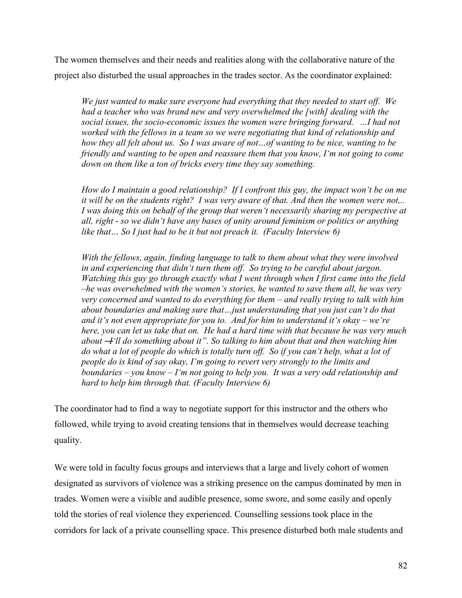The women themselves and their needs and realities along with the collaborative nature of the project also disturbed the usual approaches in the trades sector. As the coordinator explained:

*We just wanted to make sure everyone had everything that they needed to start off. We had a teacher who was brand new and very overwhelmed the [with] dealing with the social issues, the socio-economic issues the women were bringing forward. ...I had not worked with the fellows in a team so we were negotiating that kind of relationship and how they all felt about us. So I was aware of not…of wanting to be nice, wanting to be friendly and wanting to be open and reassure them that you know, I'm not going to come down on them like a ton of bricks every time they say something.* 

*How do I maintain a good relationship? If I confront this guy, the impact won't be on me it will be on the students right? I was very aware of that. And then the women were not,.. I was doing this on behalf of the group that weren't necessarily sharing my perspective at all, right - so we didn't have any bases of unity around feminism or politics or anything like that… So I just had to be it but not preach it. (Faculty Interview 6)* 

*With the fellows, again, finding language to talk to them about what they were involved in and experiencing that didn't turn them off. So trying to be careful about jargon. Watching this guy go through exactly what I went through when I first came into the field –he was overwhelmed with the women's stories, he wanted to save them all, he was very very concerned and wanted to do everything for them – and really trying to talk with him about boundaries and making sure that…just understanding that you just can't do that and it's not even appropriate for you to. And for him to understand it's okay – we're here, you can let us take that on. He had a hard time with that because he was very much*  about – I'll do something about it". So talking to him about that and then watching him do what a lot of people do which is totally turn off. So if you can't help, what a lot of *people do is kind of say okay, I'm going to revert very strongly to the limits and boundaries – you know – I'm not going to help you. It was a very odd relationship and hard to help him through that. (Faculty Interview 6)* 

The coordinator had to find a way to negotiate support for this instructor and the others who followed, while trying to avoid creating tensions that in themselves would decrease teaching quality.

We were told in faculty focus groups and interviews that a large and lively cohort of women designated as survivors of violence was a striking presence on the campus dominated by men in trades. Women were a visible and audible presence, some swore, and some easily and openly told the stories of real violence they experienced. Counselling sessions took place in the corridors for lack of a private counselling space. This presence disturbed both male students and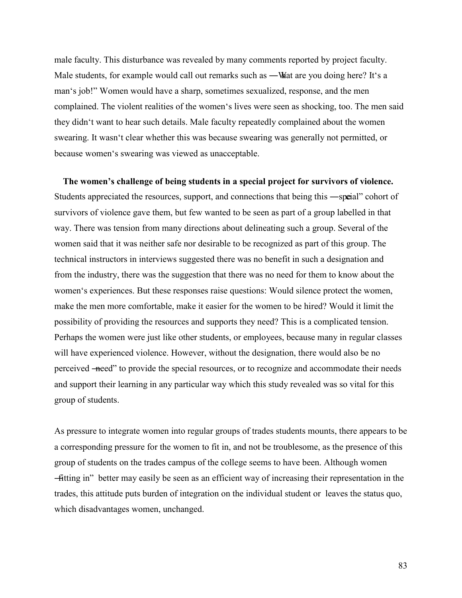male faculty. This disturbance was revealed by many comments reported by project faculty. Male students, for example would call out remarks such as —What are you doing here? It's a man's job!" Women would have a sharp, sometimes sexualized, response, and the men complained. The violent realities of the women's lives were seen as shocking, too. The men said they didn't want to hear such details. Male faculty repeatedly complained about the women swearing. It wasn't clear whether this was because swearing was generally not permitted, or because women's swearing was viewed as unacceptable.

**The women's challenge of being students in a special project for survivors of violence.**  Students appreciated the resources, support, and connections that being this —speial" cohort of survivors of violence gave them, but few wanted to be seen as part of a group labelled in that way. There was tension from many directions about delineating such a group. Several of the women said that it was neither safe nor desirable to be recognized as part of this group. The technical instructors in interviews suggested there was no benefit in such a designation and from the industry, there was the suggestion that there was no need for them to know about the women's experiences. But these responses raise questions: Would silence protect the women, make the men more comfortable, make it easier for the women to be hired? Would it limit the possibility of providing the resources and supports they need? This is a complicated tension. Perhaps the women were just like other students, or employees, because many in regular classes will have experienced violence. However, without the designation, there would also be no perceived ―need‖ to provide the special resources, or to recognize and accommodate their needs and support their learning in any particular way which this study revealed was so vital for this group of students.

As pressure to integrate women into regular groups of trades students mounts, there appears to be a corresponding pressure for the women to fit in, and not be troublesome, as the presence of this group of students on the trades campus of the college seems to have been. Although women ―fitting in‖ better may easily be seen as an efficient way of increasing their representation in the trades, this attitude puts burden of integration on the individual student or leaves the status quo, which disadvantages women, unchanged.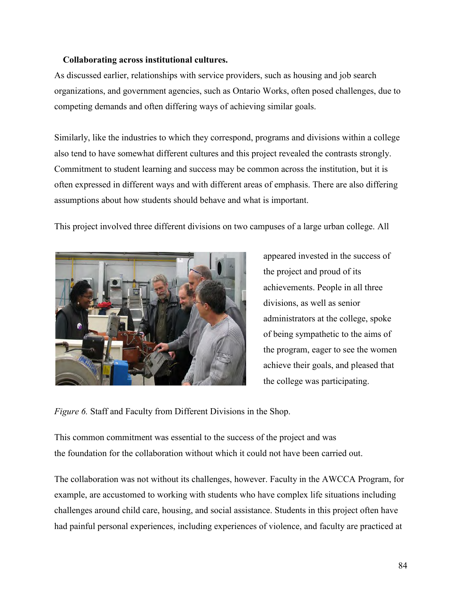# **Collaborating across institutional cultures.**

As discussed earlier, relationships with service providers, such as housing and job search organizations, and government agencies, such as Ontario Works, often posed challenges, due to competing demands and often differing ways of achieving similar goals.

Similarly, like the industries to which they correspond, programs and divisions within a college also tend to have somewhat different cultures and this project revealed the contrasts strongly. Commitment to student learning and success may be common across the institution, but it is often expressed in different ways and with different areas of emphasis. There are also differing assumptions about how students should behave and what is important.

This project involved three different divisions on two campuses of a large urban college. All



appeared invested in the success of the project and proud of its achievements. People in all three divisions, as well as senior administrators at the college, spoke of being sympathetic to the aims of the program, eager to see the women achieve their goals, and pleased that the college was participating.

*Figure 6.* Staff and Faculty from Different Divisions in the Shop.

This common commitment was essential to the success of the project and was the foundation for the collaboration without which it could not have been carried out.

The collaboration was not without its challenges, however. Faculty in the AWCCA Program, for example, are accustomed to working with students who have complex life situations including challenges around child care, housing, and social assistance. Students in this project often have had painful personal experiences, including experiences of violence, and faculty are practiced at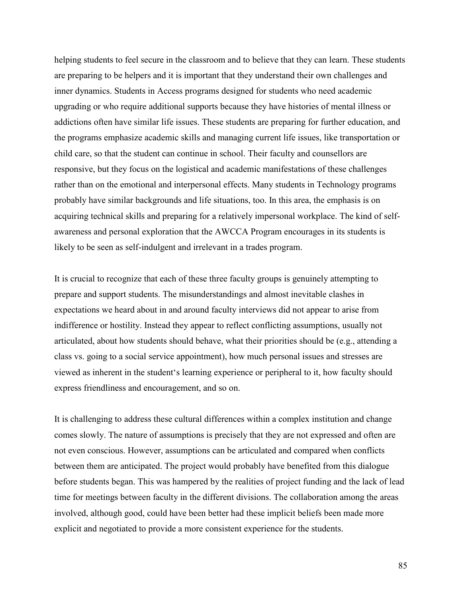helping students to feel secure in the classroom and to believe that they can learn. These students are preparing to be helpers and it is important that they understand their own challenges and inner dynamics. Students in Access programs designed for students who need academic upgrading or who require additional supports because they have histories of mental illness or addictions often have similar life issues. These students are preparing for further education, and the programs emphasize academic skills and managing current life issues, like transportation or child care, so that the student can continue in school. Their faculty and counsellors are responsive, but they focus on the logistical and academic manifestations of these challenges rather than on the emotional and interpersonal effects. Many students in Technology programs probably have similar backgrounds and life situations, too. In this area, the emphasis is on acquiring technical skills and preparing for a relatively impersonal workplace. The kind of selfawareness and personal exploration that the AWCCA Program encourages in its students is likely to be seen as self-indulgent and irrelevant in a trades program.

It is crucial to recognize that each of these three faculty groups is genuinely attempting to prepare and support students. The misunderstandings and almost inevitable clashes in expectations we heard about in and around faculty interviews did not appear to arise from indifference or hostility. Instead they appear to reflect conflicting assumptions, usually not articulated, about how students should behave, what their priorities should be (e.g., attending a class vs. going to a social service appointment), how much personal issues and stresses are viewed as inherent in the student's learning experience or peripheral to it, how faculty should express friendliness and encouragement, and so on.

It is challenging to address these cultural differences within a complex institution and change comes slowly. The nature of assumptions is precisely that they are not expressed and often are not even conscious. However, assumptions can be articulated and compared when conflicts between them are anticipated. The project would probably have benefited from this dialogue before students began. This was hampered by the realities of project funding and the lack of lead time for meetings between faculty in the different divisions. The collaboration among the areas involved, although good, could have been better had these implicit beliefs been made more explicit and negotiated to provide a more consistent experience for the students.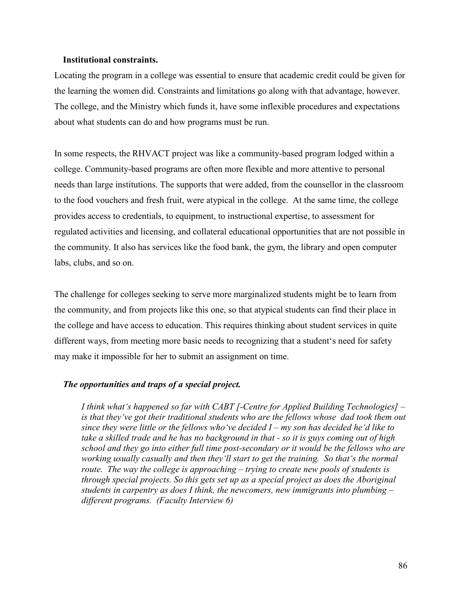### **Institutional constraints.**

Locating the program in a college was essential to ensure that academic credit could be given for the learning the women did. Constraints and limitations go along with that advantage, however. The college, and the Ministry which funds it, have some inflexible procedures and expectations about what students can do and how programs must be run.

In some respects, the RHVACT project was like a community-based program lodged within a college. Community-based programs are often more flexible and more attentive to personal needs than large institutions. The supports that were added, from the counsellor in the classroom to the food vouchers and fresh fruit, were atypical in the college. At the same time, the college provides access to credentials, to equipment, to instructional expertise, to assessment for regulated activities and licensing, and collateral educational opportunities that are not possible in the community. It also has services like the food bank, the gym, the library and open computer labs, clubs, and so on.

The challenge for colleges seeking to serve more marginalized students might be to learn from the community, and from projects like this one, so that atypical students can find their place in the college and have access to education. This requires thinking about student services in quite different ways, from meeting more basic needs to recognizing that a student's need for safety may make it impossible for her to submit an assignment on time.

## *The opportunities and traps of a special project.*

*I think what's happened so far with CABT [-Centre for Applied Building Technologies] – is that they've got their traditional students who are the fellows whose dad took them out since they were little or the fellows who've decided I – my son has decided he'd like to take a skilled trade and he has no background in that - so it is guys coming out of high school and they go into either full time post-secondary or it would be the fellows who are working usually casually and then they'll start to get the training. So that's the normal route. The way the college is approaching – trying to create new pools of students is through special projects. So this gets set up as a special project as does the Aboriginal students in carpentry as does I think, the newcomers, new immigrants into plumbing – different programs. (Faculty Interview 6)*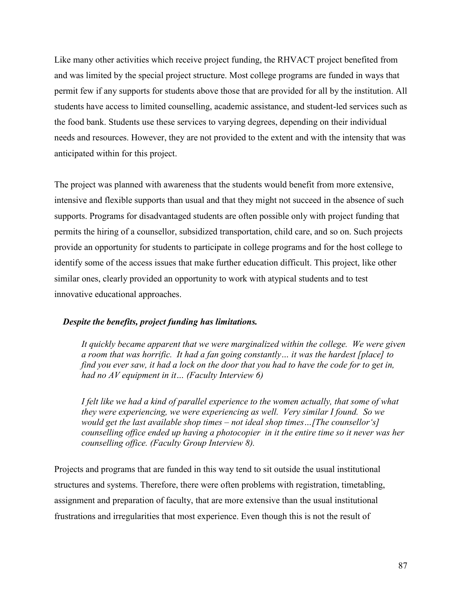Like many other activities which receive project funding, the RHVACT project benefited from and was limited by the special project structure. Most college programs are funded in ways that permit few if any supports for students above those that are provided for all by the institution. All students have access to limited counselling, academic assistance, and student-led services such as the food bank. Students use these services to varying degrees, depending on their individual needs and resources. However, they are not provided to the extent and with the intensity that was anticipated within for this project.

The project was planned with awareness that the students would benefit from more extensive, intensive and flexible supports than usual and that they might not succeed in the absence of such supports. Programs for disadvantaged students are often possible only with project funding that permits the hiring of a counsellor, subsidized transportation, child care, and so on. Such projects provide an opportunity for students to participate in college programs and for the host college to identify some of the access issues that make further education difficult. This project, like other similar ones, clearly provided an opportunity to work with atypical students and to test innovative educational approaches.

# *Despite the benefits, project funding has limitations.*

*It quickly became apparent that we were marginalized within the college. We were given a room that was horrific. It had a fan going constantly… it was the hardest [place] to find you ever saw, it had a lock on the door that you had to have the code for to get in, had no AV equipment in it… (Faculty Interview 6)* 

*I felt like we had a kind of parallel experience to the women actually, that some of what they were experiencing, we were experiencing as well. Very similar I found. So we would get the last available shop times – not ideal shop times…[The counsellor's] counselling office ended up having a photocopier in it the entire time so it never was her counselling office. (Faculty Group Interview 8).* 

Projects and programs that are funded in this way tend to sit outside the usual institutional structures and systems. Therefore, there were often problems with registration, timetabling, assignment and preparation of faculty, that are more extensive than the usual institutional frustrations and irregularities that most experience. Even though this is not the result of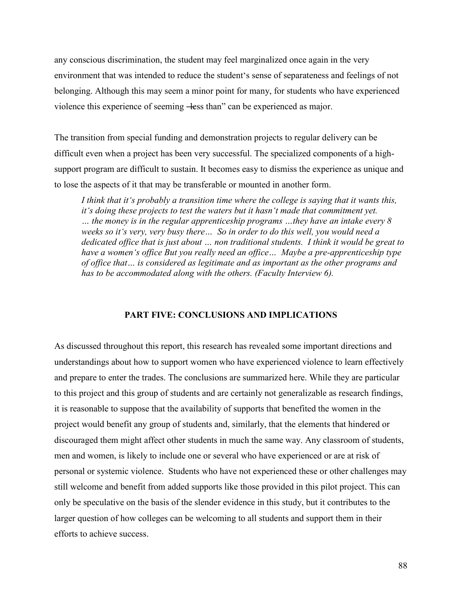any conscious discrimination, the student may feel marginalized once again in the very environment that was intended to reduce the student's sense of separateness and feelings of not belonging. Although this may seem a minor point for many, for students who have experienced violence this experience of seeming —less than" can be experienced as major.

The transition from special funding and demonstration projects to regular delivery can be difficult even when a project has been very successful. The specialized components of a highsupport program are difficult to sustain. It becomes easy to dismiss the experience as unique and to lose the aspects of it that may be transferable or mounted in another form.

*I think that it's probably a transition time where the college is saying that it wants this, it's doing these projects to test the waters but it hasn't made that commitment yet. … the money is in the regular apprenticeship programs …they have an intake every 8 weeks so it's very, very busy there… So in order to do this well, you would need a dedicated office that is just about … non traditional students. I think it would be great to have a women's office But you really need an office… Maybe a pre-apprenticeship type of office that… is considered as legitimate and as important as the other programs and has to be accommodated along with the others. (Faculty Interview 6).* 

### **PART FIVE: CONCLUSIONS AND IMPLICATIONS**

As discussed throughout this report, this research has revealed some important directions and understandings about how to support women who have experienced violence to learn effectively and prepare to enter the trades. The conclusions are summarized here. While they are particular to this project and this group of students and are certainly not generalizable as research findings, it is reasonable to suppose that the availability of supports that benefited the women in the project would benefit any group of students and, similarly, that the elements that hindered or discouraged them might affect other students in much the same way. Any classroom of students, men and women, is likely to include one or several who have experienced or are at risk of personal or systemic violence. Students who have not experienced these or other challenges may still welcome and benefit from added supports like those provided in this pilot project. This can only be speculative on the basis of the slender evidence in this study, but it contributes to the larger question of how colleges can be welcoming to all students and support them in their efforts to achieve success.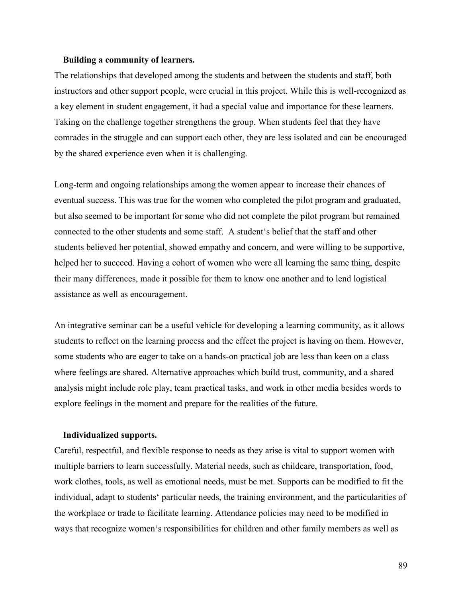### **Building a community of learners.**

The relationships that developed among the students and between the students and staff, both instructors and other support people, were crucial in this project. While this is well-recognized as a key element in student engagement, it had a special value and importance for these learners. Taking on the challenge together strengthens the group. When students feel that they have comrades in the struggle and can support each other, they are less isolated and can be encouraged by the shared experience even when it is challenging.

Long-term and ongoing relationships among the women appear to increase their chances of eventual success. This was true for the women who completed the pilot program and graduated, but also seemed to be important for some who did not complete the pilot program but remained connected to the other students and some staff. A student's belief that the staff and other students believed her potential, showed empathy and concern, and were willing to be supportive, helped her to succeed. Having a cohort of women who were all learning the same thing, despite their many differences, made it possible for them to know one another and to lend logistical assistance as well as encouragement.

An integrative seminar can be a useful vehicle for developing a learning community, as it allows students to reflect on the learning process and the effect the project is having on them. However, some students who are eager to take on a hands-on practical job are less than keen on a class where feelings are shared. Alternative approaches which build trust, community, and a shared analysis might include role play, team practical tasks, and work in other media besides words to explore feelings in the moment and prepare for the realities of the future.

#### **Individualized supports.**

Careful, respectful, and flexible response to needs as they arise is vital to support women with multiple barriers to learn successfully. Material needs, such as childcare, transportation, food, work clothes, tools, as well as emotional needs, must be met. Supports can be modified to fit the individual, adapt to students' particular needs, the training environment, and the particularities of the workplace or trade to facilitate learning. Attendance policies may need to be modified in ways that recognize women's responsibilities for children and other family members as well as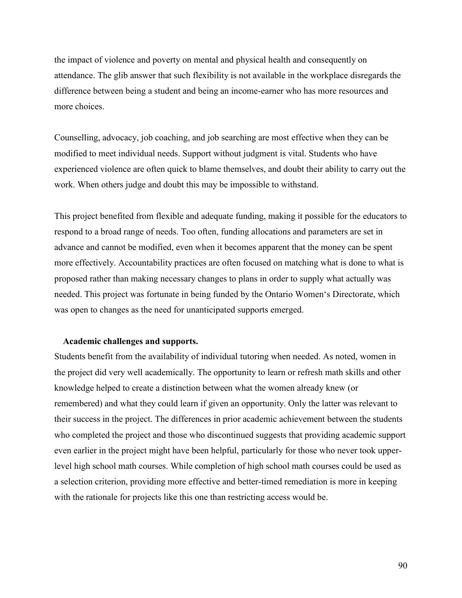the impact of violence and poverty on mental and physical health and consequently on attendance. The glib answer that such flexibility is not available in the workplace disregards the difference between being a student and being an income-earner who has more resources and more choices.

Counselling, advocacy, job coaching, and job searching are most effective when they can be modified to meet individual needs. Support without judgment is vital. Students who have experienced violence are often quick to blame themselves, and doubt their ability to carry out the work. When others judge and doubt this may be impossible to withstand.

This project benefited from flexible and adequate funding, making it possible for the educators to respond to a broad range of needs. Too often, funding allocations and parameters are set in advance and cannot be modified, even when it becomes apparent that the money can be spent more effectively. Accountability practices are often focused on matching what is done to what is proposed rather than making necessary changes to plans in order to supply what actually was needed. This project was fortunate in being funded by the Ontario Women's Directorate, which was open to changes as the need for unanticipated supports emerged.

### **Academic challenges and supports.**

Students benefit from the availability of individual tutoring when needed. As noted, women in the project did very well academically. The opportunity to learn or refresh math skills and other knowledge helped to create a distinction between what the women already knew (or remembered) and what they could learn if given an opportunity. Only the latter was relevant to their success in the project. The differences in prior academic achievement between the students who completed the project and those who discontinued suggests that providing academic support even earlier in the project might have been helpful, particularly for those who never took upperlevel high school math courses. While completion of high school math courses could be used as a selection criterion, providing more effective and better-timed remediation is more in keeping with the rationale for projects like this one than restricting access would be.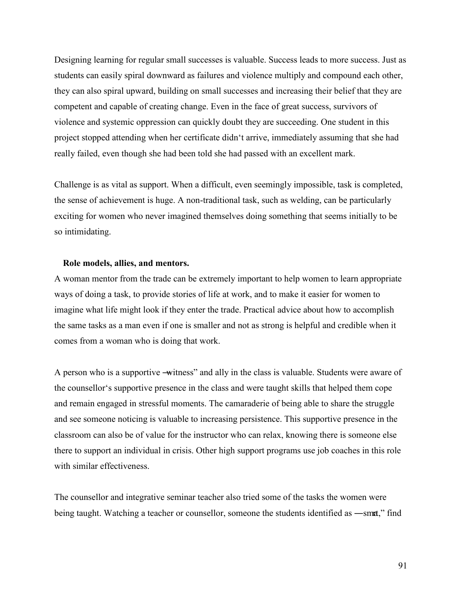Designing learning for regular small successes is valuable. Success leads to more success. Just as students can easily spiral downward as failures and violence multiply and compound each other, they can also spiral upward, building on small successes and increasing their belief that they are competent and capable of creating change. Even in the face of great success, survivors of violence and systemic oppression can quickly doubt they are succeeding. One student in this project stopped attending when her certificate didn't arrive, immediately assuming that she had really failed, even though she had been told she had passed with an excellent mark.

Challenge is as vital as support. When a difficult, even seemingly impossible, task is completed, the sense of achievement is huge. A non-traditional task, such as welding, can be particularly exciting for women who never imagined themselves doing something that seems initially to be so intimidating.

### **Role models, allies, and mentors.**

A woman mentor from the trade can be extremely important to help women to learn appropriate ways of doing a task, to provide stories of life at work, and to make it easier for women to imagine what life might look if they enter the trade. Practical advice about how to accomplish the same tasks as a man even if one is smaller and not as strong is helpful and credible when it comes from a woman who is doing that work.

A person who is a supportive —witness" and ally in the class is valuable. Students were aware of the counsellor's supportive presence in the class and were taught skills that helped them cope and remain engaged in stressful moments. The camaraderie of being able to share the struggle and see someone noticing is valuable to increasing persistence. This supportive presence in the classroom can also be of value for the instructor who can relax, knowing there is someone else there to support an individual in crisis. Other high support programs use job coaches in this role with similar effectiveness.

The counsellor and integrative seminar teacher also tried some of the tasks the women were being taught. Watching a teacher or counsellor, someone the students identified as —smat," find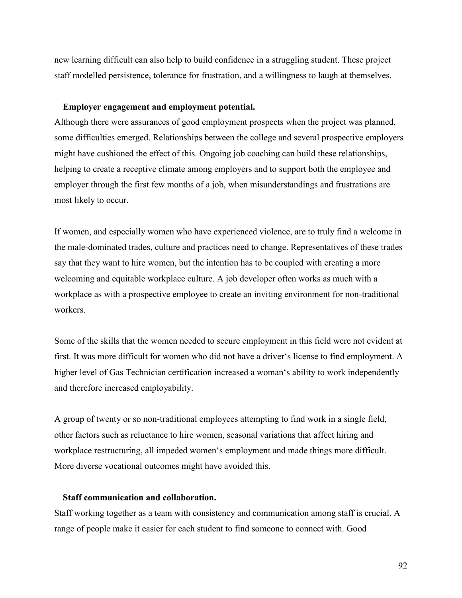new learning difficult can also help to build confidence in a struggling student. These project staff modelled persistence, tolerance for frustration, and a willingness to laugh at themselves.

### **Employer engagement and employment potential.**

Although there were assurances of good employment prospects when the project was planned, some difficulties emerged. Relationships between the college and several prospective employers might have cushioned the effect of this. Ongoing job coaching can build these relationships, helping to create a receptive climate among employers and to support both the employee and employer through the first few months of a job, when misunderstandings and frustrations are most likely to occur.

If women, and especially women who have experienced violence, are to truly find a welcome in the male-dominated trades, culture and practices need to change. Representatives of these trades say that they want to hire women, but the intention has to be coupled with creating a more welcoming and equitable workplace culture. A job developer often works as much with a workplace as with a prospective employee to create an inviting environment for non-traditional workers.

Some of the skills that the women needed to secure employment in this field were not evident at first. It was more difficult for women who did not have a driver's license to find employment. A higher level of Gas Technician certification increased a woman's ability to work independently and therefore increased employability.

A group of twenty or so non-traditional employees attempting to find work in a single field, other factors such as reluctance to hire women, seasonal variations that affect hiring and workplace restructuring, all impeded women's employment and made things more difficult. More diverse vocational outcomes might have avoided this.

### **Staff communication and collaboration.**

Staff working together as a team with consistency and communication among staff is crucial. A range of people make it easier for each student to find someone to connect with. Good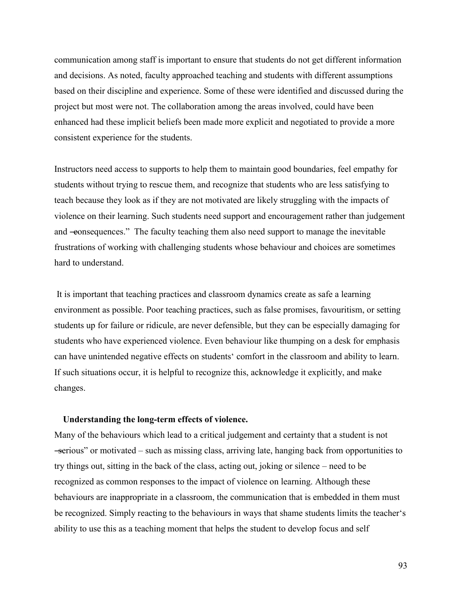communication among staff is important to ensure that students do not get different information and decisions. As noted, faculty approached teaching and students with different assumptions based on their discipline and experience. Some of these were identified and discussed during the project but most were not. The collaboration among the areas involved, could have been enhanced had these implicit beliefs been made more explicit and negotiated to provide a more consistent experience for the students.

Instructors need access to supports to help them to maintain good boundaries, feel empathy for students without trying to rescue them, and recognize that students who are less satisfying to teach because they look as if they are not motivated are likely struggling with the impacts of violence on their learning. Such students need support and encouragement rather than judgement and -eonsequences." The faculty teaching them also need support to manage the inevitable frustrations of working with challenging students whose behaviour and choices are sometimes hard to understand.

 It is important that teaching practices and classroom dynamics create as safe a learning environment as possible. Poor teaching practices, such as false promises, favouritism, or setting students up for failure or ridicule, are never defensible, but they can be especially damaging for students who have experienced violence. Even behaviour like thumping on a desk for emphasis can have unintended negative effects on students' comfort in the classroom and ability to learn. If such situations occur, it is helpful to recognize this, acknowledge it explicitly, and make changes.

## **Understanding the long-term effects of violence.**

Many of the behaviours which lead to a critical judgement and certainty that a student is not ―serious‖ or motivated – such as missing class, arriving late, hanging back from opportunities to try things out, sitting in the back of the class, acting out, joking or silence – need to be recognized as common responses to the impact of violence on learning. Although these behaviours are inappropriate in a classroom, the communication that is embedded in them must be recognized. Simply reacting to the behaviours in ways that shame students limits the teacher's ability to use this as a teaching moment that helps the student to develop focus and self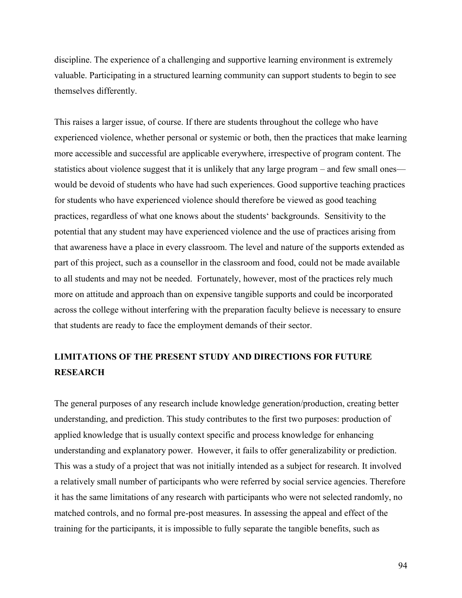discipline. The experience of a challenging and supportive learning environment is extremely valuable. Participating in a structured learning community can support students to begin to see themselves differently.

This raises a larger issue, of course. If there are students throughout the college who have experienced violence, whether personal or systemic or both, then the practices that make learning more accessible and successful are applicable everywhere, irrespective of program content. The statistics about violence suggest that it is unlikely that any large program – and few small ones would be devoid of students who have had such experiences. Good supportive teaching practices for students who have experienced violence should therefore be viewed as good teaching practices, regardless of what one knows about the students' backgrounds. Sensitivity to the potential that any student may have experienced violence and the use of practices arising from that awareness have a place in every classroom. The level and nature of the supports extended as part of this project, such as a counsellor in the classroom and food, could not be made available to all students and may not be needed. Fortunately, however, most of the practices rely much more on attitude and approach than on expensive tangible supports and could be incorporated across the college without interfering with the preparation faculty believe is necessary to ensure that students are ready to face the employment demands of their sector.

# **LIMITATIONS OF THE PRESENT STUDY AND DIRECTIONS FOR FUTURE RESEARCH**

The general purposes of any research include knowledge generation/production, creating better understanding, and prediction. This study contributes to the first two purposes: production of applied knowledge that is usually context specific and process knowledge for enhancing understanding and explanatory power. However, it fails to offer generalizability or prediction. This was a study of a project that was not initially intended as a subject for research. It involved a relatively small number of participants who were referred by social service agencies. Therefore it has the same limitations of any research with participants who were not selected randomly, no matched controls, and no formal pre-post measures. In assessing the appeal and effect of the training for the participants, it is impossible to fully separate the tangible benefits, such as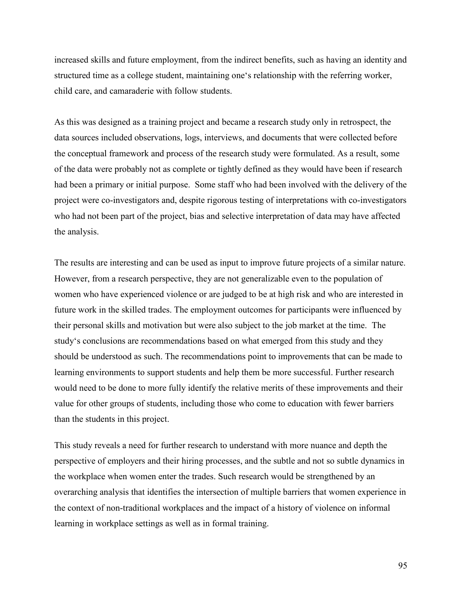increased skills and future employment, from the indirect benefits, such as having an identity and structured time as a college student, maintaining one's relationship with the referring worker, child care, and camaraderie with follow students.

As this was designed as a training project and became a research study only in retrospect, the data sources included observations, logs, interviews, and documents that were collected before the conceptual framework and process of the research study were formulated. As a result, some of the data were probably not as complete or tightly defined as they would have been if research had been a primary or initial purpose. Some staff who had been involved with the delivery of the project were co-investigators and, despite rigorous testing of interpretations with co-investigators who had not been part of the project, bias and selective interpretation of data may have affected the analysis.

The results are interesting and can be used as input to improve future projects of a similar nature. However, from a research perspective, they are not generalizable even to the population of women who have experienced violence or are judged to be at high risk and who are interested in future work in the skilled trades. The employment outcomes for participants were influenced by their personal skills and motivation but were also subject to the job market at the time. The study's conclusions are recommendations based on what emerged from this study and they should be understood as such. The recommendations point to improvements that can be made to learning environments to support students and help them be more successful. Further research would need to be done to more fully identify the relative merits of these improvements and their value for other groups of students, including those who come to education with fewer barriers than the students in this project.

This study reveals a need for further research to understand with more nuance and depth the perspective of employers and their hiring processes, and the subtle and not so subtle dynamics in the workplace when women enter the trades. Such research would be strengthened by an overarching analysis that identifies the intersection of multiple barriers that women experience in the context of non-traditional workplaces and the impact of a history of violence on informal learning in workplace settings as well as in formal training.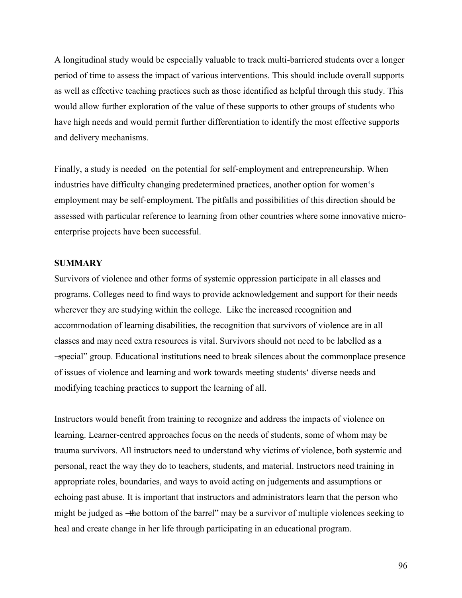A longitudinal study would be especially valuable to track multi-barriered students over a longer period of time to assess the impact of various interventions. This should include overall supports as well as effective teaching practices such as those identified as helpful through this study. This would allow further exploration of the value of these supports to other groups of students who have high needs and would permit further differentiation to identify the most effective supports and delivery mechanisms.

Finally, a study is needed on the potential for self-employment and entrepreneurship. When industries have difficulty changing predetermined practices, another option for women's employment may be self-employment. The pitfalls and possibilities of this direction should be assessed with particular reference to learning from other countries where some innovative microenterprise projects have been successful.

## **SUMMARY**

Survivors of violence and other forms of systemic oppression participate in all classes and programs. Colleges need to find ways to provide acknowledgement and support for their needs wherever they are studying within the college. Like the increased recognition and accommodation of learning disabilities, the recognition that survivors of violence are in all classes and may need extra resources is vital. Survivors should not need to be labelled as a ―special‖ group. Educational institutions need to break silences about the commonplace presence of issues of violence and learning and work towards meeting students' diverse needs and modifying teaching practices to support the learning of all.

Instructors would benefit from training to recognize and address the impacts of violence on learning. Learner-centred approaches focus on the needs of students, some of whom may be trauma survivors. All instructors need to understand why victims of violence, both systemic and personal, react the way they do to teachers, students, and material. Instructors need training in appropriate roles, boundaries, and ways to avoid acting on judgements and assumptions or echoing past abuse. It is important that instructors and administrators learn that the person who might be judged as —the bottom of the barrel" may be a survivor of multiple violences seeking to heal and create change in her life through participating in an educational program.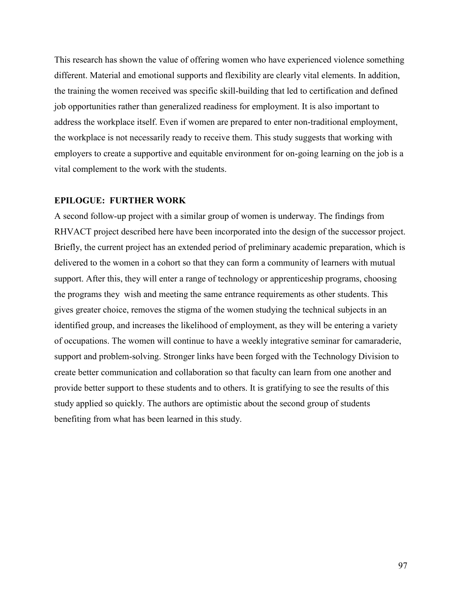This research has shown the value of offering women who have experienced violence something different. Material and emotional supports and flexibility are clearly vital elements. In addition, the training the women received was specific skill-building that led to certification and defined job opportunities rather than generalized readiness for employment. It is also important to address the workplace itself. Even if women are prepared to enter non-traditional employment, the workplace is not necessarily ready to receive them. This study suggests that working with employers to create a supportive and equitable environment for on-going learning on the job is a vital complement to the work with the students.

### **EPILOGUE: FURTHER WORK**

A second follow-up project with a similar group of women is underway. The findings from RHVACT project described here have been incorporated into the design of the successor project. Briefly, the current project has an extended period of preliminary academic preparation, which is delivered to the women in a cohort so that they can form a community of learners with mutual support. After this, they will enter a range of technology or apprenticeship programs, choosing the programs they wish and meeting the same entrance requirements as other students. This gives greater choice, removes the stigma of the women studying the technical subjects in an identified group, and increases the likelihood of employment, as they will be entering a variety of occupations. The women will continue to have a weekly integrative seminar for camaraderie, support and problem-solving. Stronger links have been forged with the Technology Division to create better communication and collaboration so that faculty can learn from one another and provide better support to these students and to others. It is gratifying to see the results of this study applied so quickly. The authors are optimistic about the second group of students benefiting from what has been learned in this study.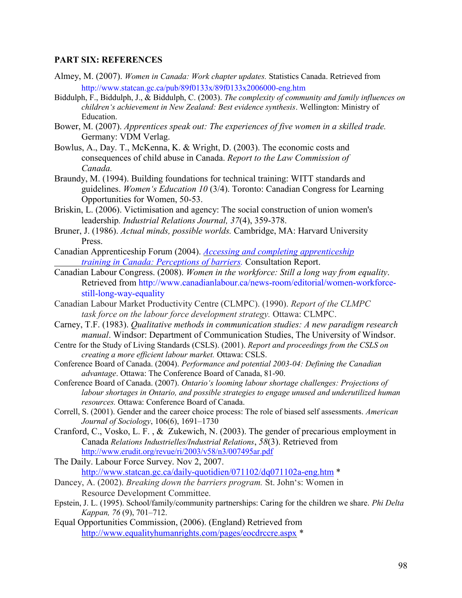### **PART SIX: REFERENCES**

- Almey, M. (2007). *Women in Canada: Work chapter updates.* Statistics Canada. Retrieved from http://www.statcan.gc.ca/pub/89f0133x/89f0133x2006000-eng.htm
- Biddulph, F., Biddulph, J., & Biddulph, C. (2003). *The complexity of community and family influences on children's achievement in New Zealand: Best evidence synthesis*. Wellington: Ministry of Education.
- Bower, M. (2007). *Apprentices speak out: The experiences of five women in a skilled trade.*  Germany: VDM Verlag.
- Bowlus, A., Day. T., McKenna, K. & Wright, D. (2003). The economic costs and consequences of child abuse in Canada. *Report to the Law Commission of Canada.*
- Braundy, M. (1994). Building foundations for technical training: WITT standards and guidelines. *Women's Education 10* (3/4). Toronto: Canadian Congress for Learning Opportunities for Women, 50-53.
- Briskin, L. (2006). Victimisation and agency: The social construction of union women's leadership*. Industrial Relations Journal, 37*(4), 359-378.
- Bruner, J. (1986). *Actual minds, possible worlds.* Cambridge, MA: Harvard University Press.
- Canadian Apprenticeship Forum (2004). *[Accessing and completing apprenticeship](https://owa.georgebrown.ca/exchweb/bin/redir.asp?URL=http://www.caf-fca.org/files/access/1-Report_jan04_e.pdf)  [training in Canada: Perceptions of barriers.](https://owa.georgebrown.ca/exchweb/bin/redir.asp?URL=http://www.caf-fca.org/files/access/1-Report_jan04_e.pdf)* Consultation Report.
- Canadian Labour Congress. (2008). *Women in the workforce: Still a long way from equality*. Retrieved from http://www.canadianlabour.ca/news-room/editorial/women-workforce still-long-way-equality
- Canadian Labour Market Productivity Centre (CLMPC). (1990). *Report of the CLMPC task force on the labour force development strategy.* Ottawa: CLMPC.
- Carney, T.F. (1983). *Qualitative methods in communication studies: A new paradigm research manual*. Windsor: Department of Communication Studies, The University of Windsor.
- Centre for the Study of Living Standards (CSLS). (2001). *Report and proceedings from the CSLS on creating a more efficient labour market.* Ottawa: CSLS.
- Conference Board of Canada. (2004). *Performance and potential 2003-04: Defining the Canadian advantage*. Ottawa: The Conference Board of Canada, 81-90.
- Conference Board of Canada. (2007). *Ontario's looming labour shortage challenges: Projections of labour shortages in Ontario, and possible strategies to engage unused and underutilized human resources.* Ottawa: Conference Board of Canada.
- Correll, S. (2001). Gender and the career choice process: The role of biased self assessments. *American Journal of Sociology*, 106(6), 1691–1730
- Cranford, C., Vosko, L. F. , & Zukewich, N. (2003). The gender of precarious employment in Canada *Relations Industrielles/Industrial Relations*, *58*(3). Retrieved from <http://www.erudit.org/revue/ri/2003/v58/n3/007495ar.pdf>
- The Daily. Labour Force Survey. Nov 2, 2007. <http://www.statcan.gc.ca/daily-quotidien/071102/dq071102a-eng.htm> \*
- Dancey, A. (2002). *Breaking down the barriers program.* St. John's: Women in Resource Development Committee.
- Epstein, J. L. (1995). School/family/community partnerships: Caring for the children we share. *Phi Delta Kappan, 76* (9), 701–712.
- Equal Opportunities Commission, (2006). (England) Retrieved from [http://www.equalityhumanrights.com/pages/eocdrccre.aspx](https://owa.georgebrown.ca/exchweb/bin/redir.asp?URL=http://www.equalityhumanrights.com/pages/eocdrccre.aspx) \*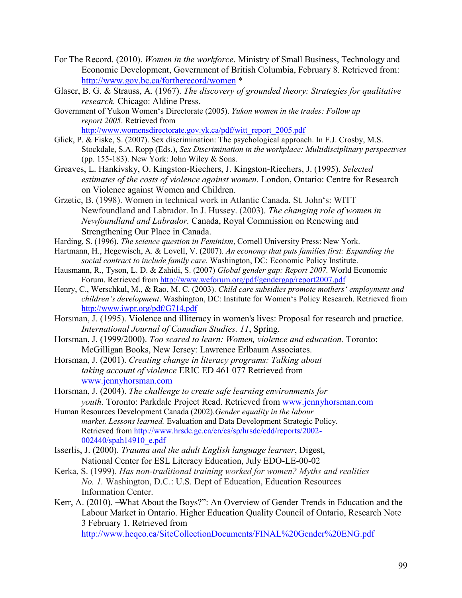- For The Record. (2010). *Women in the workforce*. Ministry of Small Business, Technology and Economic Development, Government of British Columbia, February 8. Retrieved from: <http://www.gov.bc.ca/fortherecord/women> \*
- Glaser, B. G. & Strauss, A. (1967). *The discovery of grounded theory: Strategies for qualitative research.* Chicago: Aldine Press.
- Government of Yukon Women's Directorate (2005). *Yukon women in the trades: Follow up report 2005*. Retrieved from [http://www.womensdirectorate.gov.yk.ca/pdf/witt\\_report\\_2005.pdf](http://www.womensdirectorate.gov.yk.ca/pdf/witt_report_2005.pdf)
- Glick, P. & Fiske, S. (2007). Sex discrimination: The psychological approach. In F.J. Crosby, M.S. Stockdale, S.A. Ropp (Eds.), *Sex Discrimination in the workplace: Multidisciplinary perspectives* (pp. 155-183). New York: John Wiley & Sons.
- Greaves, L. Hankivsky, O. Kingston-Riechers, J. Kingston-Riechers, J. (1995). *Selected estimates of the costs of violence against women.* London, Ontario: Centre for Research on Violence against Women and Children.
- Grzetic, B. (1998). Women in technical work in Atlantic Canada. St. John's: WITT Newfoundland and Labrador. In J. Hussey. (2003). *The changing role of women in Newfoundland and Labrador.* Canada, Royal Commission on Renewing and Strengthening Our Place in Canada.
- Harding, S. (1996). *The science question in Feminism*, Cornell University Press: New York.
- Hartmann, H., Hegewisch, A. & Lovell, V. (2007). *An economy that puts families first: Expanding the social contract to include family care*. Washington, DC: Economic Policy Institute.
- Hausmann, R., Tyson, L. D. & Zahidi, S. (2007) *Global gender gap: Report 2007.* World Economic Forum. Retrieved from <http://www.weforum.org/pdf/gendergap/report2007.pdf>
- Henry, C., Werschkul, M., & Rao, M. C. (2003). *Child care subsidies promote mothers' employment and children's development*. Washington, DC: Institute for Women's Policy Research. Retrieved from <http://www.iwpr.org/pdf/G714.pdf>
- Horsman, J. (1995). Violence and illiteracy in women's lives: Proposal for research and practice. *International Journal of Canadian Studies. 11*, Spring.
- Horsman, J. (1999/2000). *Too scared to learn: Women, violence and education.* Toronto: McGilligan Books, New Jersey: Lawrence Erlbaum Associates.
- Horsman, J. (2001). *Creating change in literacy programs: Talking about taking account of violence* ERIC ED 461 077 Retrieved from [www.jennyhorsman.com](https://owa.georgebrown.ca/exchweb/bin/redir.asp?URL=http://www.jennyhorsman.com/)
- Horsman, J. (2004). *The challenge to create safe learning environments for youth.* Toronto: Parkdale Project Read. Retrieved from [www.jennyhorsman.com](https://owa.georgebrown.ca/exchweb/bin/redir.asp?URL=http://www.jennyhorsman.com/)
- Human Resources Development Canada (2002).*Gender equality in the labour market. Lessons learned.* Evaluation and Data Development Strategic Policy*.* Retrieved from [http://www.hrsdc.gc.ca/en/cs/sp/hrsdc/edd/reports/2002-](http://www.hrsdc.gc.ca/en/cs/sp/hrsdc/edd/reports/2002-002440/spah14910_e.pdf)  [002440/spah14910\\_e.pdf](http://www.hrsdc.gc.ca/en/cs/sp/hrsdc/edd/reports/2002-002440/spah14910_e.pdf)
- Isserlis, J. (2000). *Trauma and the adult English language learner*, Digest, National Center for ESL Literacy Education, July EDO-LE-00-02
- Kerka, S. (1999). *Has non-traditional training worked for women? Myths and realities No. 1.* Washington, D.C.: U.S. Dept of Education, Education Resources Information Center.
- Kerr, A. (2010). -What About the Boys?": An Overview of Gender Trends in Education and the Labour Market in Ontario. Higher Education Quality Council of Ontario, Research Note 3 February 1. Retrieved from

<http://www.heqco.ca/SiteCollectionDocuments/FINAL%20Gender%20ENG.pdf>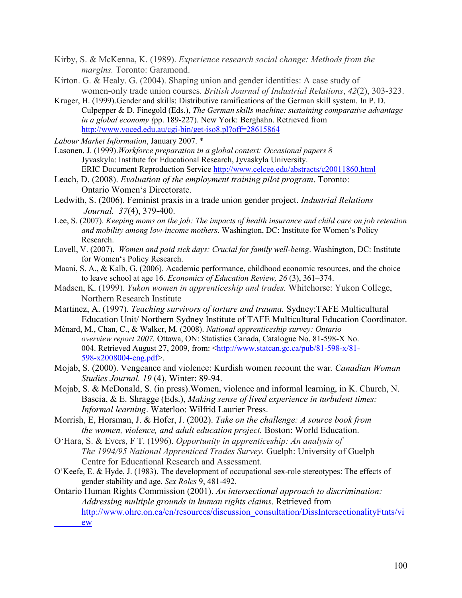- Kirby, S. & McKenna, K. (1989). *Experience research social change: Methods from the margins.* Toronto: Garamond.
- Kirton. G. & Healy. G. (2004). Shaping union and gender identities: A case study of women-only trade union courses*. British Journal of Industrial Relations*, *42*(2), 303-323.
- Kruger, H. (1999).Gender and skills: Distributive ramifications of the German skill system. In P. D. Culpepper & D. Finegold (Eds.), *The German skills machine: sustaining comparative advantage in a global economy (*pp. 189-227). New York: Berghahn. Retrieved from <http://www.voced.edu.au/cgi-bin/get-iso8.pl?off=28615864>

*Labour Market Information*, January 2007. \*

- Lasonen, J. (1999).*Workforce preparation in a global context: Occasional papers 8* Jyvaskyla: Institute for Educational Research, Jyvaskyla University. ERIC Document Reproduction Service <http://www.celcee.edu/abstracts/c20011860.html>
- Leach, D. (2008). *Evaluation of the employment training pilot program*. Toronto: Ontario Women's Directorate.
- Ledwith, S. (2006). Feminist praxis in a trade union gender project. *Industrial Relations Journal. 37*(4), 379-400.
- Lee, S. (2007). *Keeping moms on the job: The impacts of health insurance and child care on job retention and mobility among low-income mothers*. Washington, DC: Institute for Women's Policy Research.
- Lovell, V. (2007). *Women and paid sick days: Crucial for family well-being*. Washington, DC: Institute for Women's Policy Research.
- Maani, S. A., & Kalb, G. (2006). Academic performance, childhood economic resources, and the choice to leave school at age 16. *Economics of Education Review, 26* (3), 361–374.
- Madsen, K. (1999). *Yukon women in apprenticeship and trades.* Whitehorse: Yukon College, Northern Research Institute
- Martinez, A. (1997). *Teaching survivors of torture and trauma.* Sydney:TAFE Multicultural Education Unit/ Northern Sydney Institute of TAFE Multicultural Education Coordinator.
- Ménard, M., Chan, C., & Walker, M. (2008). *National apprenticeship survey: Ontario overview report 2007.* Ottawa, ON: Statistics Canada, Catalogue No. 81-598-X No. 004. Retrieved August 27, 2009, from: <http://www.statcan.gc.ca/pub/81-598-x/81- 598-x2008004-eng.pdf>.
- Mojab, S. (2000). Vengeance and violence: Kurdish women recount the war*. Canadian Woman Studies Journal. 19* (4), Winter: 89-94.
- Mojab, S. & McDonald, S. (in press).Women, violence and informal learning, in K. Church, N. Bascia, & E. Shragge (Eds.), *Making sense of lived experience in turbulent times: Informal learning*. Waterloo: Wilfrid Laurier Press.
- Morrish, E, Horsman, J. & Hofer, J. (2002). *Take on the challenge: A source book from the women, violence, and adult education project.* Boston: World Education.
- O'Hara, S. & Evers, F T. (1996). *Opportunity in apprenticeship: An analysis of The 1994/95 National Apprenticed Trades Survey.* Guelph: University of Guelph Centre for Educational Research and Assessment.
- O'Keefe, E. & Hyde, J. (1983). The development of occupational sex-role stereotypes: The effects of gender stability and age. *Sex Roles* 9, 481-492.

Ontario Human Rights Commission (2001). *An intersectional approach to discrimination: Addressing multiple grounds in human rights claims*. Retrieved from [http://www.ohrc.on.ca/en/resources/discussion\\_consultation/DissIntersectionalityFtnts/vi](http://www.ohrc.on.ca/en/resources/discussion_consultation/DissIntersectionalityFtnts/vi%09ew) [ew](http://www.ohrc.on.ca/en/resources/discussion_consultation/DissIntersectionalityFtnts/vi%09ew)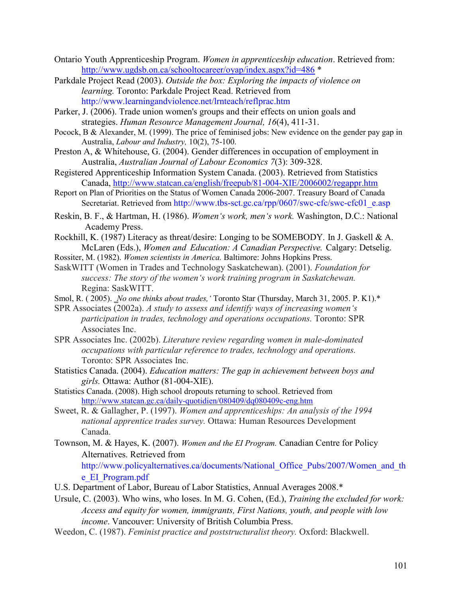- Ontario Youth Apprenticeship Program. *Women in apprenticeship education*. Retrieved from: <http://www.ugdsb.on.ca/schooltocareer/oyap/index.aspx?id=486> \*
- Parkdale Project Read (2003). *Outside the box: Exploring the impacts of violence on learning.* Toronto: Parkdale Project Read. Retrieved from http://www.learningandviolence.net/lrnteach/reflprac.htm
- Parker, J. (2006). Trade union women's groups and their effects on union goals and strategies. *Human Resource Management Journal, 16*(4), 411-31.
- Pocock, B & Alexander, M. (1999). The price of feminised jobs: New evidence on the gender pay gap in Australia, *Labour and Industry,* 10(2), 75-100.
- Preston A, & Whitehouse, G. (2004). Gender differences in occupation of employment in Australia, *Australian Journal of Labour Economics 7*(3): 309-328.
- Registered Apprenticeship Information System Canada. (2003). Retrieved from Statistics Canada, [http://www.statcan.ca/english/freepub/81-004-XIE/2006002/regappr.htm](https://owa.georgebrown.ca/exchweb/bin/redir.asp?URL=http://www.statcan.ca/english/freepub/81-004-XIE/2006002/regappr.htm)
- Report on Plan of Priorities on the Status of Women Canada 2006-2007. Treasury Board of Canada Secretariat. Retrieved from http://www.tbs-sct.gc.ca/rpp/0607/swc-cfc/swc-cfc01\_e.asp
- Reskin, B. F., & Hartman, H. (1986). *Women's work, men's work.* Washington, D.C.: National Academy Press.
- Rockhill, K. (1987) Literacy as threat/desire: Longing to be SOMEBODY*.* In J. Gaskell & A. McLaren (Eds.), *Women and Education: A Canadian Perspective.* Calgary: Detselig.
- Rossiter, M. (1982). *Women scientists in America.* Baltimore: Johns Hopkins Press.
- SaskWITT (Women in Trades and Technology Saskatchewan). (2001). *Foundation for success: The story of the women's work training program in Saskatchewan.*  Regina: SaskWITT.
- Smol, R. (2005). *No one thinks about trades,'* Toronto Star (Thursday, March 31, 2005. P. K1).\*
- SPR Associates (2002a). *A study to assess and identify ways of increasing women's participation in trades, technology and operations occupations.* Toronto: SPR Associates Inc.
- SPR Associates Inc. (2002b). *Literature review regarding women in male-dominated occupations with particular reference to trades, technology and operations.*  Toronto: SPR Associates Inc.
- Statistics Canada. (2004). *Education matters: The gap in achievement between boys and girls.* Ottawa: Author (81-004-XIE).
- Statistics Canada. (2008). High school dropouts returning to school. Retrieved from <http://www.statcan.gc.ca/daily-quotidien/080409/dq080409c-eng.htm>
- Sweet, R. & Gallagher, P. (1997). *Women and apprenticeships: An analysis of the 1994 national apprentice trades survey.* Ottawa: Human Resources Development Canada.
- Townson, M. & Hayes, K. (2007). *Women and the EI Program.* Canadian Centre for Policy Alternatives. Retrieved from [http://www.policyalternatives.ca/documents/National\\_Office\\_Pubs/2007/Women\\_and\\_th](http://www.policyalternatives.ca/documents/National_Office_Pubs/2007/Women_and_the_EI_Program.pdf)

e\_EI\_Program.pdf

- U.S. Department of Labor, Bureau of Labor Statistics, Annual Averages 2008.\*
- Ursule, C. (2003). Who wins, who loses. In M. G. Cohen, (Ed.), *Training the excluded for work: Access and equity for women, immigrants, First Nations, youth, and people with low income*. Vancouver: University of British Columbia Press.
- Weedon, C. (1987). *Feminist practice and poststructuralist theory.* Oxford: Blackwell.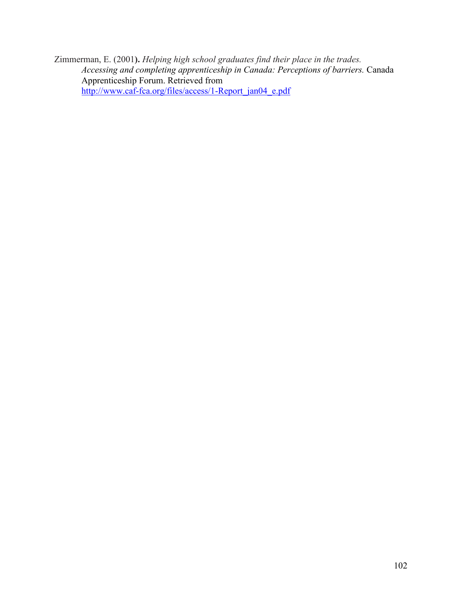Zimmerman, E. (2001**).** *Helping high school graduates find their place in the trades. Accessing and completing apprenticeship in Canada: Perceptions of barriers.* Canada Apprenticeship Forum. Retrieved from [http://www.caf-fca.org/files/access/1-Report\\_jan04\\_e.pdf](http://www.caf-fca.org/files/access/1-Report_jan04_e.pdf)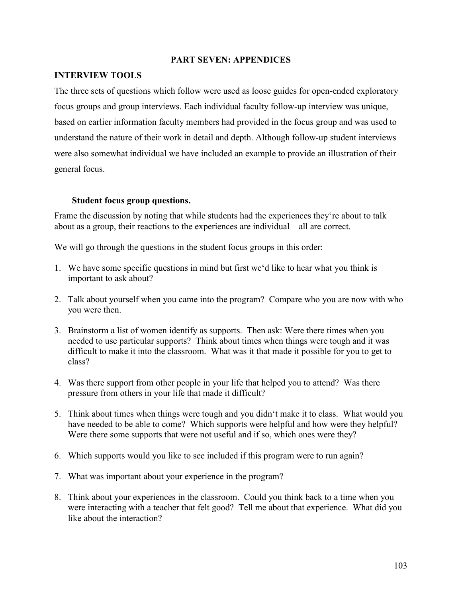## **PART SEVEN: APPENDICES**

## **INTERVIEW TOOLS**

The three sets of questions which follow were used as loose guides for open-ended exploratory focus groups and group interviews. Each individual faculty follow-up interview was unique, based on earlier information faculty members had provided in the focus group and was used to understand the nature of their work in detail and depth. Although follow-up student interviews were also somewhat individual we have included an example to provide an illustration of their general focus.

## **Student focus group questions.**

Frame the discussion by noting that while students had the experiences they're about to talk about as a group, their reactions to the experiences are individual – all are correct.

We will go through the questions in the student focus groups in this order:

- 1. We have some specific questions in mind but first we'd like to hear what you think is important to ask about?
- 2. Talk about yourself when you came into the program? Compare who you are now with who you were then.
- 3. Brainstorm a list of women identify as supports. Then ask: Were there times when you needed to use particular supports? Think about times when things were tough and it was difficult to make it into the classroom. What was it that made it possible for you to get to class?
- 4. Was there support from other people in your life that helped you to attend? Was there pressure from others in your life that made it difficult?
- 5. Think about times when things were tough and you didn't make it to class. What would you have needed to be able to come? Which supports were helpful and how were they helpful? Were there some supports that were not useful and if so, which ones were they?
- 6. Which supports would you like to see included if this program were to run again?
- 7. What was important about your experience in the program?
- 8. Think about your experiences in the classroom. Could you think back to a time when you were interacting with a teacher that felt good? Tell me about that experience. What did you like about the interaction?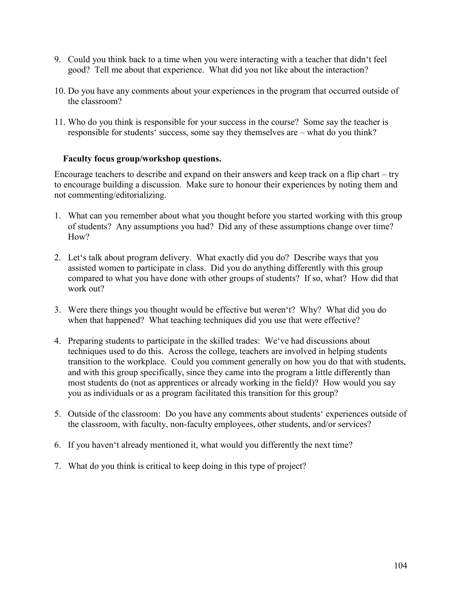- 9. Could you think back to a time when you were interacting with a teacher that didn't feel good? Tell me about that experience. What did you not like about the interaction?
- 10. Do you have any comments about your experiences in the program that occurred outside of the classroom?
- 11. Who do you think is responsible for your success in the course? Some say the teacher is responsible for students' success, some say they themselves are – what do you think?

## **Faculty focus group/workshop questions.**

Encourage teachers to describe and expand on their answers and keep track on a flip chart – try to encourage building a discussion. Make sure to honour their experiences by noting them and not commenting/editorializing.

- 1. What can you remember about what you thought before you started working with this group of students? Any assumptions you had? Did any of these assumptions change over time? How?
- 2. Let's talk about program delivery. What exactly did you do? Describe ways that you assisted women to participate in class. Did you do anything differently with this group compared to what you have done with other groups of students? If so, what? How did that work out?
- 3. Were there things you thought would be effective but weren't? Why? What did you do when that happened? What teaching techniques did you use that were effective?
- 4. Preparing students to participate in the skilled trades: We've had discussions about techniques used to do this. Across the college, teachers are involved in helping students transition to the workplace. Could you comment generally on how you do that with students, and with this group specifically, since they came into the program a little differently than most students do (not as apprentices or already working in the field)? How would you say you as individuals or as a program facilitated this transition for this group?
- 5. Outside of the classroom: Do you have any comments about students' experiences outside of the classroom, with faculty, non-faculty employees, other students, and/or services?
- 6. If you haven't already mentioned it, what would you differently the next time?
- 7. What do you think is critical to keep doing in this type of project?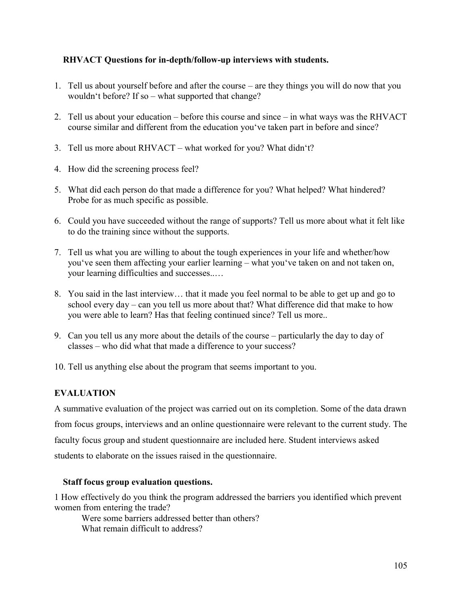# **RHVACT Questions for in-depth/follow-up interviews with students.**

- 1. Tell us about yourself before and after the course are they things you will do now that you wouldn't before? If so – what supported that change?
- 2. Tell us about your education before this course and since in what ways was the RHVACT course similar and different from the education you've taken part in before and since?
- 3. Tell us more about RHVACT what worked for you? What didn't?
- 4. How did the screening process feel?
- 5. What did each person do that made a difference for you? What helped? What hindered? Probe for as much specific as possible.
- 6. Could you have succeeded without the range of supports? Tell us more about what it felt like to do the training since without the supports.
- 7. Tell us what you are willing to about the tough experiences in your life and whether/how you've seen them affecting your earlier learning – what you've taken on and not taken on, your learning difficulties and successes..…
- 8. You said in the last interview… that it made you feel normal to be able to get up and go to school every day – can you tell us more about that? What difference did that make to how you were able to learn? Has that feeling continued since? Tell us more..
- 9. Can you tell us any more about the details of the course particularly the day to day of classes – who did what that made a difference to your success?
- 10. Tell us anything else about the program that seems important to you.

# **EVALUATION**

A summative evaluation of the project was carried out on its completion. Some of the data drawn from focus groups, interviews and an online questionnaire were relevant to the current study. The faculty focus group and student questionnaire are included here. Student interviews asked students to elaborate on the issues raised in the questionnaire.

# **Staff focus group evaluation questions.**

1 How effectively do you think the program addressed the barriers you identified which prevent women from entering the trade?

Were some barriers addressed better than others? What remain difficult to address?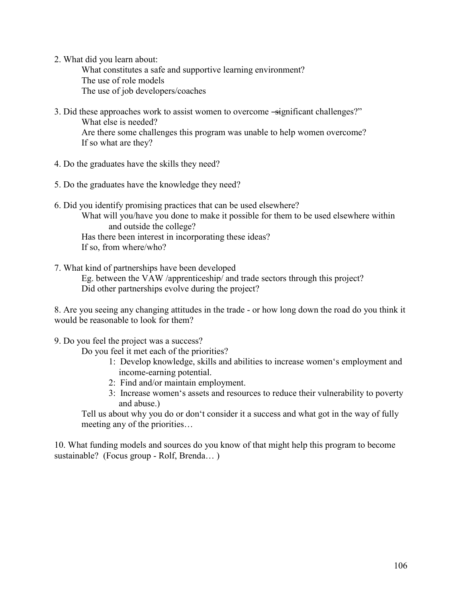2. What did you learn about:

 What constitutes a safe and supportive learning environment? The use of role models The use of job developers/coaches

- 3. Did these approaches work to assist women to overcome -significant challenges?" What else is needed? Are there some challenges this program was unable to help women overcome? If so what are they?
- 4. Do the graduates have the skills they need?
- 5. Do the graduates have the knowledge they need?
- 6. Did you identify promising practices that can be used elsewhere? What will you/have you done to make it possible for them to be used elsewhere within and outside the college? Has there been interest in incorporating these ideas? If so, from where/who?
- 7. What kind of partnerships have been developed Eg. between the VAW /apprenticeship/ and trade sectors through this project? Did other partnerships evolve during the project?

8. Are you seeing any changing attitudes in the trade - or how long down the road do you think it would be reasonable to look for them?

9. Do you feel the project was a success?

Do you feel it met each of the priorities?

- 1: Develop knowledge, skills and abilities to increase women's employment and income-earning potential.
- 2: Find and/or maintain employment.
- 3: Increase women's assets and resources to reduce their vulnerability to poverty and abuse.)

Tell us about why you do or don't consider it a success and what got in the way of fully meeting any of the priorities…

10. What funding models and sources do you know of that might help this program to become sustainable? (Focus group - Rolf, Brenda… )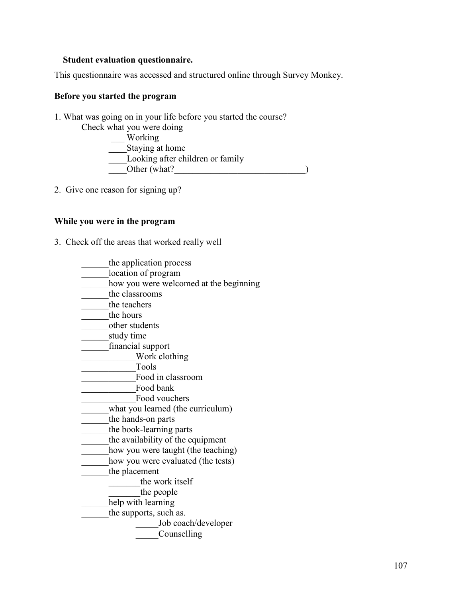## **Student evaluation questionnaire.**

This questionnaire was accessed and structured online through Survey Monkey.

## **Before you started the program**

1. What was going on in your life before you started the course? Check what you were doing

Working Staying at home Looking after children or family  $\boxed{\qquad}$  Other (what?

2. Give one reason for signing up?

## **While you were in the program**

- 3. Check off the areas that worked really well
	- \_\_\_\_\_\_the application process
	- \_\_\_\_\_\_location of program
	- how you were welcomed at the beginning
	- \_\_\_\_\_\_the classrooms
	- the teachers
	- the hours
	- \_\_\_\_\_\_\_other students
	- \_\_\_\_\_\_study time
	- \_\_\_\_\_\_financial support
	- \_\_\_\_\_\_\_\_\_\_\_\_Work clothing
	- \_\_\_\_\_\_\_\_\_\_\_\_Tools
	- \_\_\_\_\_\_\_\_\_\_\_\_Food in classroom
	- Food bank
	- Food vouchers
	- \_\_\_\_\_\_what you learned (the curriculum)
	- the hands-on parts
	- \_\_\_\_\_\_the book-learning parts
	- \_\_\_\_\_\_the availability of the equipment
	- how you were taught (the teaching)
	- how you were evaluated (the tests)
	- the placement
		- \_\_\_\_\_\_\_the work itself
		- the people
	- help with learning
	- the supports, such as.
		- \_\_\_\_\_Job coach/developer
		- \_\_\_\_\_Counselling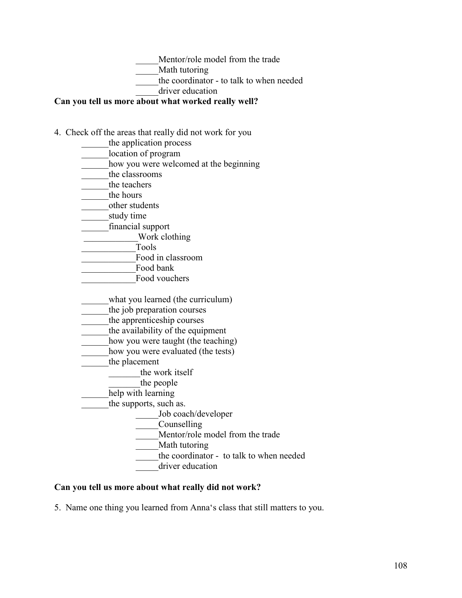Mentor/role model from the trade

Math tutoring

the coordinator - to talk to when needed

driver education

# **Can you tell us more about what worked really well?**

- 4. Check off the areas that really did not work for you
	- the application process
	- location of program
	- how you were welcomed at the beginning
	- the classrooms
	- the teachers
	- the hours
	- \_\_\_\_\_\_other students
	- study time
	- \_\_\_\_\_\_financial support
	- Work clothing
	- \_\_\_\_\_\_\_\_\_\_\_\_Tools
	- Food in classroom
	- Food bank
	- Food vouchers
	- what you learned (the curriculum)
	- the job preparation courses
	- the apprenticeship courses
	- the availability of the equipment
	- how you were taught (the teaching)
	- how you were evaluated (the tests)
		- the placement
			- the work itself
		- the people
		- help with learning
			- the supports, such as.
				- \_\_\_\_\_Job coach/developer
				- \_\_\_\_\_Counselling
				- Mentor/role model from the trade
				- Math tutoring
				- the coordinator to talk to when needed
					- driver education

## **Can you tell us more about what really did not work?**

5. Name one thing you learned from Anna's class that still matters to you.